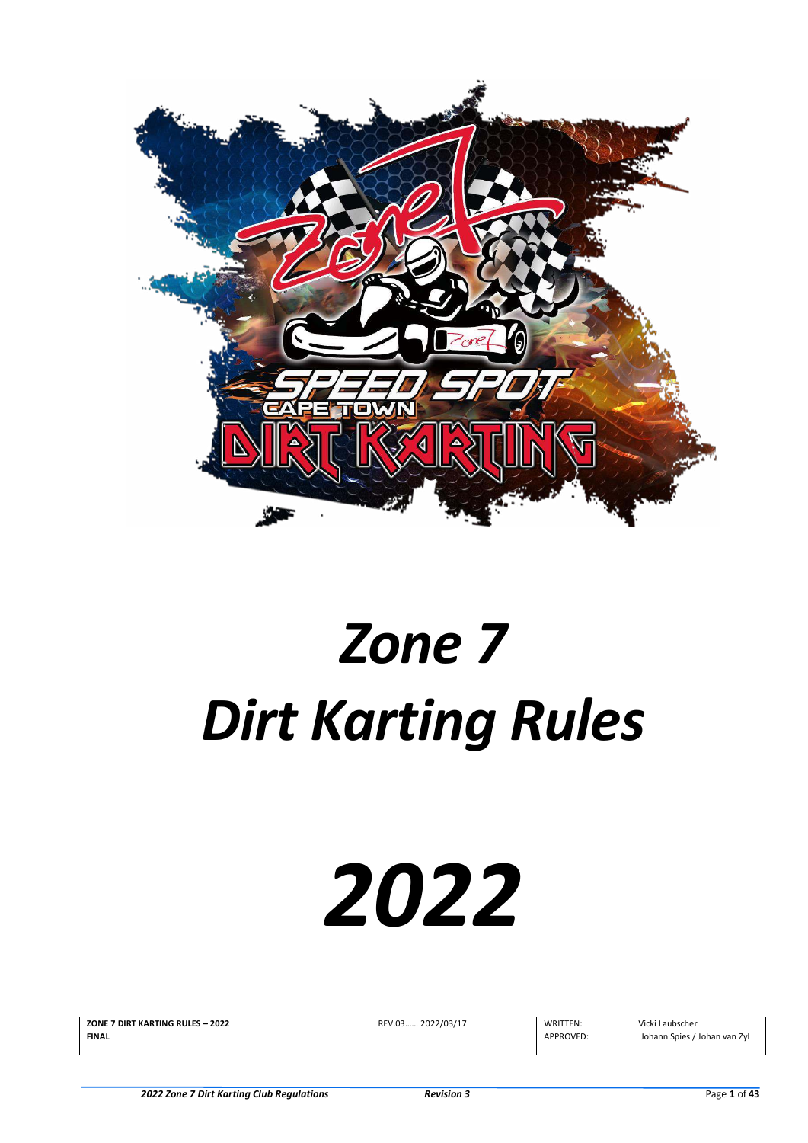

# *Zone 7 Dirt Karting Rules*

# *2022*

| ZONE 7 DIRT KARTING RULES - 2022 | REV.03 2022/03/17 | WRITTEN:  | Vicki Laubscher              |
|----------------------------------|-------------------|-----------|------------------------------|
| <b>FINAL</b>                     |                   | APPROVED: | Johann Spies / Johan van Zyl |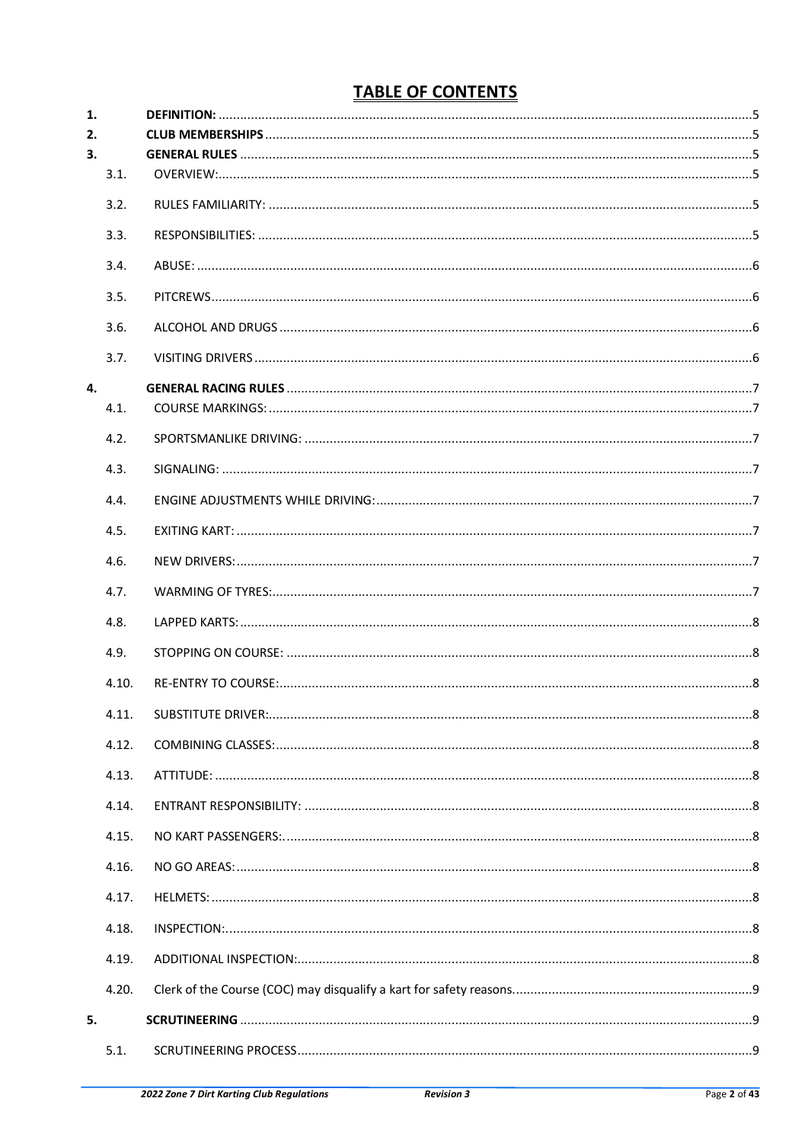# **TABLE OF CONTENTS**

| 1. |       |                           |  |
|----|-------|---------------------------|--|
| 2. |       |                           |  |
| 3. |       |                           |  |
|    | 3.1.  |                           |  |
|    | 3.2.  |                           |  |
|    | 3.3.  |                           |  |
|    | 3.4.  |                           |  |
|    | 3.5.  |                           |  |
|    | 3.6.  |                           |  |
|    | 3.7.  |                           |  |
| 4. |       |                           |  |
|    | 4.1.  |                           |  |
|    | 4.2.  |                           |  |
|    | 4.3.  |                           |  |
|    | 4.4.  |                           |  |
|    | 4.5.  |                           |  |
|    | 4.6.  |                           |  |
|    | 4.7.  |                           |  |
|    | 4.8.  |                           |  |
|    | 4.9.  |                           |  |
|    | 4.10. |                           |  |
|    | 4.11. | SURSTITUTE DRIVER:<br>. 8 |  |
|    | 4.12. |                           |  |
|    | 4.13. |                           |  |
|    | 4.14. |                           |  |
|    | 4.15. |                           |  |
|    | 4.16. |                           |  |
|    | 4.17. |                           |  |
|    | 4.18. |                           |  |
|    | 4.19. |                           |  |
|    | 4.20. |                           |  |
| 5. |       |                           |  |
|    | 5.1.  |                           |  |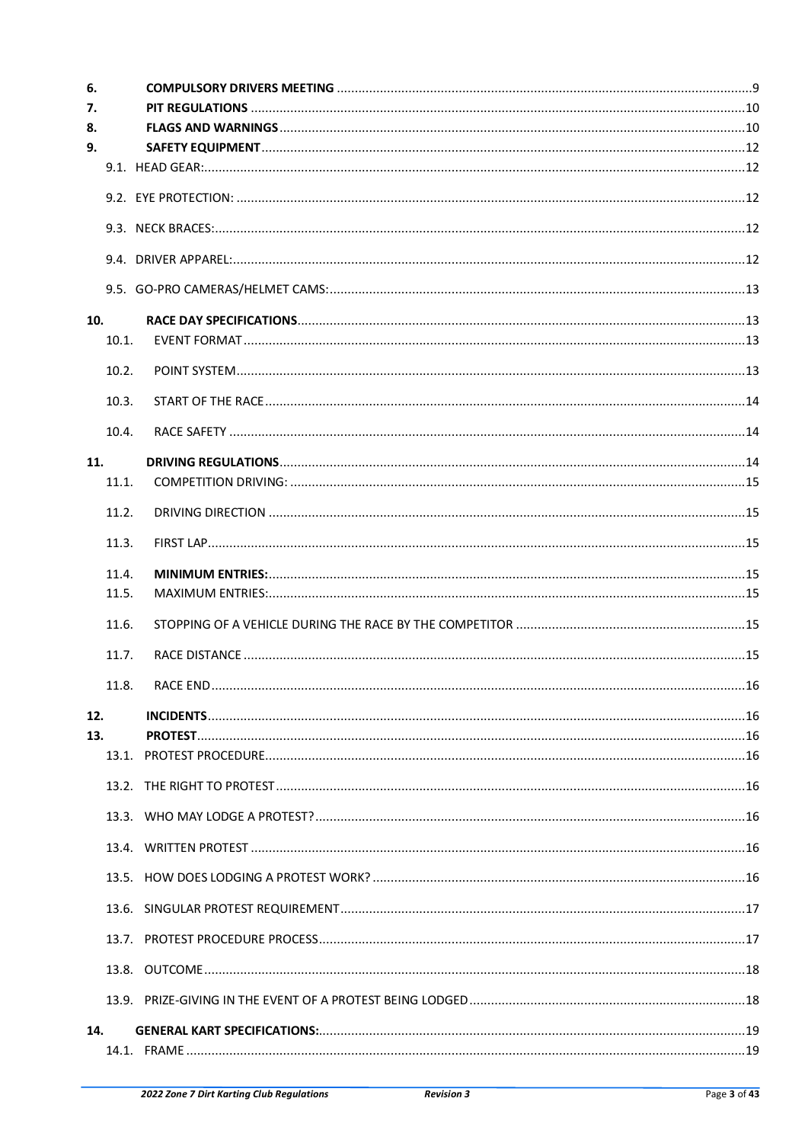| 6.  |       |          |    |
|-----|-------|----------|----|
| 7.  |       |          |    |
| 8.  |       |          |    |
| 9.  |       |          |    |
|     |       |          |    |
|     |       |          |    |
|     |       |          |    |
|     |       |          |    |
|     |       |          |    |
| 10. |       |          |    |
|     | 10.1. |          |    |
|     | 10.2. |          |    |
|     | 10.3. |          |    |
|     | 10.4. |          |    |
| 11. |       |          |    |
|     | 11.1. |          |    |
|     | 11.2. |          |    |
|     | 11.3. |          |    |
|     | 11.4. |          |    |
|     | 11.5. |          |    |
|     | 11.6. |          |    |
|     | 11.7. |          |    |
|     | 11.8  | RACE FND | 16 |
| 12. |       |          |    |
| 13. |       |          |    |
|     |       |          |    |
|     |       |          |    |
|     |       |          |    |
|     |       |          |    |
|     |       |          |    |
|     |       |          |    |
|     |       |          |    |
|     |       |          |    |
|     |       |          |    |
| 14. |       |          |    |
|     |       |          |    |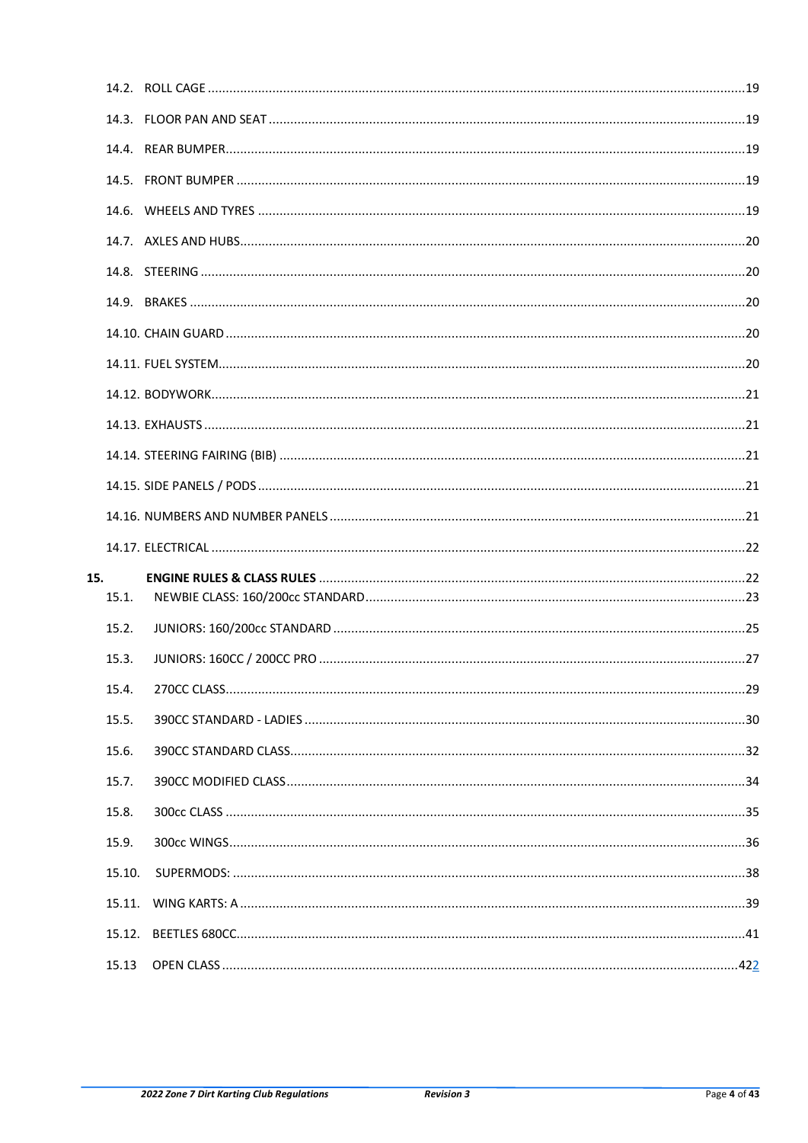| 15. |        |  |
|-----|--------|--|
|     | 15.1.  |  |
|     | 15.2.  |  |
|     | 15.3.  |  |
|     | 15.4.  |  |
|     | 15.5.  |  |
|     | 15.6.  |  |
|     | 15.7.  |  |
|     | 15.8.  |  |
|     | 15.9.  |  |
|     | 15.10. |  |
|     | 15.11. |  |
|     | 15.12. |  |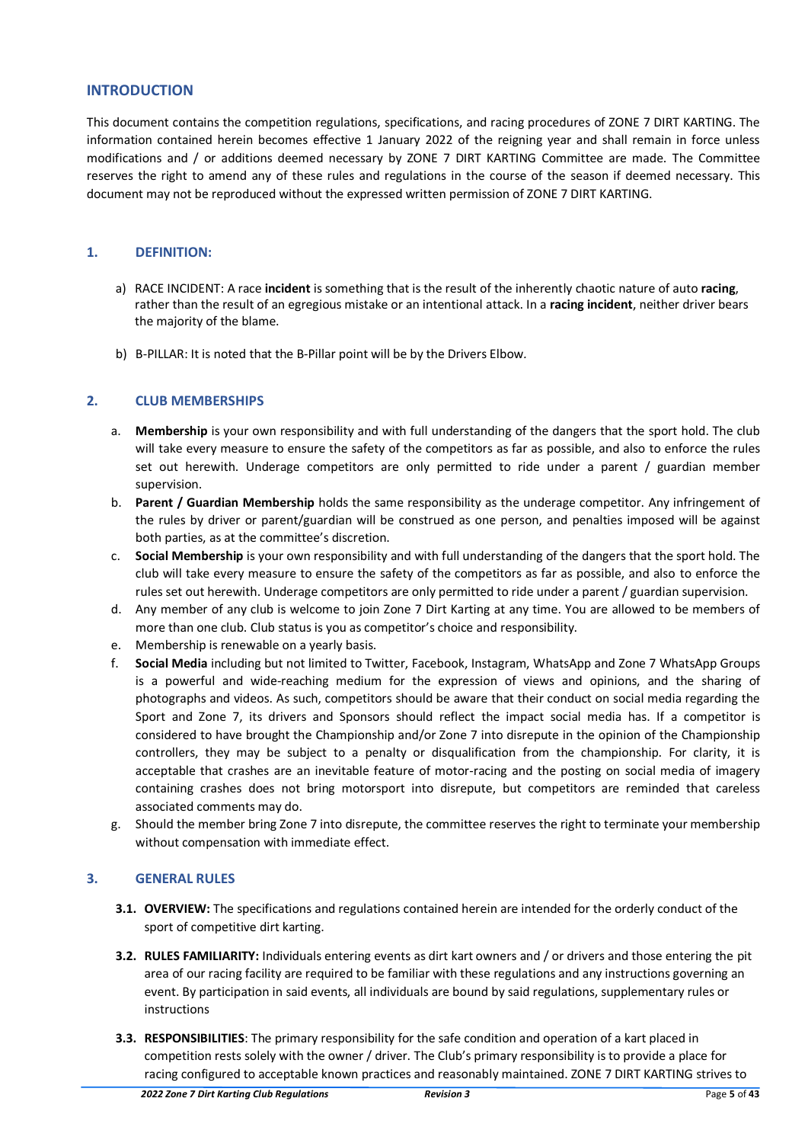# **INTRODUCTION**

This document contains the competition regulations, specifications, and racing procedures of ZONE 7 DIRT KARTING. The information contained herein becomes effective 1 January 2022 of the reigning year and shall remain in force unless modifications and / or additions deemed necessary by ZONE 7 DIRT KARTING Committee are made. The Committee reserves the right to amend any of these rules and regulations in the course of the season if deemed necessary. This document may not be reproduced without the expressed written permission of ZONE 7 DIRT KARTING.

# <span id="page-4-0"></span>**1. DEFINITION:**

- a) RACE INCIDENT: A race **incident** is something that is the result of the inherently chaotic nature of auto **racing**, rather than the result of an egregious mistake or an intentional attack. In a **racing incident**, neither driver bears the majority of the blame.
- b) B-PILLAR: It is noted that the B-Pillar point will be by the Drivers Elbow*.*

# <span id="page-4-1"></span>**2. CLUB MEMBERSHIPS**

- a. **Membership** is your own responsibility and with full understanding of the dangers that the sport hold. The club will take every measure to ensure the safety of the competitors as far as possible, and also to enforce the rules set out herewith. Underage competitors are only permitted to ride under a parent / guardian member supervision.
- b. **Parent / Guardian Membership** holds the same responsibility as the underage competitor. Any infringement of the rules by driver or parent/guardian will be construed as one person, and penalties imposed will be against both parties, as at the committee's discretion.
- c. **Social Membership** is your own responsibility and with full understanding of the dangers that the sport hold. The club will take every measure to ensure the safety of the competitors as far as possible, and also to enforce the rules set out herewith. Underage competitors are only permitted to ride under a parent / guardian supervision.
- d. Any member of any club is welcome to join Zone 7 Dirt Karting at any time. You are allowed to be members of more than one club. Club status is you as competitor's choice and responsibility.
- e. Membership is renewable on a yearly basis.
- f. **Social Media** including but not limited to Twitter, Facebook, Instagram, WhatsApp and Zone 7 WhatsApp Groups is a powerful and wide-reaching medium for the expression of views and opinions, and the sharing of photographs and videos. As such, competitors should be aware that their conduct on social media regarding the Sport and Zone 7, its drivers and Sponsors should reflect the impact social media has. If a competitor is considered to have brought the Championship and/or Zone 7 into disrepute in the opinion of the Championship controllers, they may be subject to a penalty or disqualification from the championship. For clarity, it is acceptable that crashes are an inevitable feature of motor-racing and the posting on social media of imagery containing crashes does not bring motorsport into disrepute, but competitors are reminded that careless associated comments may do.
- g. Should the member bring Zone 7 into disrepute, the committee reserves the right to terminate your membership without compensation with immediate effect.

# <span id="page-4-2"></span>**3. GENERAL RULES**

- <span id="page-4-3"></span>**3.1. OVERVIEW:** The specifications and regulations contained herein are intended for the orderly conduct of the sport of competitive dirt karting.
- <span id="page-4-4"></span>**3.2. RULES FAMILIARITY:** Individuals entering events as dirt kart owners and / or drivers and those entering the pit area of our racing facility are required to be familiar with these regulations and any instructions governing an event. By participation in said events, all individuals are bound by said regulations, supplementary rules or instructions
- <span id="page-4-5"></span>**3.3. RESPONSIBILITIES**: The primary responsibility for the safe condition and operation of a kart placed in competition rests solely with the owner / driver. The Club's primary responsibility is to provide a place for racing configured to acceptable known practices and reasonably maintained. ZONE 7 DIRT KARTING strives to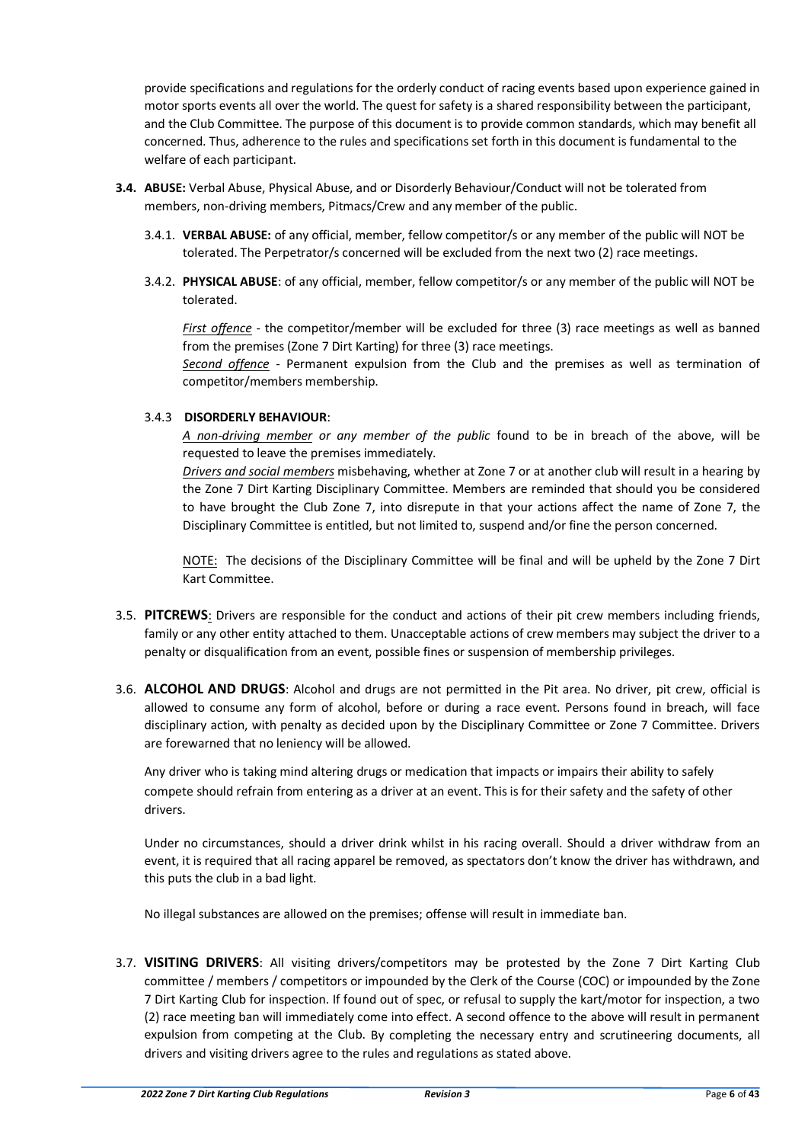provide specifications and regulations for the orderly conduct of racing events based upon experience gained in motor sports events all over the world. The quest for safety is a shared responsibility between the participant, and the Club Committee. The purpose of this document is to provide common standards, which may benefit all concerned. Thus, adherence to the rules and specifications set forth in this document is fundamental to the welfare of each participant.

- <span id="page-5-0"></span>**3.4. ABUSE:** Verbal Abuse, Physical Abuse, and or Disorderly Behaviour/Conduct will not be tolerated from members, non-driving members, Pitmacs/Crew and any member of the public.
	- 3.4.1. **VERBAL ABUSE:** of any official, member, fellow competitor/s or any member of the public will NOT be tolerated. The Perpetrator/s concerned will be excluded from the next two (2) race meetings.
	- 3.4.2. **PHYSICAL ABUSE**: of any official, member, fellow competitor/s or any member of the public will NOT be tolerated.

*First offence* - the competitor/member will be excluded for three (3) race meetings as well as banned from the premises (Zone 7 Dirt Karting) for three (3) race meetings.

*Second offence* - Permanent expulsion from the Club and the premises as well as termination of competitor/members membership.

# 3.4.3 **DISORDERLY BEHAVIOUR**:

*A non-driving member or any member of the public* found to be in breach of the above, will be requested to leave the premises immediately.

*Drivers and social members* misbehaving, whether at Zone 7 or at another club will result in a hearing by the Zone 7 Dirt Karting Disciplinary Committee. Members are reminded that should you be considered to have brought the Club Zone 7, into disrepute in that your actions affect the name of Zone 7, the Disciplinary Committee is entitled, but not limited to, suspend and/or fine the person concerned.

NOTE: The decisions of the Disciplinary Committee will be final and will be upheld by the Zone 7 Dirt Kart Committee.

- <span id="page-5-1"></span>3.5. **PITCREWS**: Drivers are responsible for the conduct and actions of their pit crew members including friends, family or any other entity attached to them. Unacceptable actions of crew members may subject the driver to a penalty or disqualification from an event, possible fines or suspension of membership privileges.
- <span id="page-5-2"></span>3.6. **ALCOHOL AND DRUGS**: Alcohol and drugs are not permitted in the Pit area. No driver, pit crew, official is allowed to consume any form of alcohol, before or during a race event. Persons found in breach, will face disciplinary action, with penalty as decided upon by the Disciplinary Committee or Zone 7 Committee. Drivers are forewarned that no leniency will be allowed.

Any driver who is taking mind altering drugs or medication that impacts or impairs their ability to safely compete should refrain from entering as a driver at an event. This is for their safety and the safety of other drivers.

Under no circumstances, should a driver drink whilst in his racing overall. Should a driver withdraw from an event, it is required that all racing apparel be removed, as spectators don't know the driver has withdrawn, and this puts the club in a bad light.

No illegal substances are allowed on the premises; offense will result in immediate ban.

<span id="page-5-3"></span>3.7. **VISITING DRIVERS**: All visiting drivers/competitors may be protested by the Zone 7 Dirt Karting Club committee / members / competitors or impounded by the Clerk of the Course (COC) or impounded by the Zone 7 Dirt Karting Club for inspection. If found out of spec, or refusal to supply the kart/motor for inspection, a two (2) race meeting ban will immediately come into effect. A second offence to the above will result in permanent expulsion from competing at the Club. By completing the necessary entry and scrutineering documents, all drivers and visiting drivers agree to the rules and regulations as stated above.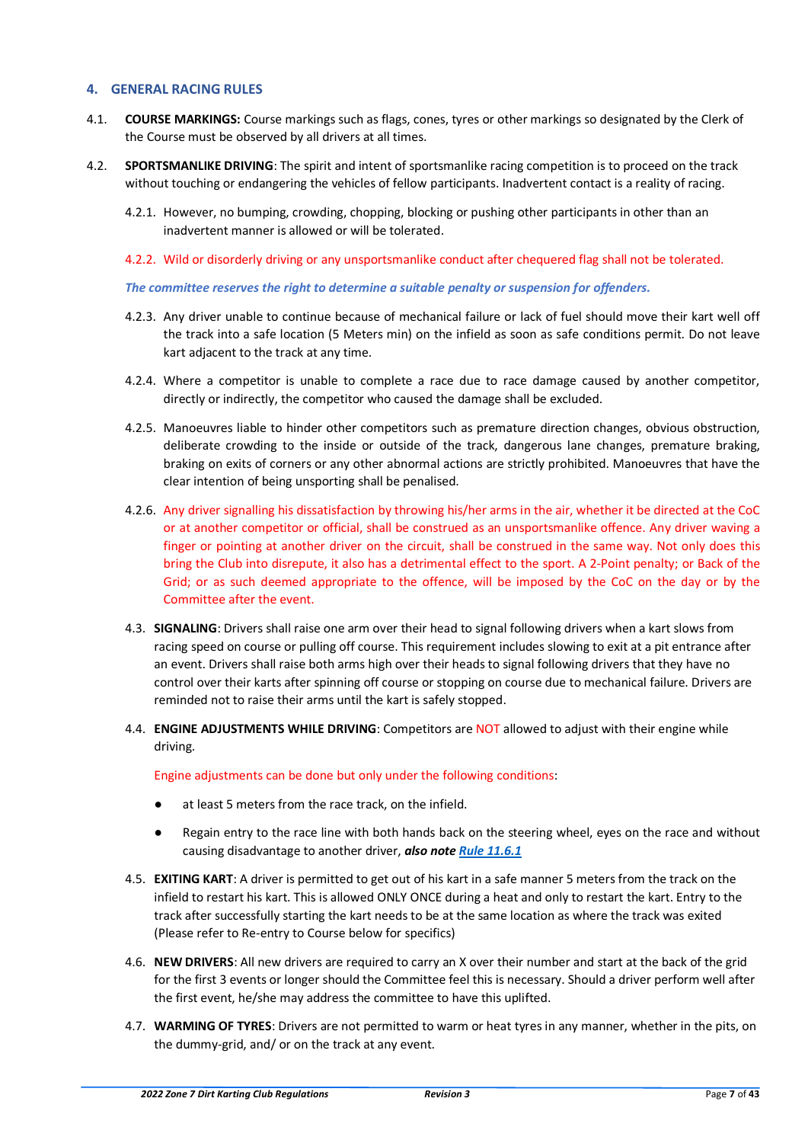# <span id="page-6-0"></span>**4. GENERAL RACING RULES**

- <span id="page-6-1"></span>4.1. **COURSE MARKINGS:** Course markings such as flags, cones, tyres or other markings so designated by the Clerk of the Course must be observed by all drivers at all times.
- <span id="page-6-2"></span>4.2. **SPORTSMANLIKE DRIVING**: The spirit and intent of sportsmanlike racing competition is to proceed on the track without touching or endangering the vehicles of fellow participants. Inadvertent contact is a reality of racing.
	- 4.2.1. However, no bumping, crowding, chopping, blocking or pushing other participants in other than an inadvertent manner is allowed or will be tolerated.
	- 4.2.2. Wild or disorderly driving or any unsportsmanlike conduct after chequered flag shall not be tolerated.

#### *The committee reserves the right to determine a suitable penalty or suspension for offenders.*

- 4.2.3. Any driver unable to continue because of mechanical failure or lack of fuel should move their kart well off the track into a safe location (5 Meters min) on the infield as soon as safe conditions permit. Do not leave kart adjacent to the track at any time.
- 4.2.4. Where a competitor is unable to complete a race due to race damage caused by another competitor, directly or indirectly, the competitor who caused the damage shall be excluded.
- 4.2.5. Manoeuvres liable to hinder other competitors such as premature direction changes, obvious obstruction, deliberate crowding to the inside or outside of the track, dangerous lane changes, premature braking, braking on exits of corners or any other abnormal actions are strictly prohibited. Manoeuvres that have the clear intention of being unsporting shall be penalised.
- 4.2.6. Any driver signalling his dissatisfaction by throwing his/her arms in the air, whether it be directed at the CoC or at another competitor or official, shall be construed as an unsportsmanlike offence. Any driver waving a finger or pointing at another driver on the circuit, shall be construed in the same way. Not only does this bring the Club into disrepute, it also has a detrimental effect to the sport. A 2-Point penalty; or Back of the Grid; or as such deemed appropriate to the offence, will be imposed by the CoC on the day or by the Committee after the event.
- <span id="page-6-3"></span>4.3. **SIGNALING**: Drivers shall raise one arm over their head to signal following drivers when a kart slows from racing speed on course or pulling off course. This requirement includes slowing to exit at a pit entrance after an event. Drivers shall raise both arms high over their heads to signal following drivers that they have no control over their karts after spinning off course or stopping on course due to mechanical failure. Drivers are reminded not to raise their arms until the kart is safely stopped.
- <span id="page-6-4"></span>4.4. **ENGINE ADJUSTMENTS WHILE DRIVING**: Competitors are NOT allowed to adjust with their engine while driving.

Engine adjustments can be done but only under the following conditions:

- at least 5 meters from the race track, on the infield.
- Regain entry to the race line with both hands back on the steering wheel, eyes on the race and without causing disadvantage to another driver, *also not[e Rule 11.6.1](#page-14-5)*
- <span id="page-6-5"></span>4.5. **EXITING KART**: A driver is permitted to get out of his kart in a safe manner 5 meters from the track on the infield to restart his kart. This is allowed ONLY ONCE during a heat and only to restart the kart. Entry to the track after successfully starting the kart needs to be at the same location as where the track was exited (Please refer to Re-entry to Course below for specifics)
- <span id="page-6-6"></span>4.6. **NEW DRIVERS**: All new drivers are required to carry an X over their number and start at the back of the grid for the first 3 events or longer should the Committee feel this is necessary. Should a driver perform well after the first event, he/she may address the committee to have this uplifted.
- <span id="page-6-7"></span>4.7. **WARMING OF TYRES**: Drivers are not permitted to warm or heat tyres in any manner, whether in the pits, on the dummy-grid, and/ or on the track at any event.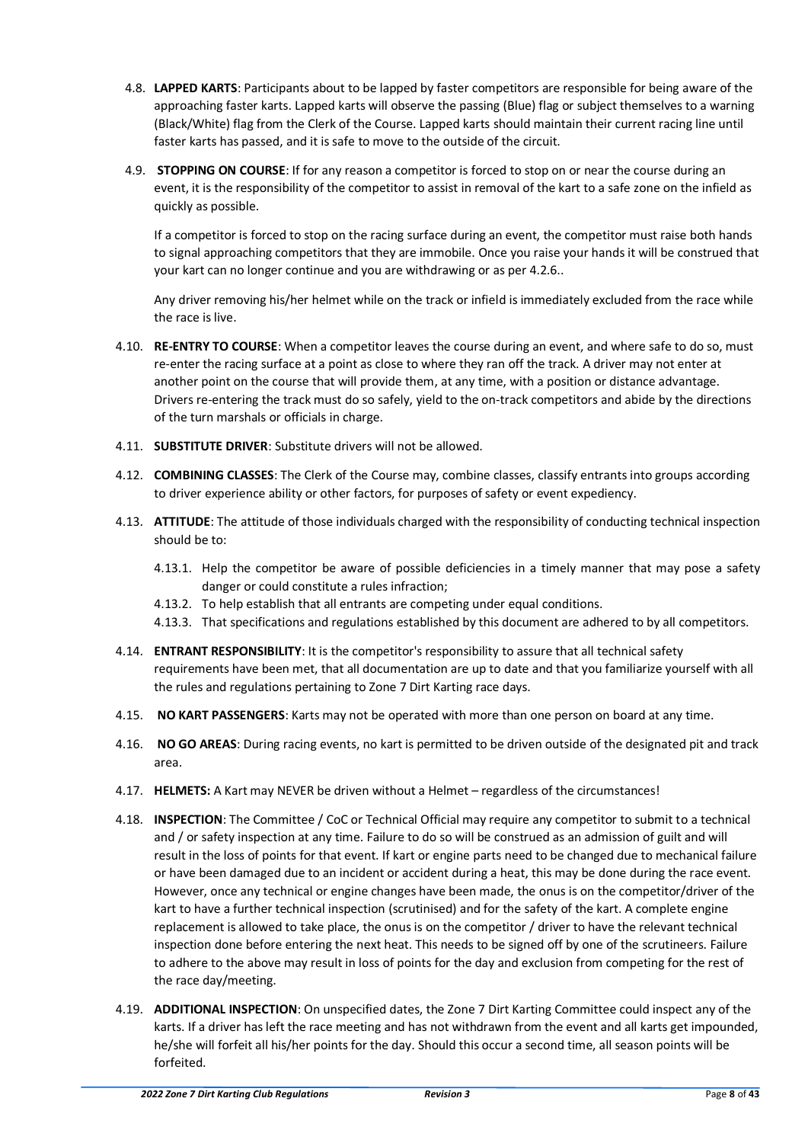- <span id="page-7-0"></span>4.8. **LAPPED KARTS**: Participants about to be lapped by faster competitors are responsible for being aware of the approaching faster karts. Lapped karts will observe the passing (Blue) flag or subject themselves to a warning (Black/White) flag from the Clerk of the Course. Lapped karts should maintain their current racing line until faster karts has passed, and it is safe to move to the outside of the circuit.
- <span id="page-7-1"></span>4.9. **STOPPING ON COURSE**: If for any reason a competitor is forced to stop on or near the course during an event, it is the responsibility of the competitor to assist in removal of the kart to a safe zone on the infield as quickly as possible.

If a competitor is forced to stop on the racing surface during an event, the competitor must raise both hands to signal approaching competitors that they are immobile. Once you raise your hands it will be construed that your kart can no longer continue and you are withdrawing or as per 4.2.6..

Any driver removing his/her helmet while on the track or infield is immediately excluded from the race while the race is live.

- <span id="page-7-2"></span>4.10. **RE-ENTRY TO COURSE**: When a competitor leaves the course during an event, and where safe to do so, must re-enter the racing surface at a point as close to where they ran off the track. A driver may not enter at another point on the course that will provide them, at any time, with a position or distance advantage. Drivers re-entering the track must do so safely, yield to the on-track competitors and abide by the directions of the turn marshals or officials in charge.
- <span id="page-7-3"></span>4.11. **SUBSTITUTE DRIVER**: Substitute drivers will not be allowed.
- <span id="page-7-4"></span>4.12. **COMBINING CLASSES**: The Clerk of the Course may, combine classes, classify entrants into groups according to driver experience ability or other factors, for purposes of safety or event expediency.
- <span id="page-7-5"></span>4.13. **ATTITUDE**: The attitude of those individuals charged with the responsibility of conducting technical inspection should be to:
	- 4.13.1. Help the competitor be aware of possible deficiencies in a timely manner that may pose a safety danger or could constitute a rules infraction;
	- 4.13.2. To help establish that all entrants are competing under equal conditions.
	- 4.13.3. That specifications and regulations established by this document are adhered to by all competitors.
- <span id="page-7-6"></span>4.14. **ENTRANT RESPONSIBILITY**: It is the competitor's responsibility to assure that all technical safety requirements have been met, that all documentation are up to date and that you familiarize yourself with all the rules and regulations pertaining to Zone 7 Dirt Karting race days.
- <span id="page-7-7"></span>4.15. **NO KART PASSENGERS**: Karts may not be operated with more than one person on board at any time.
- <span id="page-7-8"></span>4.16. **NO GO AREAS**: During racing events, no kart is permitted to be driven outside of the designated pit and track area.
- <span id="page-7-9"></span>4.17. **HELMETS:** A Kart may NEVER be driven without a Helmet – regardless of the circumstances!
- <span id="page-7-10"></span>4.18. **INSPECTION**: The Committee / CoC or Technical Official may require any competitor to submit to a technical and / or safety inspection at any time. Failure to do so will be construed as an admission of guilt and will result in the loss of points for that event. If kart or engine parts need to be changed due to mechanical failure or have been damaged due to an incident or accident during a heat, this may be done during the race event. However, once any technical or engine changes have been made, the onus is on the competitor/driver of the kart to have a further technical inspection (scrutinised) and for the safety of the kart. A complete engine replacement is allowed to take place, the onus is on the competitor / driver to have the relevant technical inspection done before entering the next heat. This needs to be signed off by one of the scrutineers. Failure to adhere to the above may result in loss of points for the day and exclusion from competing for the rest of the race day/meeting.
- <span id="page-7-11"></span>4.19. **ADDITIONAL INSPECTION**: On unspecified dates, the Zone 7 Dirt Karting Committee could inspect any of the karts. If a driver has left the race meeting and has not withdrawn from the event and all karts get impounded, he/she will forfeit all his/her points for the day. Should this occur a second time, all season points will be forfeited.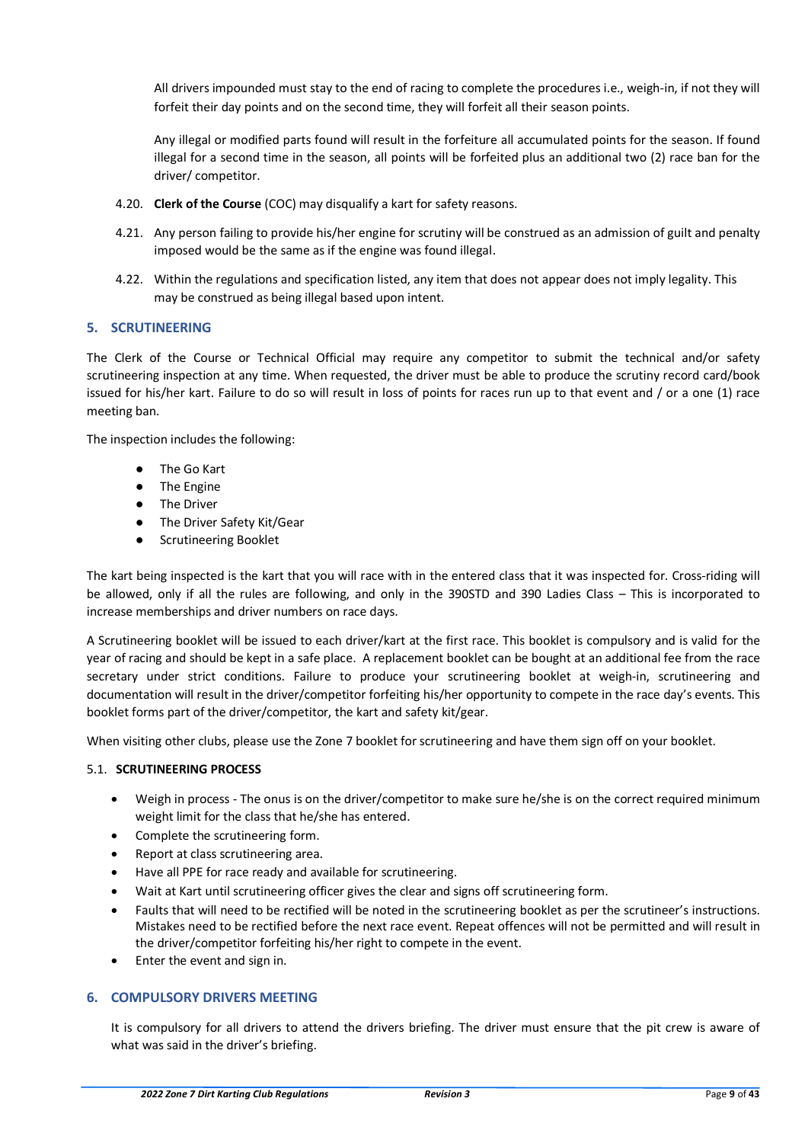All drivers impounded must stay to the end of racing to complete the procedures i.e., weigh-in, if not they will forfeit their day points and on the second time, they will forfeit all their season points.

Any illegal or modified parts found will result in the forfeiture all accumulated points for the season. If found illegal for a second time in the season, all points will be forfeited plus an additional two (2) race ban for the driver/ competitor.

- <span id="page-8-0"></span>4.20. **Clerk of the Course** (COC) may disqualify a kart for safety reasons.
- 4.21. Any person failing to provide his/her engine for scrutiny will be construed as an admission of guilt and penalty imposed would be the same as if the engine was found illegal.
- 4.22. Within the regulations and specification listed, any item that does not appear does not imply legality. This may be construed as being illegal based upon intent.

# <span id="page-8-1"></span>**5. SCRUTINEERING**

The Clerk of the Course or Technical Official may require any competitor to submit the technical and/or safety scrutineering inspection at any time. When requested, the driver must be able to produce the scrutiny record card/book issued for his/her kart. Failure to do so will result in loss of points for races run up to that event and / or a one (1) race meeting ban.

The inspection includes the following:

- The Go Kart
- The Engine
- The Driver
- The Driver Safety Kit/Gear
- Scrutineering Booklet

The kart being inspected is the kart that you will race with in the entered class that it was inspected for. Cross-riding will be allowed, only if all the rules are following, and only in the 390STD and 390 Ladies Class – This is incorporated to increase memberships and driver numbers on race days.

A Scrutineering booklet will be issued to each driver/kart at the first race. This booklet is compulsory and is valid for the year of racing and should be kept in a safe place. A replacement booklet can be bought at an additional fee from the race secretary under strict conditions. Failure to produce your scrutineering booklet at weigh-in, scrutineering and documentation will result in the driver/competitor forfeiting his/her opportunity to compete in the race day's events. This booklet forms part of the driver/competitor, the kart and safety kit/gear.

When visiting other clubs, please use the Zone 7 booklet for scrutineering and have them sign off on your booklet.

# <span id="page-8-2"></span>5.1. **SCRUTINEERING PROCESS**

- Weigh in process The onus is on the driver/competitor to make sure he/she is on the correct required minimum weight limit for the class that he/she has entered.
- Complete the scrutineering form.
- Report at class scrutineering area.
- Have all PPE for race ready and available for scrutineering.
- Wait at Kart until scrutineering officer gives the clear and signs off scrutineering form.
- Faults that will need to be rectified will be noted in the scrutineering booklet as per the scrutineer's instructions. Mistakes need to be rectified before the next race event. Repeat offences will not be permitted and will result in the driver/competitor forfeiting his/her right to compete in the event.
- Enter the event and sign in.

# <span id="page-8-3"></span>**6. COMPULSORY DRIVERS MEETING**

It is compulsory for all drivers to attend the drivers briefing. The driver must ensure that the pit crew is aware of what was said in the driver's briefing.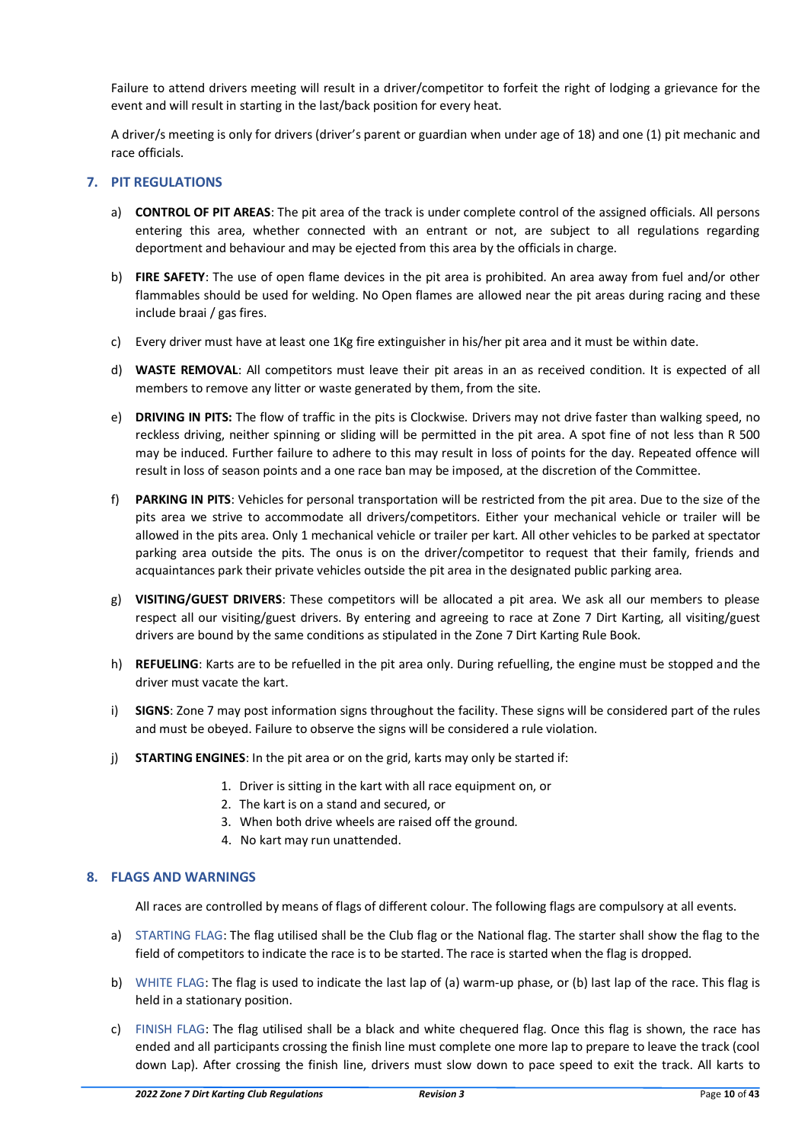Failure to attend drivers meeting will result in a driver/competitor to forfeit the right of lodging a grievance for the event and will result in starting in the last/back position for every heat.

A driver/s meeting is only for drivers (driver's parent or guardian when under age of 18) and one (1) pit mechanic and race officials.

# <span id="page-9-0"></span>**7. PIT REGULATIONS**

- a) **CONTROL OF PIT AREAS**: The pit area of the track is under complete control of the assigned officials. All persons entering this area, whether connected with an entrant or not, are subject to all regulations regarding deportment and behaviour and may be ejected from this area by the officials in charge.
- b) **FIRE SAFETY**: The use of open flame devices in the pit area is prohibited. An area away from fuel and/or other flammables should be used for welding. No Open flames are allowed near the pit areas during racing and these include braai / gas fires.
- c) Every driver must have at least one 1Kg fire extinguisher in his/her pit area and it must be within date.
- d) **WASTE REMOVAL**: All competitors must leave their pit areas in an as received condition. It is expected of all members to remove any litter or waste generated by them, from the site.
- e) **DRIVING IN PITS:** The flow of traffic in the pits is Clockwise. Drivers may not drive faster than walking speed, no reckless driving, neither spinning or sliding will be permitted in the pit area. A spot fine of not less than R 500 may be induced. Further failure to adhere to this may result in loss of points for the day. Repeated offence will result in loss of season points and a one race ban may be imposed, at the discretion of the Committee.
- f) **PARKING IN PITS**: Vehicles for personal transportation will be restricted from the pit area. Due to the size of the pits area we strive to accommodate all drivers/competitors. Either your mechanical vehicle or trailer will be allowed in the pits area. Only 1 mechanical vehicle or trailer per kart. All other vehicles to be parked at spectator parking area outside the pits. The onus is on the driver/competitor to request that their family, friends and acquaintances park their private vehicles outside the pit area in the designated public parking area.
- g) **VISITING/GUEST DRIVERS**: These competitors will be allocated a pit area. We ask all our members to please respect all our visiting/guest drivers. By entering and agreeing to race at Zone 7 Dirt Karting, all visiting/guest drivers are bound by the same conditions as stipulated in the Zone 7 Dirt Karting Rule Book.
- h) **REFUELING**: Karts are to be refuelled in the pit area only. During refuelling, the engine must be stopped and the driver must vacate the kart.
- i) **SIGNS**: Zone 7 may post information signs throughout the facility. These signs will be considered part of the rules and must be obeyed. Failure to observe the signs will be considered a rule violation.
- j) **STARTING ENGINES**: In the pit area or on the grid, karts may only be started if:
	- 1. Driver is sitting in the kart with all race equipment on, or
	- 2. The kart is on a stand and secured, or
	- 3. When both drive wheels are raised off the ground.
	- 4. No kart may run unattended.

# <span id="page-9-1"></span>**8. FLAGS AND WARNINGS**

All races are controlled by means of flags of different colour. The following flags are compulsory at all events.

- a) STARTING FLAG: The flag utilised shall be the Club flag or the National flag. The starter shall show the flag to the field of competitors to indicate the race is to be started. The race is started when the flag is dropped.
- b) WHITE FLAG: The flag is used to indicate the last lap of (a) warm-up phase, or (b) last lap of the race. This flag is held in a stationary position.
- c) FINISH FLAG: The flag utilised shall be a black and white chequered flag. Once this flag is shown, the race has ended and all participants crossing the finish line must complete one more lap to prepare to leave the track (cool down Lap). After crossing the finish line, drivers must slow down to pace speed to exit the track. All karts to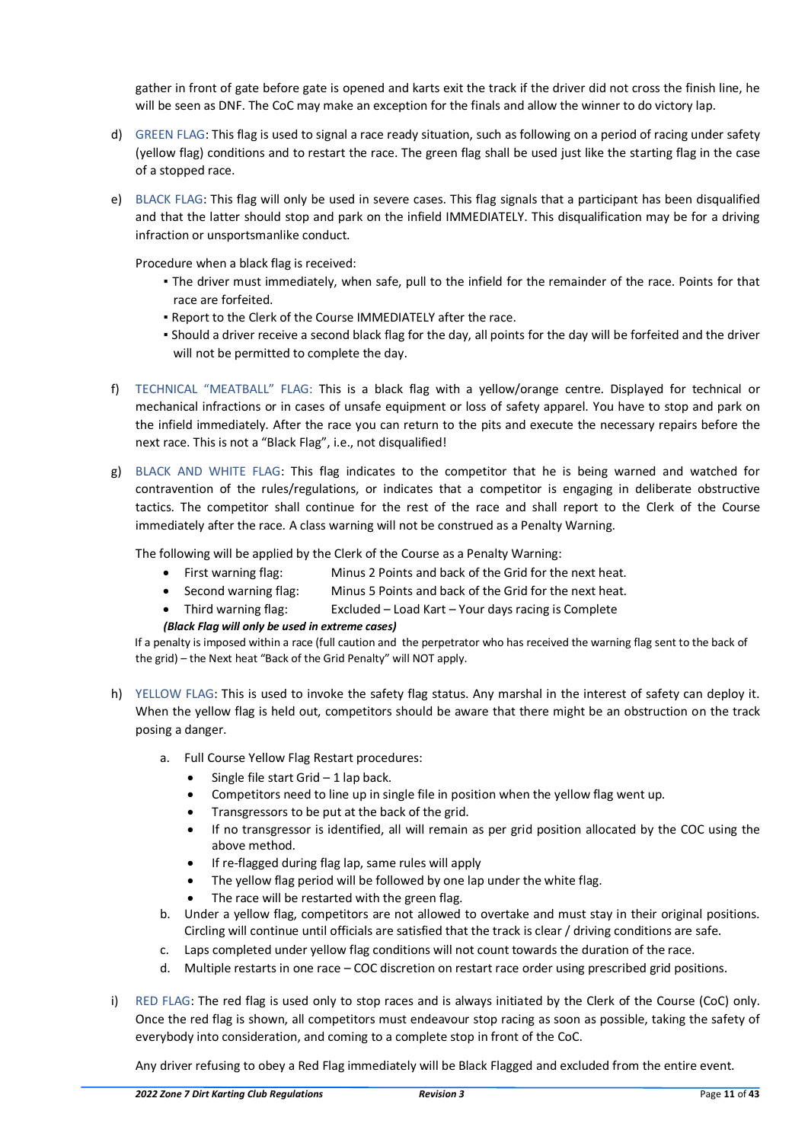gather in front of gate before gate is opened and karts exit the track if the driver did not cross the finish line, he will be seen as DNF. The CoC may make an exception for the finals and allow the winner to do victory lap.

- d) GREEN FLAG: This flag is used to signal a race ready situation, such as following on a period of racing under safety (yellow flag) conditions and to restart the race. The green flag shall be used just like the starting flag in the case of a stopped race.
- e) BLACK FLAG: This flag will only be used in severe cases. This flag signals that a participant has been disqualified and that the latter should stop and park on the infield IMMEDIATELY. This disqualification may be for a driving infraction or unsportsmanlike conduct.

Procedure when a black flag is received:

- The driver must immediately, when safe, pull to the infield for the remainder of the race. Points for that race are forfeited.
- Report to the Clerk of the Course IMMEDIATELY after the race.
- Should a driver receive a second black flag for the day, all points for the day will be forfeited and the driver will not be permitted to complete the day.
- f) TECHNICAL "MEATBALL" FLAG: This is a black flag with a yellow/orange centre. Displayed for technical or mechanical infractions or in cases of unsafe equipment or loss of safety apparel. You have to stop and park on the infield immediately. After the race you can return to the pits and execute the necessary repairs before the next race. This is not a "Black Flag", i.e., not disqualified!
- g) BLACK AND WHITE FLAG: This flag indicates to the competitor that he is being warned and watched for contravention of the rules/regulations, or indicates that a competitor is engaging in deliberate obstructive tactics. The competitor shall continue for the rest of the race and shall report to the Clerk of the Course immediately after the race. A class warning will not be construed as a Penalty Warning.

The following will be applied by the Clerk of the Course as a Penalty Warning:

- First warning flag: Minus 2 Points and back of the Grid for the next heat.
- Second warning flag: Minus 5 Points and back of the Grid for the next heat.
- Third warning flag: Excluded Load Kart Your days racing is Complete

# *(Black Flag will only be used in extreme cases)*

If a penalty is imposed within a race (full caution and the perpetrator who has received the warning flag sent to the back of the grid) – the Next heat "Back of the Grid Penalty" will NOT apply.

- h) YELLOW FLAG: This is used to invoke the safety flag status. Any marshal in the interest of safety can deploy it. When the yellow flag is held out, competitors should be aware that there might be an obstruction on the track posing a danger.
	- a. Full Course Yellow Flag Restart procedures:
		- Single file start Grid  $-1$  lap back.
		- Competitors need to line up in single file in position when the yellow flag went up.
		- Transgressors to be put at the back of the grid.
		- If no transgressor is identified, all will remain as per grid position allocated by the COC using the above method.
		- If re-flagged during flag lap, same rules will apply
		- The yellow flag period will be followed by one lap under the white flag.
		- The race will be restarted with the green flag.
	- b. Under a yellow flag, competitors are not allowed to overtake and must stay in their original positions. Circling will continue until officials are satisfied that the track is clear / driving conditions are safe.
	- c. Laps completed under yellow flag conditions will not count towards the duration of the race.
	- d. Multiple restarts in one race COC discretion on restart race order using prescribed grid positions.
- <span id="page-10-0"></span>i) RED FLAG: The red flag is used only to stop races and is always initiated by the Clerk of the Course (CoC) only. Once the red flag is shown, all competitors must endeavour stop racing as soon as possible, taking the safety of everybody into consideration, and coming to a complete stop in front of the CoC.

Any driver refusing to obey a Red Flag immediately will be Black Flagged and excluded from the entire event.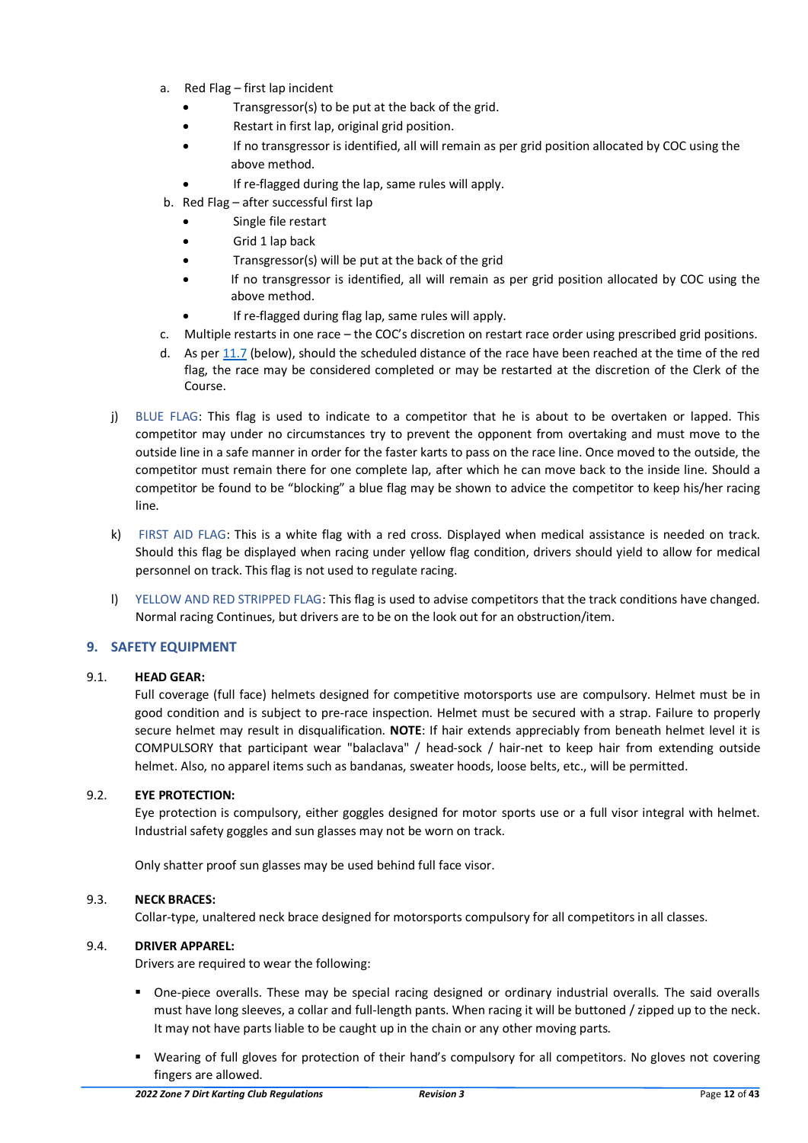- a. Red Flag first lap incident
	- Transgressor(s) to be put at the back of the grid.
	- Restart in first lap, original grid position.
	- If no transgressor is identified, all will remain as per grid position allocated by COC using the above method.
	- If re-flagged during the lap, same rules will apply.
- b. Red Flag after successful first lap
	- Single file restart
	- Grid 1 lap back
	- Transgressor(s) will be put at the back of the grid
	- If no transgressor is identified, all will remain as per grid position allocated by COC using the above method.
	- If re-flagged during flag lap, same rules will apply.
- c. Multiple restarts in one race the COC's discretion on restart race order using prescribed grid positions.
- d. As per [11.7](#page-14-6) (below), should the scheduled distance of the race have been reached at the time of the red flag, the race may be considered completed or may be restarted at the discretion of the Clerk of the Course.
- j) BLUE FLAG: This flag is used to indicate to a competitor that he is about to be overtaken or lapped. This competitor may under no circumstances try to prevent the opponent from overtaking and must move to the outside line in a safe manner in order for the faster karts to pass on the race line. Once moved to the outside, the competitor must remain there for one complete lap, after which he can move back to the inside line. Should a competitor be found to be "blocking" a blue flag may be shown to advice the competitor to keep his/her racing line.
- k) FIRST AID FLAG: This is a white flag with a red cross. Displayed when medical assistance is needed on track. Should this flag be displayed when racing under yellow flag condition, drivers should yield to allow for medical personnel on track. This flag is not used to regulate racing.
- l) YELLOW AND RED STRIPPED FLAG: This flag is used to advise competitors that the track conditions have changed. Normal racing Continues, but drivers are to be on the look out for an obstruction/item.

# <span id="page-11-0"></span>**9. SAFETY EQUIPMENT**

# <span id="page-11-1"></span>9.1. **HEAD GEAR:**

 Full coverage (full face) helmets designed for competitive motorsports use are compulsory. Helmet must be in good condition and is subject to pre-race inspection. Helmet must be secured with a strap. Failure to properly secure helmet may result in disqualification. **NOTE**: If hair extends appreciably from beneath helmet level it is COMPULSORY that participant wear "balaclava" / head-sock / hair-net to keep hair from extending outside helmet. Also, no apparel items such as bandanas, sweater hoods, loose belts, etc., will be permitted.

# <span id="page-11-2"></span>9.2. **EYE PROTECTION:**

Eye protection is compulsory, either goggles designed for motor sports use or a full visor integral with helmet. Industrial safety goggles and sun glasses may not be worn on track.

Only shatter proof sun glasses may be used behind full face visor.

# <span id="page-11-3"></span>9.3. **NECK BRACES:**

Collar-type, unaltered neck brace designed for motorsports compulsory for all competitors in all classes.

# <span id="page-11-4"></span>9.4. **DRIVER APPAREL:**

Drivers are required to wear the following:

- One-piece overalls. These may be special racing designed or ordinary industrial overalls. The said overalls must have long sleeves, a collar and full-length pants. When racing it will be buttoned / zipped up to the neck. It may not have parts liable to be caught up in the chain or any other moving parts.
- Wearing of full gloves for protection of their hand's compulsory for all competitors. No gloves not covering fingers are allowed.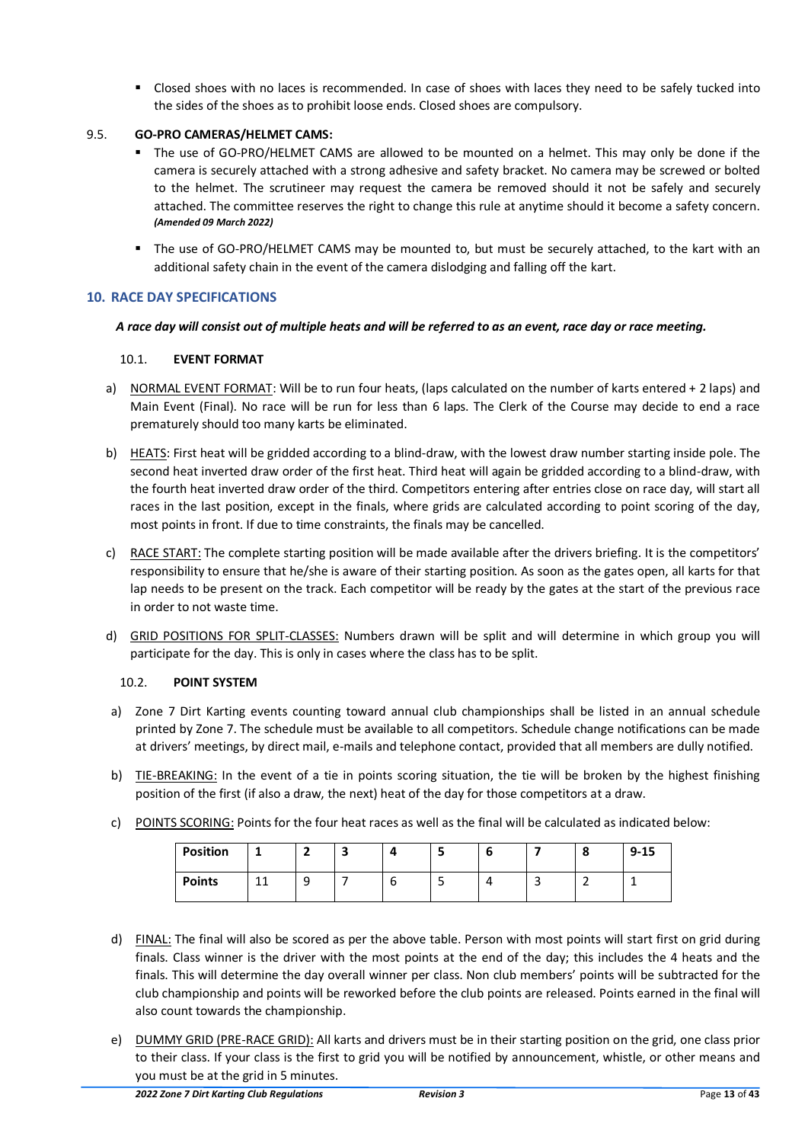■ Closed shoes with no laces is recommended. In case of shoes with laces they need to be safely tucked into the sides of the shoes as to prohibit loose ends. Closed shoes are compulsory.

# <span id="page-12-0"></span>9.5. **GO-PRO CAMERAS/HELMET CAMS:**

- The use of GO-PRO/HELMET CAMS are allowed to be mounted on a helmet. This may only be done if the camera is securely attached with a strong adhesive and safety bracket. No camera may be screwed or bolted to the helmet. The scrutineer may request the camera be removed should it not be safely and securely attached. The committee reserves the right to change this rule at anytime should it become a safety concern. *(Amended 09 March 2022)*
- The use of GO-PRO/HELMET CAMS may be mounted to, but must be securely attached, to the kart with an additional safety chain in the event of the camera dislodging and falling off the kart.

# <span id="page-12-1"></span>**10. RACE DAY SPECIFICATIONS**

# *A race day will consist out of multiple heats and will be referred to as an event, race day or race meeting.*

# <span id="page-12-2"></span>10.1. **EVENT FORMAT**

- a) NORMAL EVENT FORMAT: Will be to run four heats, (laps calculated on the number of karts entered + 2 laps) and Main Event (Final). No race will be run for less than 6 laps. The Clerk of the Course may decide to end a race prematurely should too many karts be eliminated.
- b) HEATS: First heat will be gridded according to a blind-draw, with the lowest draw number starting inside pole. The second heat inverted draw order of the first heat. Third heat will again be gridded according to a blind-draw, with the fourth heat inverted draw order of the third. Competitors entering after entries close on race day, will start all races in the last position, except in the finals, where grids are calculated according to point scoring of the day, most points in front. If due to time constraints, the finals may be cancelled.
- c) RACE START: The complete starting position will be made available after the drivers briefing. It is the competitors' responsibility to ensure that he/she is aware of their starting position. As soon as the gates open, all karts for that lap needs to be present on the track. Each competitor will be ready by the gates at the start of the previous race in order to not waste time.
- d) GRID POSITIONS FOR SPLIT-CLASSES: Numbers drawn will be split and will determine in which group you will participate for the day. This is only in cases where the class has to be split.

# <span id="page-12-3"></span>10.2. **POINT SYSTEM**

- a) Zone 7 Dirt Karting events counting toward annual club championships shall be listed in an annual schedule printed by Zone 7. The schedule must be available to all competitors. Schedule change notifications can be made at drivers' meetings, by direct mail, e-mails and telephone contact, provided that all members are dully notified.
- b) TIE-BREAKING: In the event of a tie in points scoring situation, the tie will be broken by the highest finishing position of the first (if also a draw, the next) heat of the day for those competitors at a draw.
- c) POINTS SCORING: Points for the four heat races as well as the final will be calculated as indicated below:

| <b>Position</b> |          |        | - | д      |   |   | $\bullet$ | $9 - 15$ |
|-----------------|----------|--------|---|--------|---|---|-----------|----------|
| <b>Points</b>   | 11<br>ᆠᆠ | O<br>- |   | h<br>u | ັ | ے | -         |          |

- d) FINAL: The final will also be scored as per the above table. Person with most points will start first on grid during finals. Class winner is the driver with the most points at the end of the day; this includes the 4 heats and the finals. This will determine the day overall winner per class. Non club members' points will be subtracted for the club championship and points will be reworked before the club points are released. Points earned in the final will also count towards the championship.
- e) DUMMY GRID (PRE-RACE GRID): All karts and drivers must be in their starting position on the grid, one class prior to their class. If your class is the first to grid you will be notified by announcement, whistle, or other means and you must be at the grid in 5 minutes.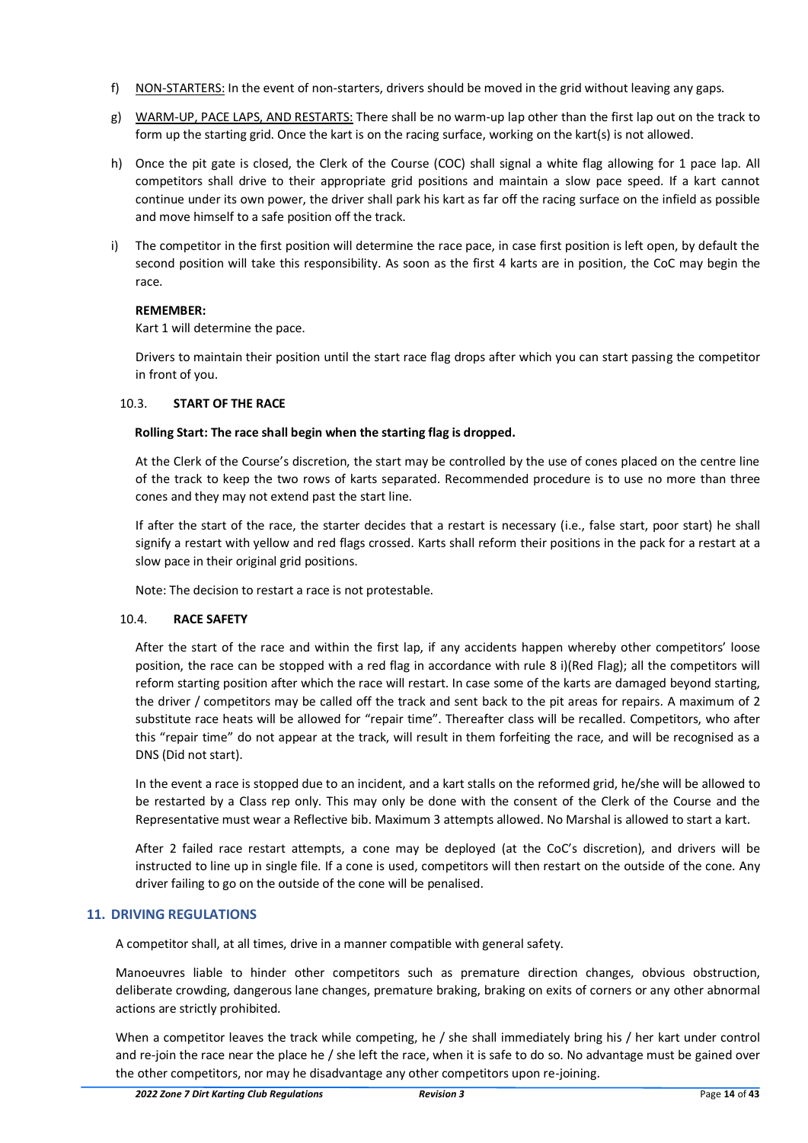- f) NON-STARTERS: In the event of non-starters, drivers should be moved in the grid without leaving any gaps.
- g) WARM-UP, PACE LAPS, AND RESTARTS: There shall be no warm-up lap other than the first lap out on the track to form up the starting grid. Once the kart is on the racing surface, working on the kart(s) is not allowed.
- h) Once the pit gate is closed, the Clerk of the Course (COC) shall signal a white flag allowing for 1 pace lap. All competitors shall drive to their appropriate grid positions and maintain a slow pace speed. If a kart cannot continue under its own power, the driver shall park his kart as far off the racing surface on the infield as possible and move himself to a safe position off the track.
- i) The competitor in the first position will determine the race pace, in case first position is left open, by default the second position will take this responsibility. As soon as the first 4 karts are in position, the CoC may begin the race.

# **REMEMBER:**

Kart 1 will determine the pace.

Drivers to maintain their position until the start race flag drops after which you can start passing the competitor in front of you.

# <span id="page-13-0"></span>10.3. **START OF THE RACE**

# **Rolling Start: The race shall begin when the starting flag is dropped.**

At the Clerk of the Course's discretion, the start may be controlled by the use of cones placed on the centre line of the track to keep the two rows of karts separated. Recommended procedure is to use no more than three cones and they may not extend past the start line.

If after the start of the race, the starter decides that a restart is necessary (i.e., false start, poor start) he shall signify a restart with yellow and red flags crossed. Karts shall reform their positions in the pack for a restart at a slow pace in their original grid positions.

Note: The decision to restart a race is not protestable.

# <span id="page-13-1"></span>10.4. **RACE SAFETY**

After the start of the race and within the first lap, if any accidents happen whereby other competitors' loose position, the race can be stopped with a red flag in accordance with rule [8 i\)\(](#page-10-0)Red Flag); all the competitors will reform starting position after which the race will restart. In case some of the karts are damaged beyond starting, the driver / competitors may be called off the track and sent back to the pit areas for repairs. A maximum of 2 substitute race heats will be allowed for "repair time". Thereafter class will be recalled. Competitors, who after this "repair time" do not appear at the track, will result in them forfeiting the race, and will be recognised as a DNS (Did not start).

In the event a race is stopped due to an incident, and a kart stalls on the reformed grid, he/she will be allowed to be restarted by a Class rep only. This may only be done with the consent of the Clerk of the Course and the Representative must wear a Reflective bib. Maximum 3 attempts allowed. No Marshal is allowed to start a kart.

After 2 failed race restart attempts, a cone may be deployed (at the CoC's discretion), and drivers will be instructed to line up in single file. If a cone is used, competitors will then restart on the outside of the cone. Any driver failing to go on the outside of the cone will be penalised.

# <span id="page-13-2"></span>**11. DRIVING REGULATIONS**

A competitor shall, at all times, drive in a manner compatible with general safety.

Manoeuvres liable to hinder other competitors such as premature direction changes, obvious obstruction, deliberate crowding, dangerous lane changes, premature braking, braking on exits of corners or any other abnormal actions are strictly prohibited.

When a competitor leaves the track while competing, he / she shall immediately bring his / her kart under control and re-join the race near the place he / she left the race, when it is safe to do so. No advantage must be gained over the other competitors, nor may he disadvantage any other competitors upon re-joining.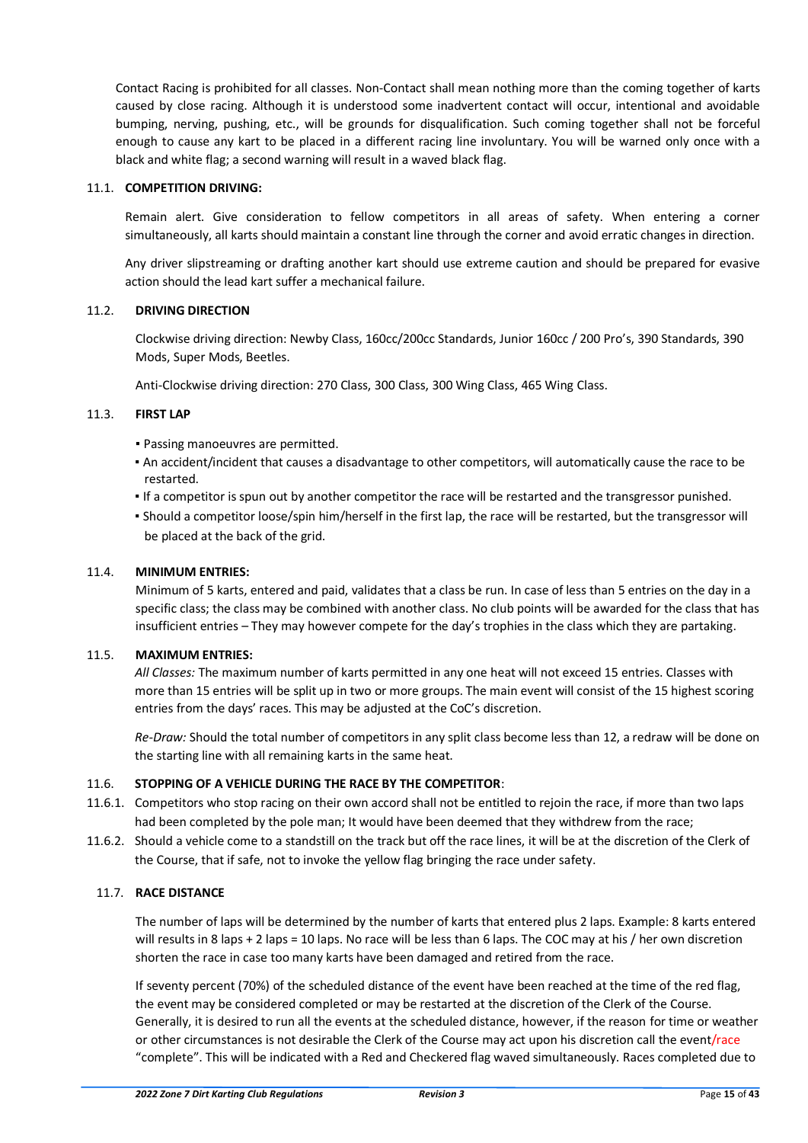Contact Racing is prohibited for all classes. Non-Contact shall mean nothing more than the coming together of karts caused by close racing. Although it is understood some inadvertent contact will occur, intentional and avoidable bumping, nerving, pushing, etc., will be grounds for disqualification. Such coming together shall not be forceful enough to cause any kart to be placed in a different racing line involuntary. You will be warned only once with a black and white flag; a second warning will result in a waved black flag.

# <span id="page-14-0"></span>11.1. **COMPETITION DRIVING:**

Remain alert. Give consideration to fellow competitors in all areas of safety. When entering a corner simultaneously, all karts should maintain a constant line through the corner and avoid erratic changes in direction.

Any driver slipstreaming or drafting another kart should use extreme caution and should be prepared for evasive action should the lead kart suffer a mechanical failure.

#### <span id="page-14-1"></span>11.2. **DRIVING DIRECTION**

Clockwise driving direction: Newby Class, 160cc/200cc Standards, Junior 160cc / 200 Pro's, 390 Standards, 390 Mods, Super Mods, Beetles.

Anti-Clockwise driving direction: 270 Class, 300 Class, 300 Wing Class, 465 Wing Class.

# <span id="page-14-2"></span>11.3. **FIRST LAP**

- Passing manoeuvres are permitted.
- An accident/incident that causes a disadvantage to other competitors, will automatically cause the race to be restarted.
- If a competitor is spun out by another competitor the race will be restarted and the transgressor punished.
- Should a competitor loose/spin him/herself in the first lap, the race will be restarted, but the transgressor will be placed at the back of the grid.

# <span id="page-14-3"></span>11.4. **MINIMUM ENTRIES:**

Minimum of 5 karts, entered and paid, validates that a class be run. In case of less than 5 entries on the day in a specific class; the class may be combined with another class. No club points will be awarded for the class that has insufficient entries – They may however compete for the day's trophies in the class which they are partaking.

# <span id="page-14-4"></span>11.5. **MAXIMUM ENTRIES:**

*All Classes:* The maximum number of karts permitted in any one heat will not exceed 15 entries. Classes with more than 15 entries will be split up in two or more groups. The main event will consist of the 15 highest scoring entries from the days' races. This may be adjusted at the CoC's discretion.

*Re-Draw:* Should the total number of competitors in any split class become less than 12, a redraw will be done on the starting line with all remaining karts in the same heat.

# <span id="page-14-5"></span>11.6. **STOPPING OF A VEHICLE DURING THE RACE BY THE COMPETITOR**:

- 11.6.1. Competitors who stop racing on their own accord shall not be entitled to rejoin the race, if more than two laps had been completed by the pole man; It would have been deemed that they withdrew from the race;
- 11.6.2. Should a vehicle come to a standstill on the track but off the race lines, it will be at the discretion of the Clerk of the Course, that if safe, not to invoke the yellow flag bringing the race under safety.

# <span id="page-14-6"></span>11.7. **RACE DISTANCE**

The number of laps will be determined by the number of karts that entered plus 2 laps. Example: 8 karts entered will results in 8 laps + 2 laps = 10 laps. No race will be less than 6 laps. The COC may at his / her own discretion shorten the race in case too many karts have been damaged and retired from the race.

If seventy percent (70%) of the scheduled distance of the event have been reached at the time of the red flag, the event may be considered completed or may be restarted at the discretion of the Clerk of the Course. Generally, it is desired to run all the events at the scheduled distance, however, if the reason for time or weather or other circumstances is not desirable the Clerk of the Course may act upon his discretion call the event/race "complete". This will be indicated with a Red and Checkered flag waved simultaneously. Races completed due to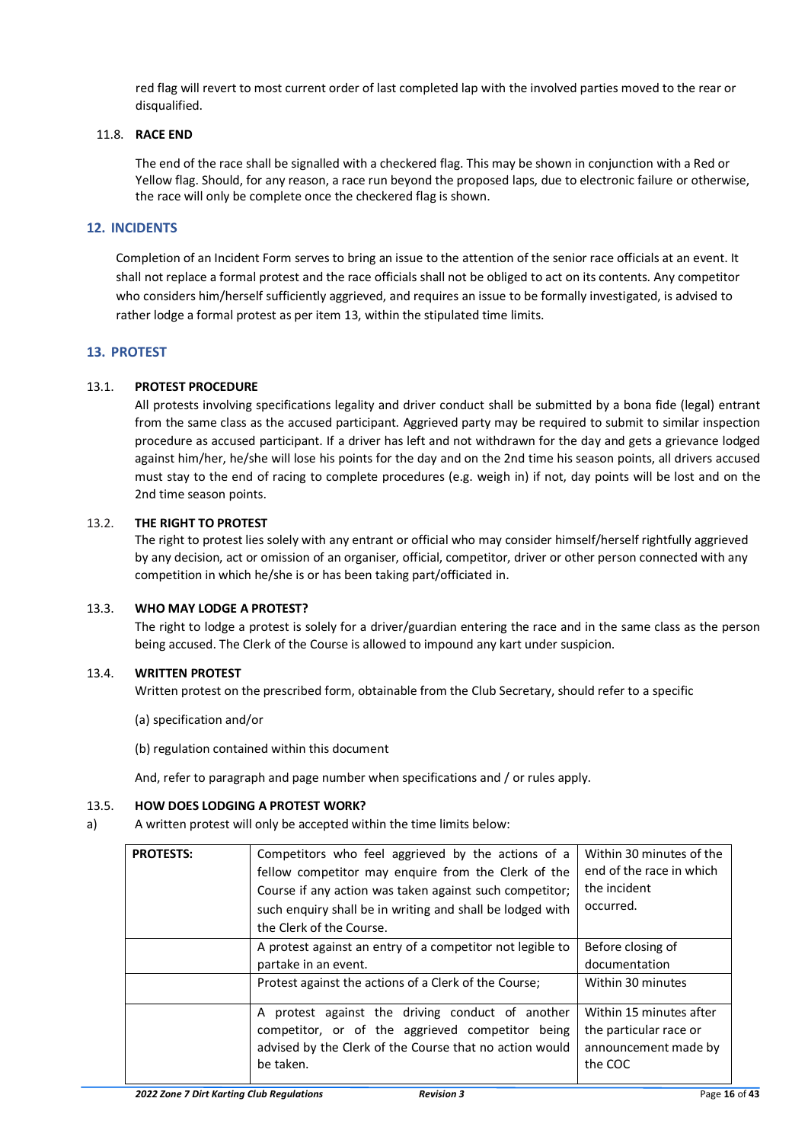red flag will revert to most current order of last completed lap with the involved parties moved to the rear or disqualified.

# <span id="page-15-0"></span>11.8. **RACE END**

The end of the race shall be signalled with a checkered flag. This may be shown in conjunction with a Red or Yellow flag. Should, for any reason, a race run beyond the proposed laps, due to electronic failure or otherwise, the race will only be complete once the checkered flag is shown.

# <span id="page-15-1"></span>**12. INCIDENTS**

Completion of an Incident Form serves to bring an issue to the attention of the senior race officials at an event. It shall not replace a formal protest and the race officials shall not be obliged to act on its contents. Any competitor who considers him/herself sufficiently aggrieved, and requires an issue to be formally investigated, is advised to rather lodge a formal protest as per item 13, within the stipulated time limits.

# <span id="page-15-2"></span>**13. PROTEST**

# <span id="page-15-3"></span>13.1. **PROTEST PROCEDURE**

All protests involving specifications legality and driver conduct shall be submitted by a bona fide (legal) entrant from the same class as the accused participant. Aggrieved party may be required to submit to similar inspection procedure as accused participant. If a driver has left and not withdrawn for the day and gets a grievance lodged against him/her, he/she will lose his points for the day and on the 2nd time his season points, all drivers accused must stay to the end of racing to complete procedures (e.g. weigh in) if not, day points will be lost and on the 2nd time season points.

# <span id="page-15-4"></span>13.2. **THE RIGHT TO PROTEST**

The right to protest lies solely with any entrant or official who may consider himself/herself rightfully aggrieved by any decision, act or omission of an organiser, official, competitor, driver or other person connected with any competition in which he/she is or has been taking part/officiated in.

# <span id="page-15-5"></span>13.3. **WHO MAY LODGE A PROTEST?**

The right to lodge a protest is solely for a driver/guardian entering the race and in the same class as the person being accused. The Clerk of the Course is allowed to impound any kart under suspicion.

# <span id="page-15-6"></span>13.4. **WRITTEN PROTEST**

Written protest on the prescribed form, obtainable from the Club Secretary, should refer to a specific

- (a) specification and/or
- (b) regulation contained within this document

And, refer to paragraph and page number when specifications and / or rules apply.

# <span id="page-15-7"></span>13.5. **HOW DOES LODGING A PROTEST WORK?**

a) A written protest will only be accepted within the time limits below:

| <b>PROTESTS:</b> | Competitors who feel aggrieved by the actions of a<br>fellow competitor may enquire from the Clerk of the<br>Course if any action was taken against such competitor;<br>such enquiry shall be in writing and shall be lodged with<br>the Clerk of the Course. | Within 30 minutes of the<br>end of the race in which<br>the incident<br>occurred.    |
|------------------|---------------------------------------------------------------------------------------------------------------------------------------------------------------------------------------------------------------------------------------------------------------|--------------------------------------------------------------------------------------|
|                  | A protest against an entry of a competitor not legible to<br>partake in an event.                                                                                                                                                                             | Before closing of<br>documentation                                                   |
|                  | Protest against the actions of a Clerk of the Course;                                                                                                                                                                                                         | Within 30 minutes                                                                    |
|                  | A protest against the driving conduct of another<br>competitor, or of the aggrieved competitor being<br>advised by the Clerk of the Course that no action would<br>be taken.                                                                                  | Within 15 minutes after<br>the particular race or<br>announcement made by<br>the COC |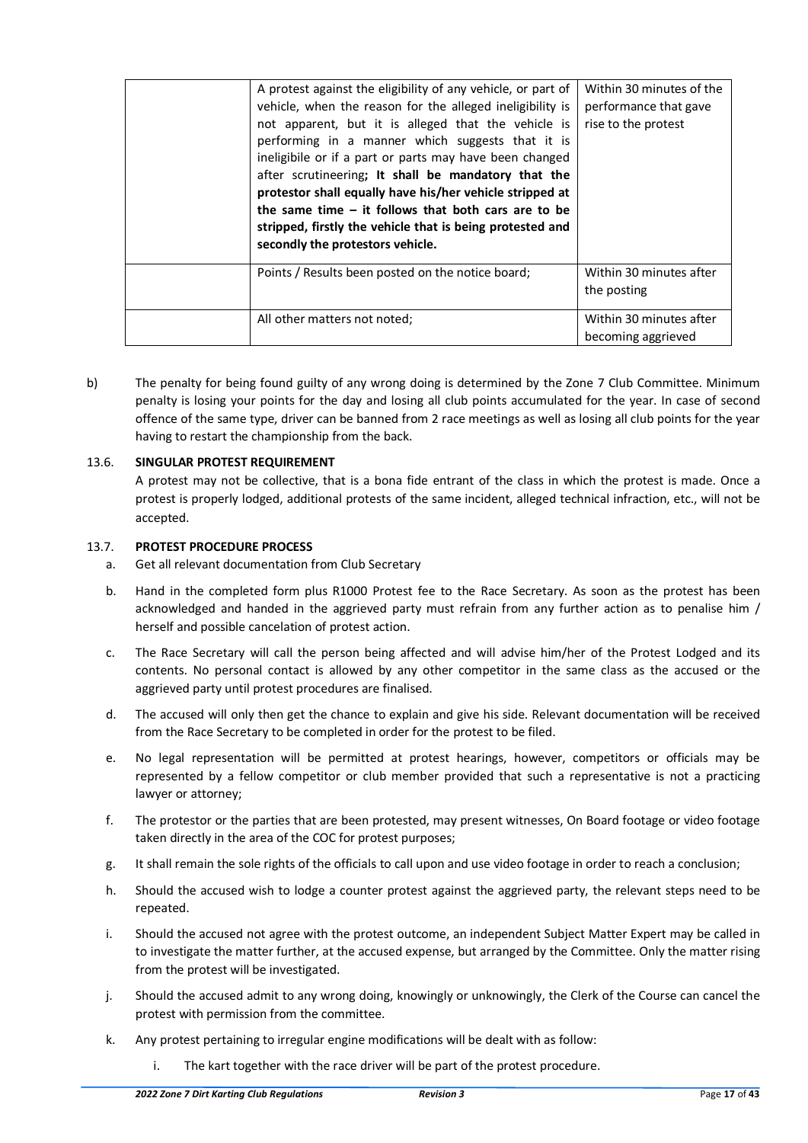| A protest against the eligibility of any vehicle, or part of<br>vehicle, when the reason for the alleged ineligibility is<br>not apparent, but it is alleged that the vehicle is<br>performing in a manner which suggests that it is<br>ineligibile or if a part or parts may have been changed<br>after scrutineering; It shall be mandatory that the<br>protestor shall equally have his/her vehicle stripped at<br>the same time $-$ it follows that both cars are to be<br>stripped, firstly the vehicle that is being protested and<br>secondly the protestors vehicle. | Within 30 minutes of the<br>performance that gave<br>rise to the protest |
|------------------------------------------------------------------------------------------------------------------------------------------------------------------------------------------------------------------------------------------------------------------------------------------------------------------------------------------------------------------------------------------------------------------------------------------------------------------------------------------------------------------------------------------------------------------------------|--------------------------------------------------------------------------|
| Points / Results been posted on the notice board;                                                                                                                                                                                                                                                                                                                                                                                                                                                                                                                            | Within 30 minutes after<br>the posting                                   |
| All other matters not noted;                                                                                                                                                                                                                                                                                                                                                                                                                                                                                                                                                 | Within 30 minutes after<br>becoming aggrieved                            |

b) The penalty for being found guilty of any wrong doing is determined by the Zone 7 Club Committee. Minimum penalty is losing your points for the day and losing all club points accumulated for the year. In case of second offence of the same type, driver can be banned from 2 race meetings as well as losing all club points for the year having to restart the championship from the back.

# <span id="page-16-0"></span>13.6. **SINGULAR PROTEST REQUIREMENT**

A protest may not be collective, that is a bona fide entrant of the class in which the protest is made. Once a protest is properly lodged, additional protests of the same incident, alleged technical infraction, etc., will not be accepted.

# <span id="page-16-1"></span>13.7. **PROTEST PROCEDURE PROCESS**

- a. Get all relevant documentation from Club Secretary
- b. Hand in the completed form plus R1000 Protest fee to the Race Secretary. As soon as the protest has been acknowledged and handed in the aggrieved party must refrain from any further action as to penalise him / herself and possible cancelation of protest action.
- c. The Race Secretary will call the person being affected and will advise him/her of the Protest Lodged and its contents. No personal contact is allowed by any other competitor in the same class as the accused or the aggrieved party until protest procedures are finalised.
- d. The accused will only then get the chance to explain and give his side. Relevant documentation will be received from the Race Secretary to be completed in order for the protest to be filed.
- e. No legal representation will be permitted at protest hearings, however, competitors or officials may be represented by a fellow competitor or club member provided that such a representative is not a practicing lawyer or attorney;
- f. The protestor or the parties that are been protested, may present witnesses, On Board footage or video footage taken directly in the area of the COC for protest purposes;
- g. It shall remain the sole rights of the officials to call upon and use video footage in order to reach a conclusion;
- h. Should the accused wish to lodge a counter protest against the aggrieved party, the relevant steps need to be repeated.
- i. Should the accused not agree with the protest outcome, an independent Subject Matter Expert may be called in to investigate the matter further, at the accused expense, but arranged by the Committee. Only the matter rising from the protest will be investigated.
- j. Should the accused admit to any wrong doing, knowingly or unknowingly, the Clerk of the Course can cancel the protest with permission from the committee.
- k. Any protest pertaining to irregular engine modifications will be dealt with as follow:
	- i. The kart together with the race driver will be part of the protest procedure.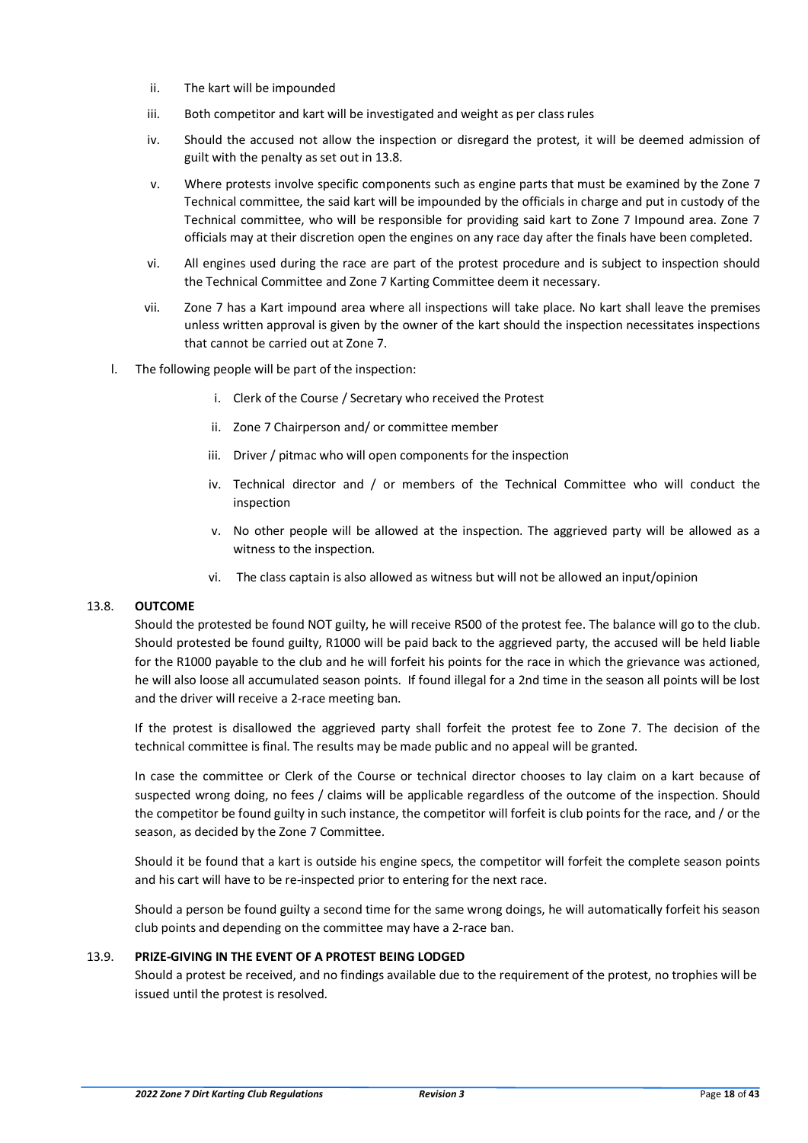- ii. The kart will be impounded
- iii. Both competitor and kart will be investigated and weight as per class rules
- iv. Should the accused not allow the inspection or disregard the protest, it will be deemed admission of guilt with the penalty as set out in 13.8.
- v. Where protests involve specific components such as engine parts that must be examined by the Zone 7 Technical committee, the said kart will be impounded by the officials in charge and put in custody of the Technical committee, who will be responsible for providing said kart to Zone 7 Impound area. Zone 7 officials may at their discretion open the engines on any race day after the finals have been completed.
- vi. All engines used during the race are part of the protest procedure and is subject to inspection should the Technical Committee and Zone 7 Karting Committee deem it necessary.
- vii. Zone 7 has a Kart impound area where all inspections will take place. No kart shall leave the premises unless written approval is given by the owner of the kart should the inspection necessitates inspections that cannot be carried out at Zone 7.
- l. The following people will be part of the inspection:
	- i. Clerk of the Course / Secretary who received the Protest
	- ii. Zone 7 Chairperson and/ or committee member
	- iii. Driver / pitmac who will open components for the inspection
	- iv. Technical director and / or members of the Technical Committee who will conduct the inspection
	- v. No other people will be allowed at the inspection. The aggrieved party will be allowed as a witness to the inspection.
	- vi. The class captain is also allowed as witness but will not be allowed an input/opinion

# <span id="page-17-0"></span>13.8. **OUTCOME**

Should the protested be found NOT guilty, he will receive R500 of the protest fee. The balance will go to the club. Should protested be found guilty, R1000 will be paid back to the aggrieved party, the accused will be held liable for the R1000 payable to the club and he will forfeit his points for the race in which the grievance was actioned, he will also loose all accumulated season points. If found illegal for a 2nd time in the season all points will be lost and the driver will receive a 2-race meeting ban.

If the protest is disallowed the aggrieved party shall forfeit the protest fee to Zone 7. The decision of the technical committee is final. The results may be made public and no appeal will be granted.

In case the committee or Clerk of the Course or technical director chooses to lay claim on a kart because of suspected wrong doing, no fees / claims will be applicable regardless of the outcome of the inspection. Should the competitor be found guilty in such instance, the competitor will forfeit is club points for the race, and / or the season, as decided by the Zone 7 Committee.

Should it be found that a kart is outside his engine specs, the competitor will forfeit the complete season points and his cart will have to be re-inspected prior to entering for the next race.

Should a person be found guilty a second time for the same wrong doings, he will automatically forfeit his season club points and depending on the committee may have a 2-race ban.

# <span id="page-17-1"></span>13.9. **PRIZE-GIVING IN THE EVENT OF A PROTEST BEING LODGED**

Should a protest be received, and no findings available due to the requirement of the protest, no trophies will be issued until the protest is resolved.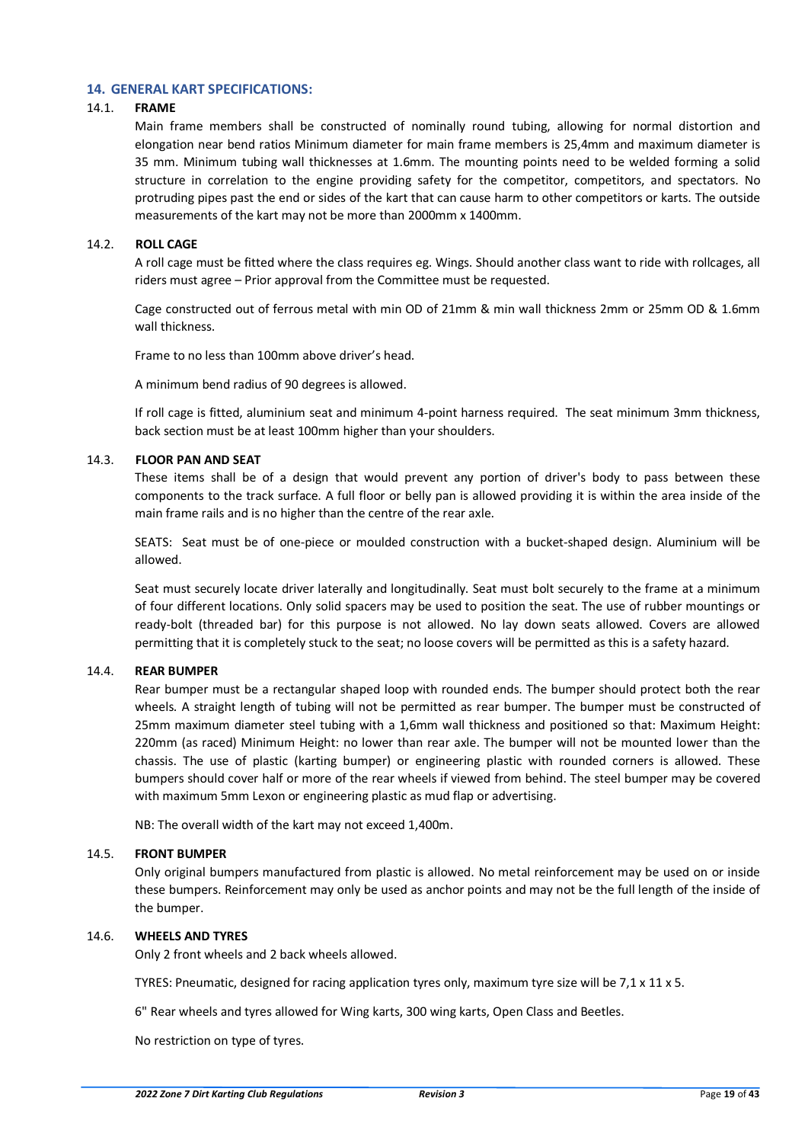# <span id="page-18-0"></span>**14. GENERAL KART SPECIFICATIONS:**

# <span id="page-18-1"></span>14.1. **FRAME**

Main frame members shall be constructed of nominally round tubing, allowing for normal distortion and elongation near bend ratios Minimum diameter for main frame members is 25,4mm and maximum diameter is 35 mm. Minimum tubing wall thicknesses at 1.6mm. The mounting points need to be welded forming a solid structure in correlation to the engine providing safety for the competitor, competitors, and spectators. No protruding pipes past the end or sides of the kart that can cause harm to other competitors or karts. The outside measurements of the kart may not be more than 2000mm x 1400mm.

# <span id="page-18-2"></span>14.2. **ROLL CAGE**

A roll cage must be fitted where the class requires eg. Wings. Should another class want to ride with rollcages, all riders must agree – Prior approval from the Committee must be requested.

Cage constructed out of ferrous metal with min OD of 21mm & min wall thickness 2mm or 25mm OD & 1.6mm wall thickness.

Frame to no less than 100mm above driver's head.

A minimum bend radius of 90 degrees is allowed.

If roll cage is fitted, aluminium seat and minimum 4-point harness required. The seat minimum 3mm thickness, back section must be at least 100mm higher than your shoulders.

#### <span id="page-18-3"></span>14.3. **FLOOR PAN AND SEAT**

These items shall be of a design that would prevent any portion of driver's body to pass between these components to the track surface. A full floor or belly pan is allowed providing it is within the area inside of the main frame rails and is no higher than the centre of the rear axle.

SEATS: Seat must be of one-piece or moulded construction with a bucket-shaped design. Aluminium will be allowed.

Seat must securely locate driver laterally and longitudinally. Seat must bolt securely to the frame at a minimum of four different locations. Only solid spacers may be used to position the seat. The use of rubber mountings or ready-bolt (threaded bar) for this purpose is not allowed. No lay down seats allowed. Covers are allowed permitting that it is completely stuck to the seat; no loose covers will be permitted as this is a safety hazard.

# <span id="page-18-4"></span>14.4. **REAR BUMPER**

Rear bumper must be a rectangular shaped loop with rounded ends. The bumper should protect both the rear wheels. A straight length of tubing will not be permitted as rear bumper. The bumper must be constructed of 25mm maximum diameter steel tubing with a 1,6mm wall thickness and positioned so that: Maximum Height: 220mm (as raced) Minimum Height: no lower than rear axle. The bumper will not be mounted lower than the chassis. The use of plastic (karting bumper) or engineering plastic with rounded corners is allowed. These bumpers should cover half or more of the rear wheels if viewed from behind. The steel bumper may be covered with maximum 5mm Lexon or engineering plastic as mud flap or advertising.

NB: The overall width of the kart may not exceed 1,400m.

# <span id="page-18-5"></span>14.5. **FRONT BUMPER**

 Only original bumpers manufactured from plastic is allowed. No metal reinforcement may be used on or inside these bumpers. Reinforcement may only be used as anchor points and may not be the full length of the inside of the bumper.

#### <span id="page-18-6"></span>14.6. **WHEELS AND TYRES**

Only 2 front wheels and 2 back wheels allowed.

TYRES: Pneumatic, designed for racing application tyres only, maximum tyre size will be 7,1 x 11 x 5.

6" Rear wheels and tyres allowed for Wing karts, 300 wing karts, Open Class and Beetles.

No restriction on type of tyres.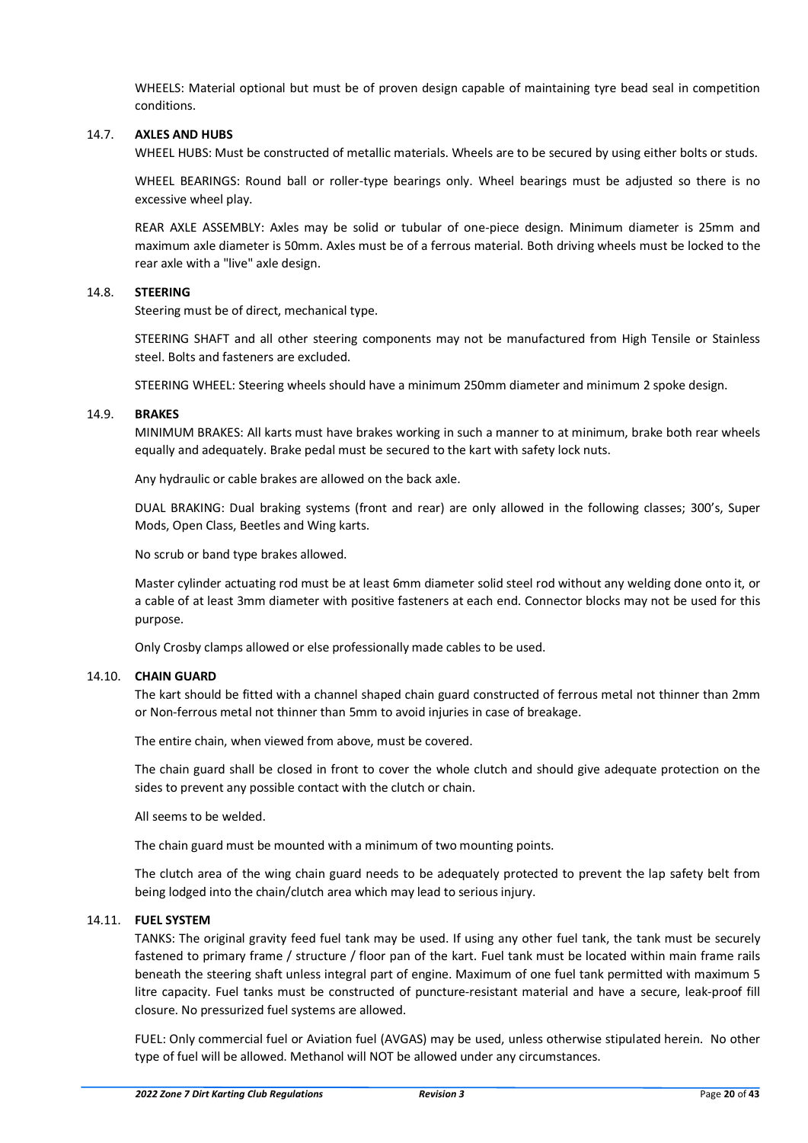WHEELS: Material optional but must be of proven design capable of maintaining tyre bead seal in competition conditions.

#### <span id="page-19-0"></span>14.7. **AXLES AND HUBS**

WHEEL HUBS: Must be constructed of metallic materials. Wheels are to be secured by using either bolts or studs.

 WHEEL BEARINGS: Round ball or roller-type bearings only. Wheel bearings must be adjusted so there is no excessive wheel play.

 REAR AXLE ASSEMBLY: Axles may be solid or tubular of one-piece design. Minimum diameter is 25mm and maximum axle diameter is 50mm. Axles must be of a ferrous material. Both driving wheels must be locked to the rear axle with a "live" axle design.

#### <span id="page-19-1"></span>14.8. **STEERING**

Steering must be of direct, mechanical type.

STEERING SHAFT and all other steering components may not be manufactured from High Tensile or Stainless steel. Bolts and fasteners are excluded.

STEERING WHEEL: Steering wheels should have a minimum 250mm diameter and minimum 2 spoke design.

#### <span id="page-19-2"></span>14.9. **BRAKES**

MINIMUM BRAKES: All karts must have brakes working in such a manner to at minimum, brake both rear wheels equally and adequately. Brake pedal must be secured to the kart with safety lock nuts.

Any hydraulic or cable brakes are allowed on the back axle.

DUAL BRAKING: Dual braking systems (front and rear) are only allowed in the following classes; 300's, Super Mods, Open Class, Beetles and Wing karts.

No scrub or band type brakes allowed.

Master cylinder actuating rod must be at least 6mm diameter solid steel rod without any welding done onto it, or a cable of at least 3mm diameter with positive fasteners at each end. Connector blocks may not be used for this purpose.

Only Crosby clamps allowed or else professionally made cables to be used.

# <span id="page-19-3"></span>14.10. **CHAIN GUARD**

The kart should be fitted with a channel shaped chain guard constructed of ferrous metal not thinner than 2mm or Non-ferrous metal not thinner than 5mm to avoid injuries in case of breakage.

The entire chain, when viewed from above, must be covered.

The chain guard shall be closed in front to cover the whole clutch and should give adequate protection on the sides to prevent any possible contact with the clutch or chain.

All seems to be welded.

The chain guard must be mounted with a minimum of two mounting points.

The clutch area of the wing chain guard needs to be adequately protected to prevent the lap safety belt from being lodged into the chain/clutch area which may lead to serious injury.

# <span id="page-19-4"></span>14.11. **FUEL SYSTEM**

TANKS: The original gravity feed fuel tank may be used. If using any other fuel tank, the tank must be securely fastened to primary frame / structure / floor pan of the kart. Fuel tank must be located within main frame rails beneath the steering shaft unless integral part of engine. Maximum of one fuel tank permitted with maximum 5 litre capacity. Fuel tanks must be constructed of puncture-resistant material and have a secure, leak-proof fill closure. No pressurized fuel systems are allowed.

FUEL: Only commercial fuel or Aviation fuel (AVGAS) may be used, unless otherwise stipulated herein. No other type of fuel will be allowed. Methanol will NOT be allowed under any circumstances.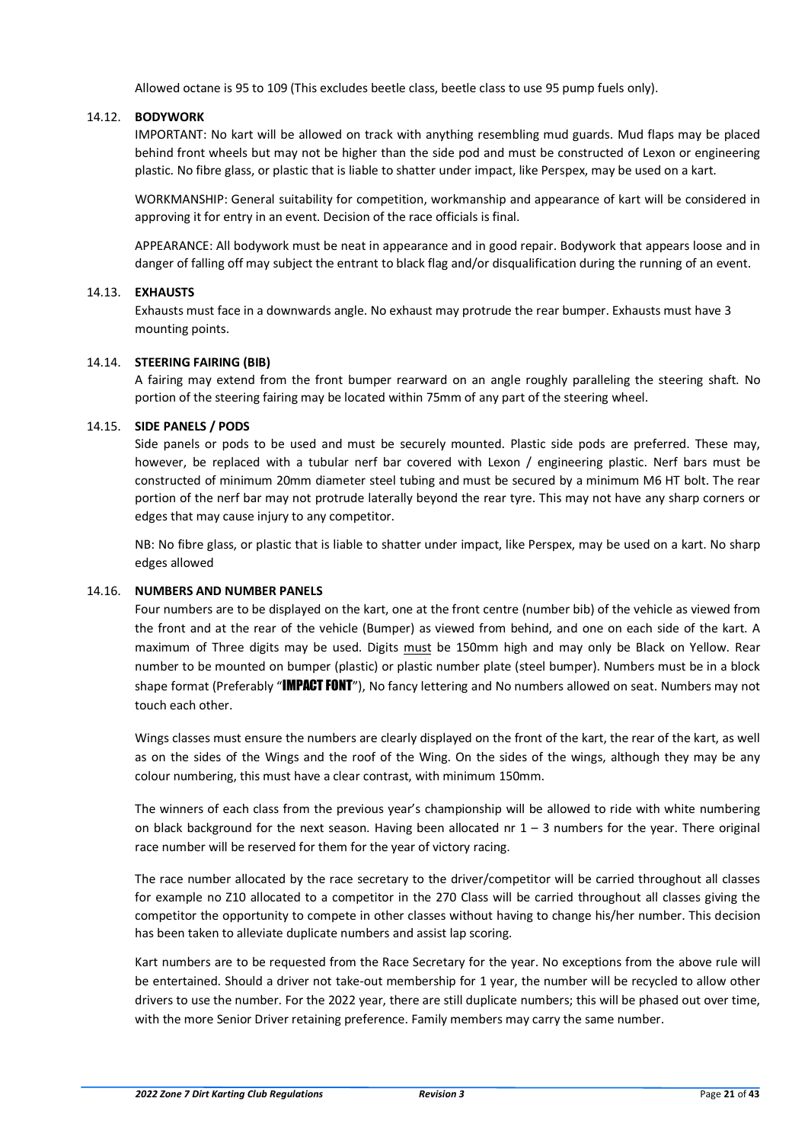Allowed octane is 95 to 109 (This excludes beetle class, beetle class to use 95 pump fuels only).

# <span id="page-20-0"></span>14.12. **BODYWORK**

IMPORTANT: No kart will be allowed on track with anything resembling mud guards. Mud flaps may be placed behind front wheels but may not be higher than the side pod and must be constructed of Lexon or engineering plastic. No fibre glass, or plastic that is liable to shatter under impact, like Perspex, may be used on a kart.

WORKMANSHIP: General suitability for competition, workmanship and appearance of kart will be considered in approving it for entry in an event. Decision of the race officials is final.

APPEARANCE: All bodywork must be neat in appearance and in good repair. Bodywork that appears loose and in danger of falling off may subject the entrant to black flag and/or disqualification during the running of an event.

#### <span id="page-20-1"></span>14.13. **EXHAUSTS**

Exhausts must face in a downwards angle. No exhaust may protrude the rear bumper. Exhausts must have 3 mounting points.

#### <span id="page-20-2"></span>14.14. **STEERING FAIRING (BIB)**

A fairing may extend from the front bumper rearward on an angle roughly paralleling the steering shaft. No portion of the steering fairing may be located within 75mm of any part of the steering wheel.

#### <span id="page-20-3"></span>14.15. **SIDE PANELS / PODS**

Side panels or pods to be used and must be securely mounted. Plastic side pods are preferred. These may, however, be replaced with a tubular nerf bar covered with Lexon / engineering plastic. Nerf bars must be constructed of minimum 20mm diameter steel tubing and must be secured by a minimum M6 HT bolt. The rear portion of the nerf bar may not protrude laterally beyond the rear tyre. This may not have any sharp corners or edges that may cause injury to any competitor.

NB: No fibre glass, or plastic that is liable to shatter under impact, like Perspex, may be used on a kart. No sharp edges allowed

# <span id="page-20-4"></span>14.16. **NUMBERS AND NUMBER PANELS**

Four numbers are to be displayed on the kart, one at the front centre (number bib) of the vehicle as viewed from the front and at the rear of the vehicle (Bumper) as viewed from behind, and one on each side of the kart. A maximum of Three digits may be used. Digits must be 150mm high and may only be Black on Yellow. Rear number to be mounted on bumper (plastic) or plastic number plate (steel bumper). Numbers must be in a block shape format (Preferably "IMPACT FONT"), No fancy lettering and No numbers allowed on seat. Numbers may not touch each other.

Wings classes must ensure the numbers are clearly displayed on the front of the kart, the rear of the kart, as well as on the sides of the Wings and the roof of the Wing. On the sides of the wings, although they may be any colour numbering, this must have a clear contrast, with minimum 150mm.

The winners of each class from the previous year's championship will be allowed to ride with white numbering on black background for the next season. Having been allocated nr  $1 - 3$  numbers for the year. There original race number will be reserved for them for the year of victory racing.

The race number allocated by the race secretary to the driver/competitor will be carried throughout all classes for example no Z10 allocated to a competitor in the 270 Class will be carried throughout all classes giving the competitor the opportunity to compete in other classes without having to change his/her number. This decision has been taken to alleviate duplicate numbers and assist lap scoring.

Kart numbers are to be requested from the Race Secretary for the year. No exceptions from the above rule will be entertained. Should a driver not take-out membership for 1 year, the number will be recycled to allow other drivers to use the number. For the 2022 year, there are still duplicate numbers; this will be phased out over time, with the more Senior Driver retaining preference. Family members may carry the same number.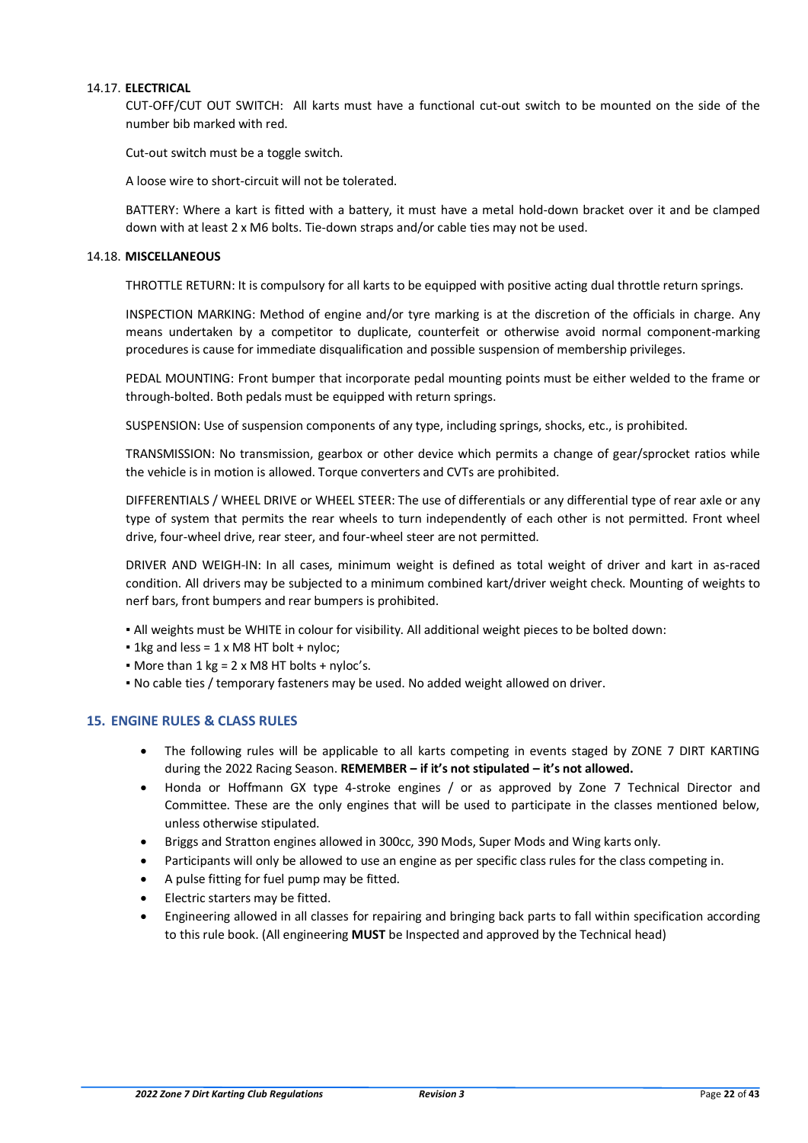# <span id="page-21-0"></span>14.17. **ELECTRICAL**

CUT-OFF/CUT OUT SWITCH: All karts must have a functional cut-out switch to be mounted on the side of the number bib marked with red.

Cut-out switch must be a toggle switch.

A loose wire to short-circuit will not be tolerated.

BATTERY: Where a kart is fitted with a battery, it must have a metal hold-down bracket over it and be clamped down with at least 2 x M6 bolts. Tie-down straps and/or cable ties may not be used.

#### 14.18. **MISCELLANEOUS**

THROTTLE RETURN: It is compulsory for all karts to be equipped with positive acting dual throttle return springs.

INSPECTION MARKING: Method of engine and/or tyre marking is at the discretion of the officials in charge. Any means undertaken by a competitor to duplicate, counterfeit or otherwise avoid normal component-marking procedures is cause for immediate disqualification and possible suspension of membership privileges.

PEDAL MOUNTING: Front bumper that incorporate pedal mounting points must be either welded to the frame or through-bolted. Both pedals must be equipped with return springs.

SUSPENSION: Use of suspension components of any type, including springs, shocks, etc., is prohibited.

TRANSMISSION: No transmission, gearbox or other device which permits a change of gear/sprocket ratios while the vehicle is in motion is allowed. Torque converters and CVTs are prohibited.

DIFFERENTIALS / WHEEL DRIVE or WHEEL STEER: The use of differentials or any differential type of rear axle or any type of system that permits the rear wheels to turn independently of each other is not permitted. Front wheel drive, four-wheel drive, rear steer, and four-wheel steer are not permitted.

DRIVER AND WEIGH-IN: In all cases, minimum weight is defined as total weight of driver and kart in as-raced condition. All drivers may be subjected to a minimum combined kart/driver weight check. Mounting of weights to nerf bars, front bumpers and rear bumpers is prohibited.

- All weights must be WHITE in colour for visibility. All additional weight pieces to be bolted down:
- $\blacksquare$  1kg and less = 1 x M8 HT bolt + nyloc:
- $\bullet$  More than 1 kg = 2 x M8 HT bolts + nyloc's.
- No cable ties / temporary fasteners may be used. No added weight allowed on driver.

# <span id="page-21-1"></span>**15. ENGINE RULES & CLASS RULES**

- The following rules will be applicable to all karts competing in events staged by ZONE 7 DIRT KARTING during the 2022 Racing Season. **REMEMBER – if it's not stipulated – it's not allowed.**
- Honda or Hoffmann GX type 4-stroke engines / or as approved by Zone 7 Technical Director and Committee. These are the only engines that will be used to participate in the classes mentioned below, unless otherwise stipulated.
- Briggs and Stratton engines allowed in 300cc, 390 Mods, Super Mods and Wing karts only.
- Participants will only be allowed to use an engine as per specific class rules for the class competing in.
- A pulse fitting for fuel pump may be fitted.
- Electric starters may be fitted.
- Engineering allowed in all classes for repairing and bringing back parts to fall within specification according to this rule book. (All engineering **MUST** be Inspected and approved by the Technical head)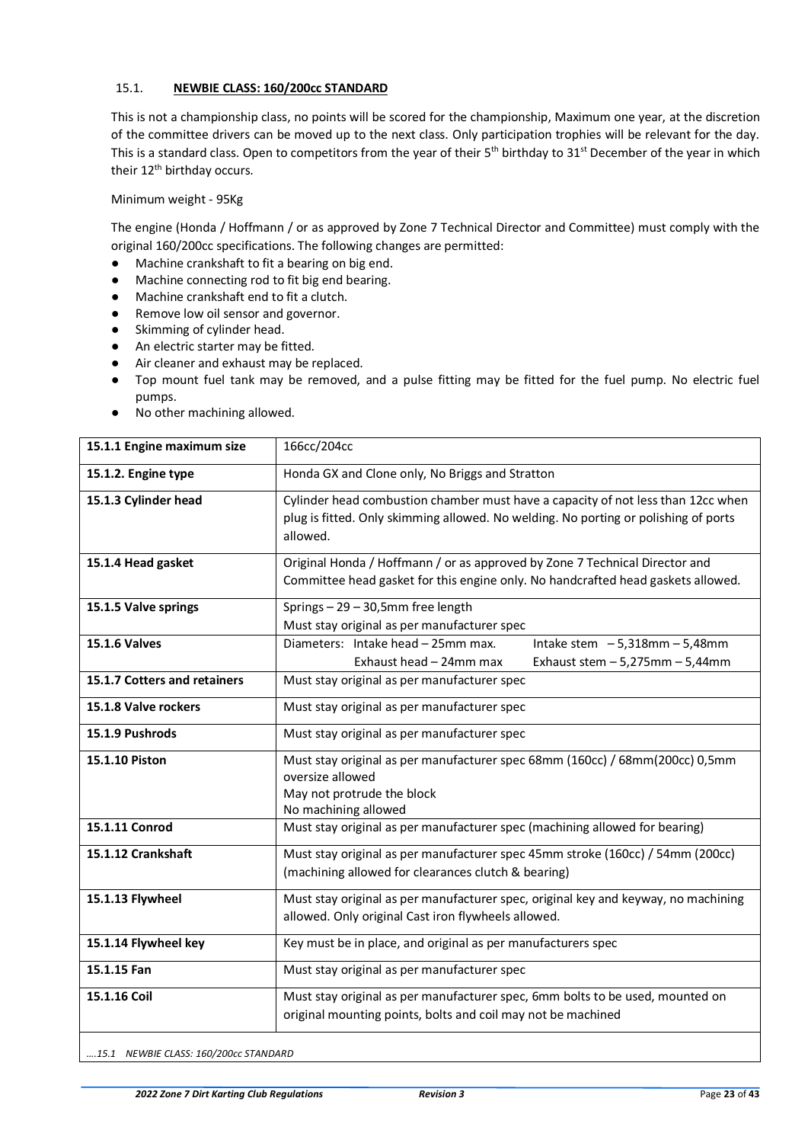# <span id="page-22-0"></span>15.1. **NEWBIE CLASS: 160/200cc STANDARD**

This is not a championship class, no points will be scored for the championship, Maximum one year, at the discretion of the committee drivers can be moved up to the next class. Only participation trophies will be relevant for the day. This is a standard class. Open to competitors from the year of their  $5<sup>th</sup>$  birthday to  $31<sup>st</sup>$  December of the year in which their 12<sup>th</sup> birthday occurs.

Minimum weight - 95Kg

The engine (Honda / Hoffmann / or as approved by Zone 7 Technical Director and Committee) must comply with the original 160/200cc specifications. The following changes are permitted:

- Machine crankshaft to fit a bearing on big end.
- Machine connecting rod to fit big end bearing.
- Machine crankshaft end to fit a clutch.
- Remove low oil sensor and governor.
- Skimming of cylinder head.
- An electric starter may be fitted.
- Air cleaner and exhaust may be replaced.
- Top mount fuel tank may be removed, and a pulse fitting may be fitted for the fuel pump. No electric fuel pumps.
- No other machining allowed.

| 15.1.1 Engine maximum size   | 166cc/204cc                                                                                                                                                                         |
|------------------------------|-------------------------------------------------------------------------------------------------------------------------------------------------------------------------------------|
| 15.1.2. Engine type          | Honda GX and Clone only, No Briggs and Stratton                                                                                                                                     |
| 15.1.3 Cylinder head         | Cylinder head combustion chamber must have a capacity of not less than 12cc when<br>plug is fitted. Only skimming allowed. No welding. No porting or polishing of ports<br>allowed. |
| 15.1.4 Head gasket           | Original Honda / Hoffmann / or as approved by Zone 7 Technical Director and<br>Committee head gasket for this engine only. No handcrafted head gaskets allowed.                     |
| 15.1.5 Valve springs         | Springs - 29 - 30,5mm free length<br>Must stay original as per manufacturer spec                                                                                                    |
| <b>15.1.6 Valves</b>         | Diameters: Intake head - 25mm max.<br>Intake stem $-5,318$ mm $-5,48$ mm<br>Exhaust head - 24mm max<br>Exhaust stem $-5,275$ mm $-5,44$ mm                                          |
| 15.1.7 Cotters and retainers | Must stay original as per manufacturer spec                                                                                                                                         |
| 15.1.8 Valve rockers         | Must stay original as per manufacturer spec                                                                                                                                         |
| 15.1.9 Pushrods              | Must stay original as per manufacturer spec                                                                                                                                         |
| 15.1.10 Piston               | Must stay original as per manufacturer spec 68mm (160cc) / 68mm(200cc) 0,5mm<br>oversize allowed<br>May not protrude the block<br>No machining allowed                              |
| 15.1.11 Conrod               | Must stay original as per manufacturer spec (machining allowed for bearing)                                                                                                         |
| 15.1.12 Crankshaft           | Must stay original as per manufacturer spec 45mm stroke (160cc) / 54mm (200cc)<br>(machining allowed for clearances clutch & bearing)                                               |
| 15.1.13 Flywheel             | Must stay original as per manufacturer spec, original key and keyway, no machining<br>allowed. Only original Cast iron flywheels allowed.                                           |
| 15.1.14 Flywheel key         | Key must be in place, and original as per manufacturers spec                                                                                                                        |
| 15.1.15 Fan                  | Must stay original as per manufacturer spec                                                                                                                                         |
| 15.1.16 Coil                 | Must stay original as per manufacturer spec, 6mm bolts to be used, mounted on<br>original mounting points, bolts and coil may not be machined                                       |

*….15.1 NEWBIE CLASS: 160/200cc STANDARD*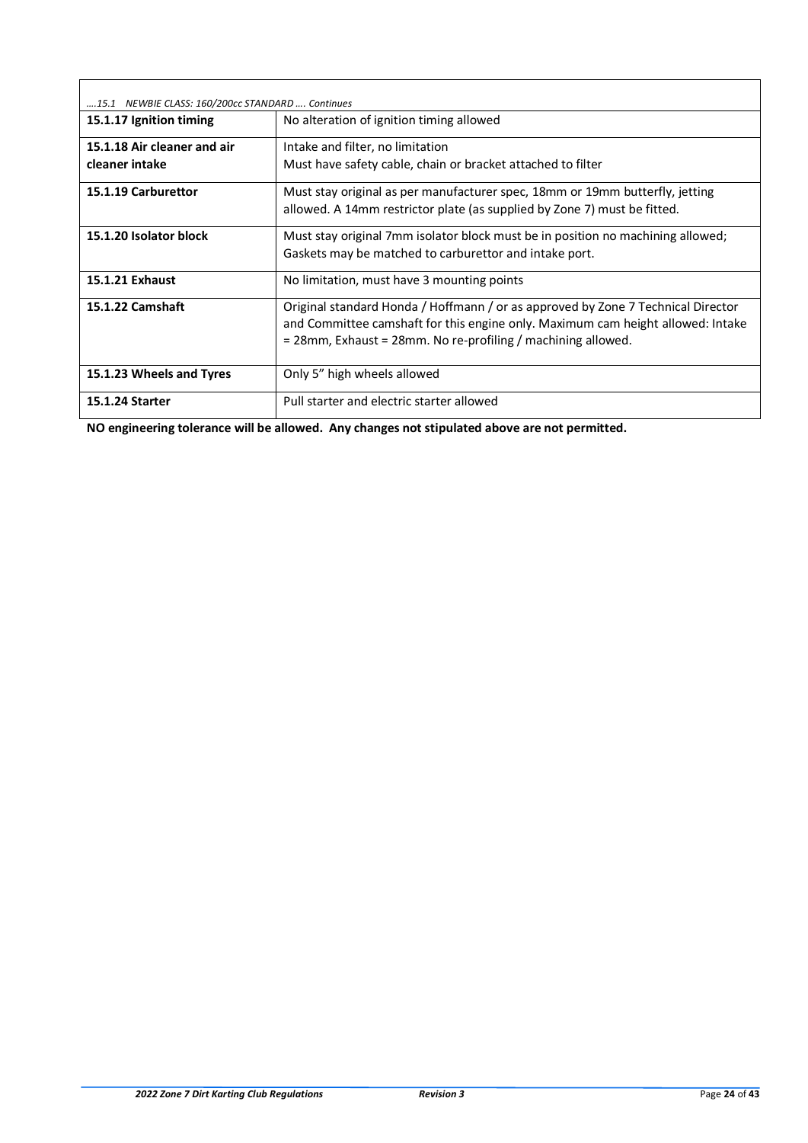| 15.1 NEWBIE CLASS: 160/200cc STANDARD  Continues |                                                                                                                                                                                                                                     |
|--------------------------------------------------|-------------------------------------------------------------------------------------------------------------------------------------------------------------------------------------------------------------------------------------|
| 15.1.17 Ignition timing                          | No alteration of ignition timing allowed                                                                                                                                                                                            |
| 15.1.18 Air cleaner and air                      | Intake and filter, no limitation                                                                                                                                                                                                    |
| cleaner intake                                   | Must have safety cable, chain or bracket attached to filter                                                                                                                                                                         |
| 15.1.19 Carburettor                              | Must stay original as per manufacturer spec, 18mm or 19mm butterfly, jetting<br>allowed. A 14mm restrictor plate (as supplied by Zone 7) must be fitted.                                                                            |
| 15.1.20 Isolator block                           | Must stay original 7mm isolator block must be in position no machining allowed;<br>Gaskets may be matched to carburettor and intake port.                                                                                           |
| 15.1.21 Exhaust                                  | No limitation, must have 3 mounting points                                                                                                                                                                                          |
| 15.1.22 Camshaft                                 | Original standard Honda / Hoffmann / or as approved by Zone 7 Technical Director<br>and Committee camshaft for this engine only. Maximum cam height allowed: Intake<br>= 28mm, Exhaust = 28mm. No re-profiling / machining allowed. |
| 15.1.23 Wheels and Tyres                         | Only 5" high wheels allowed                                                                                                                                                                                                         |
| <b>15.1.24 Starter</b>                           | Pull starter and electric starter allowed                                                                                                                                                                                           |

**NO engineering tolerance will be allowed. Any changes not stipulated above are not permitted.**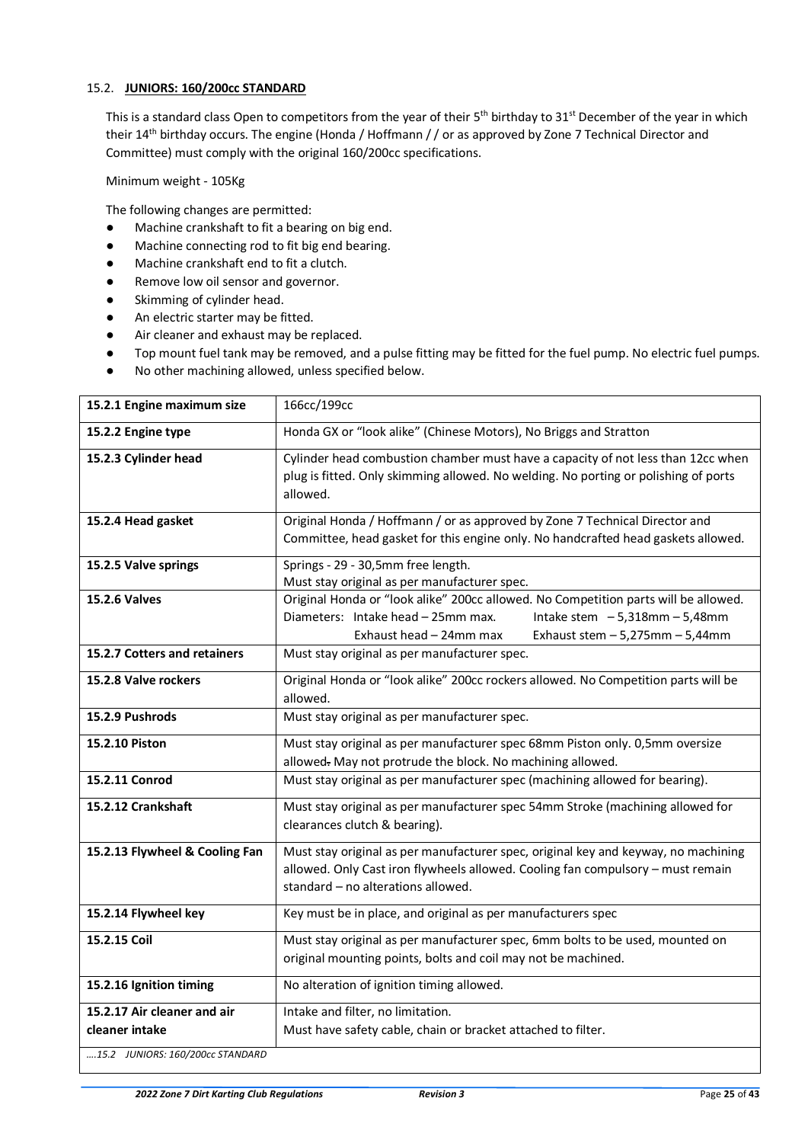# <span id="page-24-0"></span>15.2. **JUNIORS: 160/200cc STANDARD**

This is a standard class Open to competitors from the year of their 5<sup>th</sup> birthday to 31<sup>st</sup> December of the year in which their 14th birthday occurs. The engine (Honda / Hoffmann / / or as approved by Zone 7 Technical Director and Committee) must comply with the original 160/200cc specifications.

Minimum weight - 105Kg

The following changes are permitted:

- Machine crankshaft to fit a bearing on big end.
- Machine connecting rod to fit big end bearing.
- Machine crankshaft end to fit a clutch.
- Remove low oil sensor and governor.
- Skimming of cylinder head.
- An electric starter may be fitted.
- Air cleaner and exhaust may be replaced.
- Top mount fuel tank may be removed, and a pulse fitting may be fitted for the fuel pump. No electric fuel pumps.
- No other machining allowed, unless specified below.

| 15.2.1 Engine maximum size                    | 166cc/199cc                                                                                                                                                                                                                       |
|-----------------------------------------------|-----------------------------------------------------------------------------------------------------------------------------------------------------------------------------------------------------------------------------------|
| 15.2.2 Engine type                            | Honda GX or "look alike" (Chinese Motors), No Briggs and Stratton                                                                                                                                                                 |
| 15.2.3 Cylinder head                          | Cylinder head combustion chamber must have a capacity of not less than 12cc when<br>plug is fitted. Only skimming allowed. No welding. No porting or polishing of ports<br>allowed.                                               |
| 15.2.4 Head gasket                            | Original Honda / Hoffmann / or as approved by Zone 7 Technical Director and<br>Committee, head gasket for this engine only. No handcrafted head gaskets allowed.                                                                  |
| 15.2.5 Valve springs                          | Springs - 29 - 30,5mm free length.<br>Must stay original as per manufacturer spec.                                                                                                                                                |
| <b>15.2.6 Valves</b>                          | Original Honda or "look alike" 200cc allowed. No Competition parts will be allowed.<br>Diameters: Intake head - 25mm max.<br>Intake stem $-5,318$ mm $-5,48$ mm<br>Exhaust head - 24mm max<br>Exhaust stem $-5,275$ mm $-5,44$ mm |
| 15.2.7 Cotters and retainers                  | Must stay original as per manufacturer spec.                                                                                                                                                                                      |
| 15.2.8 Valve rockers                          | Original Honda or "look alike" 200cc rockers allowed. No Competition parts will be<br>allowed.                                                                                                                                    |
| 15.2.9 Pushrods                               | Must stay original as per manufacturer spec.                                                                                                                                                                                      |
| 15.2.10 Piston                                | Must stay original as per manufacturer spec 68mm Piston only. 0,5mm oversize<br>allowed. May not protrude the block. No machining allowed.                                                                                        |
| 15.2.11 Conrod                                | Must stay original as per manufacturer spec (machining allowed for bearing).                                                                                                                                                      |
| 15.2.12 Crankshaft                            | Must stay original as per manufacturer spec 54mm Stroke (machining allowed for<br>clearances clutch & bearing).                                                                                                                   |
| 15.2.13 Flywheel & Cooling Fan                | Must stay original as per manufacturer spec, original key and keyway, no machining<br>allowed. Only Cast iron flywheels allowed. Cooling fan compulsory - must remain<br>standard – no alterations allowed.                       |
| 15.2.14 Flywheel key                          | Key must be in place, and original as per manufacturers spec                                                                                                                                                                      |
| 15.2.15 Coil                                  | Must stay original as per manufacturer spec, 6mm bolts to be used, mounted on<br>original mounting points, bolts and coil may not be machined.                                                                                    |
| 15.2.16 Ignition timing                       | No alteration of ignition timing allowed.                                                                                                                                                                                         |
| 15.2.17 Air cleaner and air<br>cleaner intake | Intake and filter, no limitation.<br>Must have safety cable, chain or bracket attached to filter.                                                                                                                                 |
| 15.2 JUNIORS: 160/200cc STANDARD              |                                                                                                                                                                                                                                   |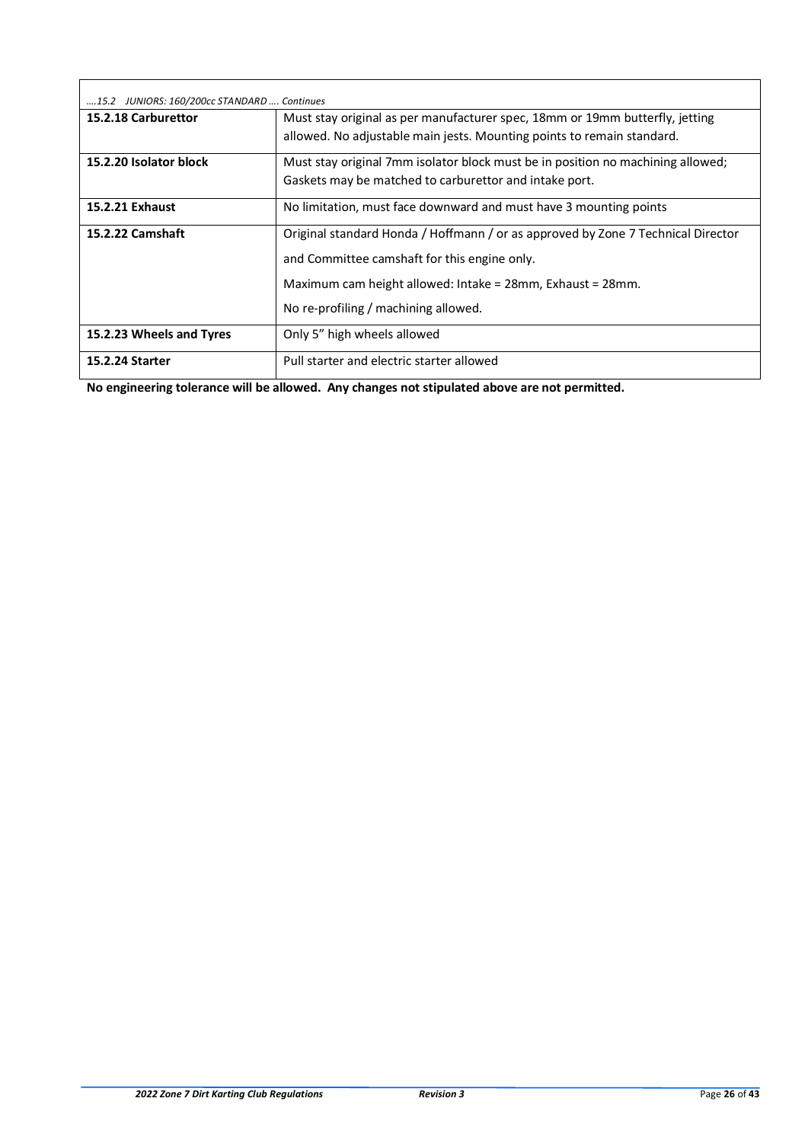| 15.2 JUNIORS: 160/200cc STANDARD  Continues |                                                                                  |
|---------------------------------------------|----------------------------------------------------------------------------------|
| 15.2.18 Carburettor                         | Must stay original as per manufacturer spec, 18mm or 19mm butterfly, jetting     |
|                                             | allowed. No adjustable main jests. Mounting points to remain standard.           |
| 15.2.20 Isolator block                      | Must stay original 7mm isolator block must be in position no machining allowed;  |
|                                             | Gaskets may be matched to carburettor and intake port.                           |
| 15.2.21 Exhaust                             | No limitation, must face downward and must have 3 mounting points                |
| 15.2.22 Camshaft                            | Original standard Honda / Hoffmann / or as approved by Zone 7 Technical Director |
|                                             | and Committee camshaft for this engine only.                                     |
|                                             | Maximum cam height allowed: Intake = 28mm, Exhaust = 28mm.                       |
|                                             | No re-profiling / machining allowed.                                             |
| 15.2.23 Wheels and Tyres                    | Only 5" high wheels allowed                                                      |
| <b>15.2.24 Starter</b>                      | Pull starter and electric starter allowed                                        |

**No engineering tolerance will be allowed. Any changes not stipulated above are not permitted.**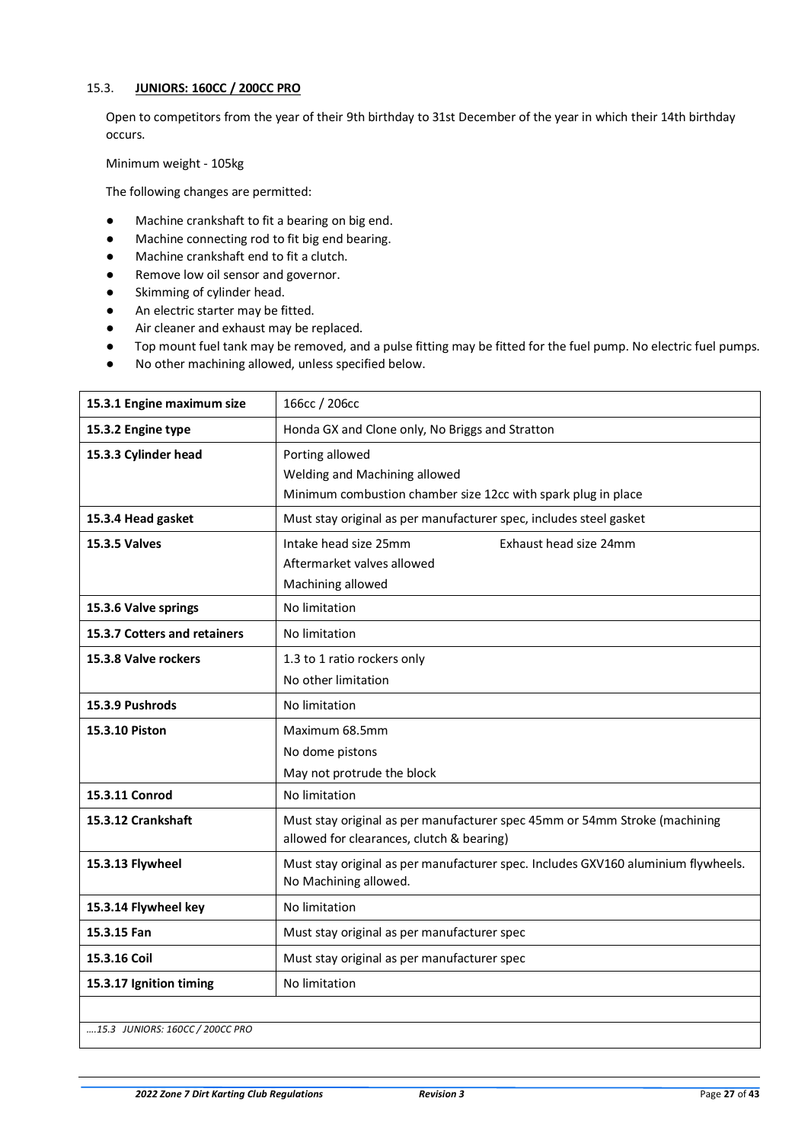# <span id="page-26-0"></span>15.3. **JUNIORS: 160CC / 200CC PRO**

Open to competitors from the year of their 9th birthday to 31st December of the year in which their 14th birthday occurs.

Minimum weight - 105kg

The following changes are permitted:

- Machine crankshaft to fit a bearing on big end.
- Machine connecting rod to fit big end bearing.
- Machine crankshaft end to fit a clutch.
- Remove low oil sensor and governor.
- Skimming of cylinder head.
- An electric starter may be fitted.
- Air cleaner and exhaust may be replaced.
- Top mount fuel tank may be removed, and a pulse fitting may be fitted for the fuel pump. No electric fuel pumps.
- No other machining allowed, unless specified below.

| 15.3.1 Engine maximum size      | 166cc / 206cc                                                                                                           |
|---------------------------------|-------------------------------------------------------------------------------------------------------------------------|
| 15.3.2 Engine type              | Honda GX and Clone only, No Briggs and Stratton                                                                         |
| 15.3.3 Cylinder head            | Porting allowed<br>Welding and Machining allowed<br>Minimum combustion chamber size 12cc with spark plug in place       |
| 15.3.4 Head gasket              | Must stay original as per manufacturer spec, includes steel gasket                                                      |
| <b>15.3.5 Valves</b>            | Intake head size 25mm<br>Exhaust head size 24mm<br>Aftermarket valves allowed<br>Machining allowed                      |
| 15.3.6 Valve springs            | No limitation                                                                                                           |
| 15.3.7 Cotters and retainers    | No limitation                                                                                                           |
| 15.3.8 Valve rockers            | 1.3 to 1 ratio rockers only<br>No other limitation                                                                      |
| 15.3.9 Pushrods                 | No limitation                                                                                                           |
| 15.3.10 Piston                  | Maximum 68.5mm<br>No dome pistons<br>May not protrude the block                                                         |
| 15.3.11 Conrod                  | No limitation                                                                                                           |
| 15.3.12 Crankshaft              | Must stay original as per manufacturer spec 45mm or 54mm Stroke (machining<br>allowed for clearances, clutch & bearing) |
| 15.3.13 Flywheel                | Must stay original as per manufacturer spec. Includes GXV160 aluminium flywheels.<br>No Machining allowed.              |
| 15.3.14 Flywheel key            | No limitation                                                                                                           |
| 15.3.15 Fan                     | Must stay original as per manufacturer spec                                                                             |
| 15.3.16 Coil                    | Must stay original as per manufacturer spec                                                                             |
| 15.3.17 Ignition timing         | No limitation                                                                                                           |
| 15.3 JUNIORS: 160CC / 200CC PRO |                                                                                                                         |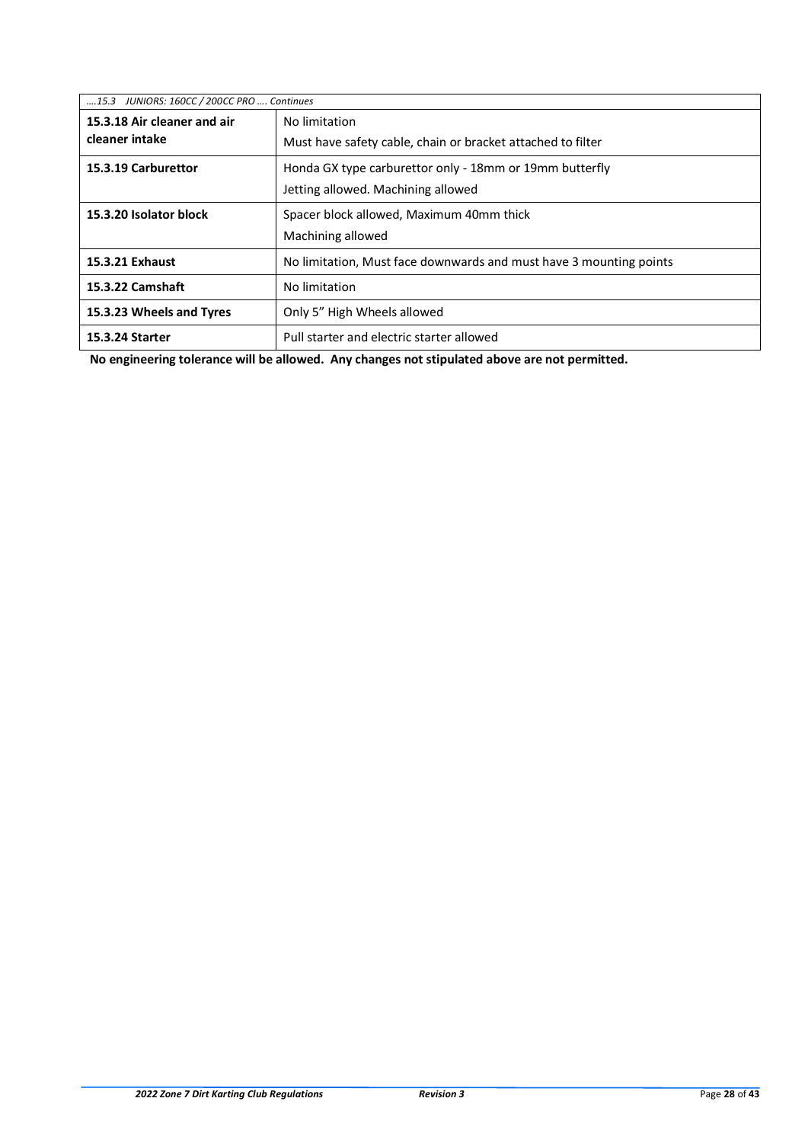| 15.3 JUNIORS: 160CC / 200CC PRO  Continues |                                                                    |
|--------------------------------------------|--------------------------------------------------------------------|
| 15.3.18 Air cleaner and air                | No limitation                                                      |
| cleaner intake                             | Must have safety cable, chain or bracket attached to filter        |
| 15.3.19 Carburettor                        | Honda GX type carburettor only - 18mm or 19mm butterfly            |
|                                            | Jetting allowed. Machining allowed                                 |
| 15.3.20 Isolator block                     | Spacer block allowed, Maximum 40mm thick                           |
|                                            | Machining allowed                                                  |
| 15.3.21 Exhaust                            | No limitation, Must face downwards and must have 3 mounting points |
| 15.3.22 Camshaft                           | No limitation                                                      |
| 15.3.23 Wheels and Tyres                   | Only 5" High Wheels allowed                                        |
| <b>15.3.24 Starter</b>                     | Pull starter and electric starter allowed                          |

 **No engineering tolerance will be allowed. Any changes not stipulated above are not permitted.**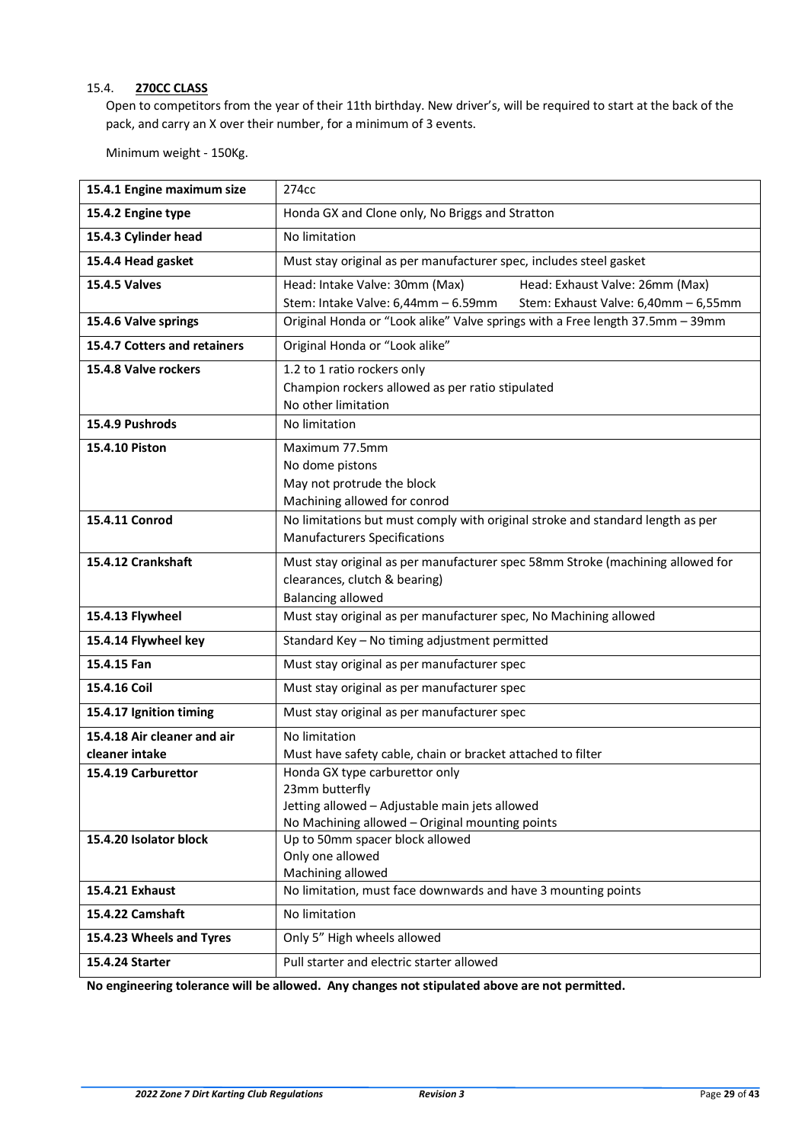# <span id="page-28-0"></span>15.4. **270CC CLASS**

Open to competitors from the year of their 11th birthday. New driver's, will be required to start at the back of the pack, and carry an X over their number, for a minimum of 3 events.

Minimum weight - 150Kg.

| 15.4.1 Engine maximum size   | 274cc                                                                                                                                                 |
|------------------------------|-------------------------------------------------------------------------------------------------------------------------------------------------------|
| 15.4.2 Engine type           | Honda GX and Clone only, No Briggs and Stratton                                                                                                       |
| 15.4.3 Cylinder head         | No limitation                                                                                                                                         |
| 15.4.4 Head gasket           | Must stay original as per manufacturer spec, includes steel gasket                                                                                    |
| <b>15.4.5 Valves</b>         | Head: Intake Valve: 30mm (Max)<br>Head: Exhaust Valve: 26mm (Max)<br>Stem: Intake Valve: 6,44mm - 6.59mm<br>Stem: Exhaust Valve: 6,40mm - 6,55mm      |
| 15.4.6 Valve springs         | Original Honda or "Look alike" Valve springs with a Free length 37.5mm - 39mm                                                                         |
| 15.4.7 Cotters and retainers | Original Honda or "Look alike"                                                                                                                        |
| 15.4.8 Valve rockers         | 1.2 to 1 ratio rockers only<br>Champion rockers allowed as per ratio stipulated<br>No other limitation                                                |
| 15.4.9 Pushrods              | No limitation                                                                                                                                         |
| 15.4.10 Piston               | Maximum 77.5mm<br>No dome pistons<br>May not protrude the block<br>Machining allowed for conrod                                                       |
| 15.4.11 Conrod               | No limitations but must comply with original stroke and standard length as per<br><b>Manufacturers Specifications</b>                                 |
| 15.4.12 Crankshaft           | Must stay original as per manufacturer spec 58mm Stroke (machining allowed for<br>clearances, clutch & bearing)<br><b>Balancing allowed</b>           |
| 15.4.13 Flywheel             | Must stay original as per manufacturer spec, No Machining allowed                                                                                     |
| 15.4.14 Flywheel key         | Standard Key - No timing adjustment permitted                                                                                                         |
| 15.4.15 Fan                  | Must stay original as per manufacturer spec                                                                                                           |
| 15.4.16 Coil                 | Must stay original as per manufacturer spec                                                                                                           |
| 15.4.17 Ignition timing      | Must stay original as per manufacturer spec                                                                                                           |
| 15.4.18 Air cleaner and air  | No limitation                                                                                                                                         |
| cleaner intake               | Must have safety cable, chain or bracket attached to filter                                                                                           |
| 15.4.19 Carburettor          | Honda GX type carburettor only<br>23mm butterfly<br>Jetting allowed - Adjustable main jets allowed<br>No Machining allowed - Original mounting points |
| 15.4.20 Isolator block       | Up to 50mm spacer block allowed<br>Only one allowed<br>Machining allowed                                                                              |
| 15.4.21 Exhaust              | No limitation, must face downwards and have 3 mounting points                                                                                         |
| 15.4.22 Camshaft             | No limitation                                                                                                                                         |
| 15.4.23 Wheels and Tyres     | Only 5" High wheels allowed                                                                                                                           |
| 15.4.24 Starter              | Pull starter and electric starter allowed                                                                                                             |

**No engineering tolerance will be allowed. Any changes not stipulated above are not permitted.**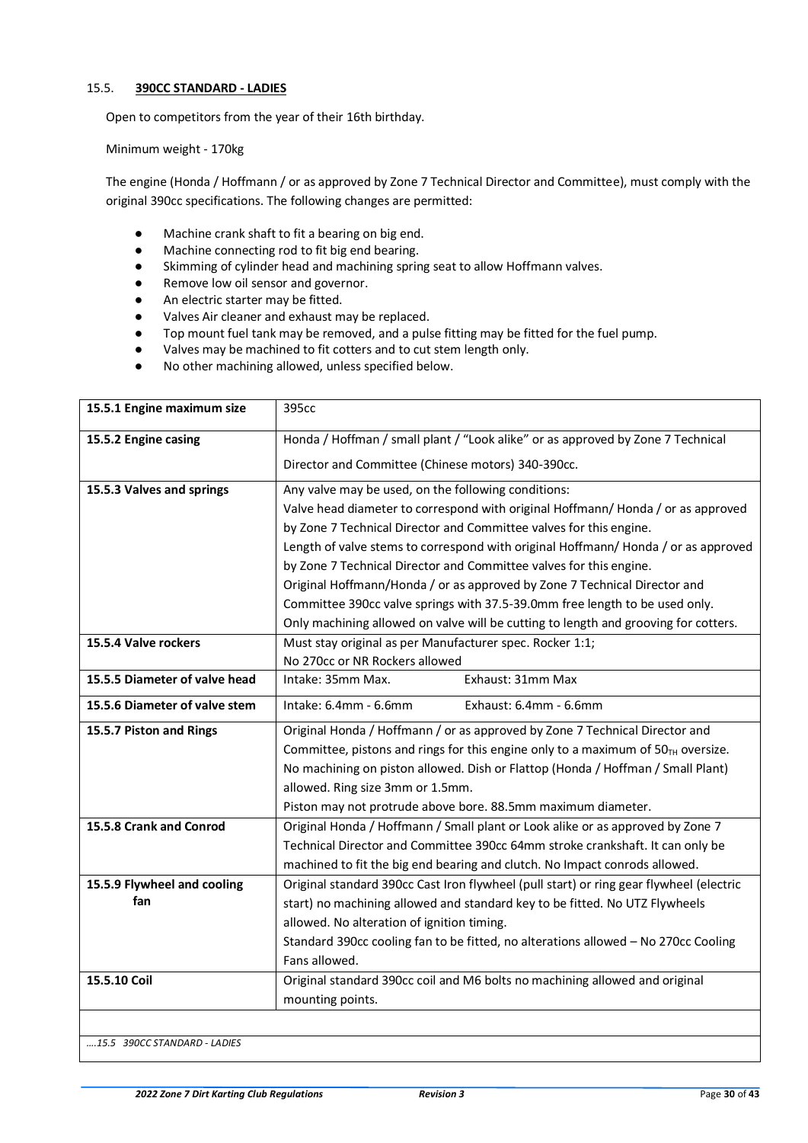# <span id="page-29-0"></span>15.5. **390CC STANDARD - LADIES**

Open to competitors from the year of their 16th birthday.

Minimum weight - 170kg

The engine (Honda / Hoffmann / or as approved by Zone 7 Technical Director and Committee), must comply with the original 390cc specifications. The following changes are permitted:

- Machine crank shaft to fit a bearing on big end.
- Machine connecting rod to fit big end bearing.
- Skimming of cylinder head and machining spring seat to allow Hoffmann valves.
- Remove low oil sensor and governor.
- An electric starter may be fitted.
- Valves Air cleaner and exhaust may be replaced.
- Top mount fuel tank may be removed, and a pulse fitting may be fitted for the fuel pump.
- Valves may be machined to fit cotters and to cut stem length only.
- No other machining allowed, unless specified below.

| 15.5.1 Engine maximum size    | 395cc                                                                                   |
|-------------------------------|-----------------------------------------------------------------------------------------|
| 15.5.2 Engine casing          | Honda / Hoffman / small plant / "Look alike" or as approved by Zone 7 Technical         |
|                               | Director and Committee (Chinese motors) 340-390cc.                                      |
| 15.5.3 Valves and springs     | Any valve may be used, on the following conditions:                                     |
|                               | Valve head diameter to correspond with original Hoffmann/Honda / or as approved         |
|                               | by Zone 7 Technical Director and Committee valves for this engine.                      |
|                               | Length of valve stems to correspond with original Hoffmann/Honda / or as approved       |
|                               | by Zone 7 Technical Director and Committee valves for this engine.                      |
|                               | Original Hoffmann/Honda / or as approved by Zone 7 Technical Director and               |
|                               | Committee 390cc valve springs with 37.5-39.0mm free length to be used only.             |
|                               | Only machining allowed on valve will be cutting to length and grooving for cotters.     |
| 15.5.4 Valve rockers          | Must stay original as per Manufacturer spec. Rocker 1:1;                                |
|                               | No 270cc or NR Rockers allowed                                                          |
| 15.5.5 Diameter of valve head | Intake: 35mm Max.<br>Exhaust: 31mm Max                                                  |
| 15.5.6 Diameter of valve stem | Intake: 6.4mm - 6.6mm<br>Exhaust: 6.4mm - 6.6mm                                         |
| 15.5.7 Piston and Rings       | Original Honda / Hoffmann / or as approved by Zone 7 Technical Director and             |
|                               | Committee, pistons and rings for this engine only to a maximum of $50TH$ oversize.      |
|                               | No machining on piston allowed. Dish or Flattop (Honda / Hoffman / Small Plant)         |
|                               | allowed. Ring size 3mm or 1.5mm.                                                        |
|                               | Piston may not protrude above bore. 88.5mm maximum diameter.                            |
| 15.5.8 Crank and Conrod       | Original Honda / Hoffmann / Small plant or Look alike or as approved by Zone 7          |
|                               | Technical Director and Committee 390cc 64mm stroke crankshaft. It can only be           |
|                               | machined to fit the big end bearing and clutch. No Impact conrods allowed.              |
| 15.5.9 Flywheel and cooling   | Original standard 390cc Cast Iron flywheel (pull start) or ring gear flywheel (electric |
| fan                           | start) no machining allowed and standard key to be fitted. No UTZ Flywheels             |
|                               | allowed. No alteration of ignition timing.                                              |
|                               | Standard 390cc cooling fan to be fitted, no alterations allowed - No 270cc Cooling      |
|                               | Fans allowed.                                                                           |
| 15.5.10 Coil                  | Original standard 390cc coil and M6 bolts no machining allowed and original             |
|                               | mounting points.                                                                        |
|                               |                                                                                         |
|                               |                                                                                         |

*….15.5 390CC STANDARD - LADIES*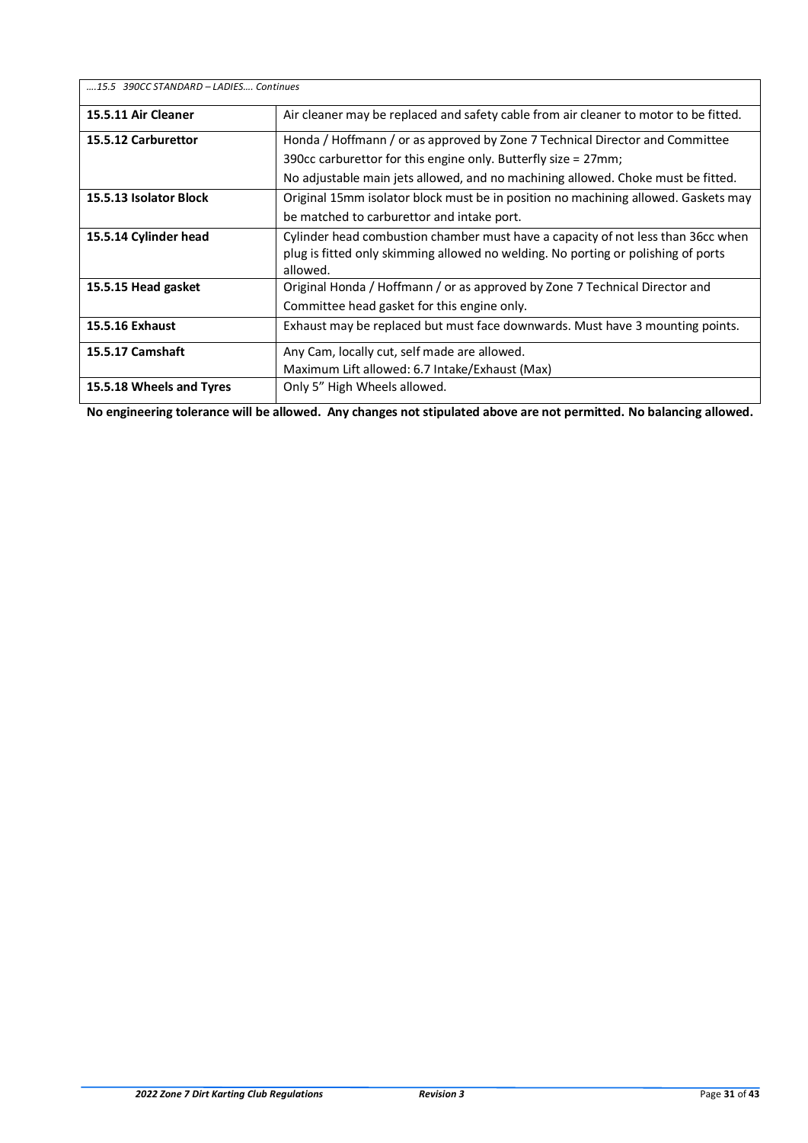| 15.5 390CC STANDARD - LADIES Continues |                                                                                      |
|----------------------------------------|--------------------------------------------------------------------------------------|
| 15.5.11 Air Cleaner                    | Air cleaner may be replaced and safety cable from air cleaner to motor to be fitted. |
| 15.5.12 Carburettor                    | Honda / Hoffmann / or as approved by Zone 7 Technical Director and Committee         |
|                                        | 390cc carburettor for this engine only. Butterfly size = 27mm;                       |
|                                        | No adjustable main jets allowed, and no machining allowed. Choke must be fitted.     |
| 15.5.13 Isolator Block                 | Original 15mm isolator block must be in position no machining allowed. Gaskets may   |
|                                        | be matched to carburettor and intake port.                                           |
| 15.5.14 Cylinder head                  | Cylinder head combustion chamber must have a capacity of not less than 36cc when     |
|                                        | plug is fitted only skimming allowed no welding. No porting or polishing of ports    |
|                                        | allowed.                                                                             |
| 15.5.15 Head gasket                    | Original Honda / Hoffmann / or as approved by Zone 7 Technical Director and          |
|                                        | Committee head gasket for this engine only.                                          |
| 15.5.16 Exhaust                        | Exhaust may be replaced but must face downwards. Must have 3 mounting points.        |
| <b>15.5.17 Camshaft</b>                | Any Cam, locally cut, self made are allowed.                                         |
|                                        | Maximum Lift allowed: 6.7 Intake/Exhaust (Max)                                       |
| 15.5.18 Wheels and Tyres               | Only 5" High Wheels allowed.                                                         |

**No engineering tolerance will be allowed. Any changes not stipulated above are not permitted. No balancing allowed.**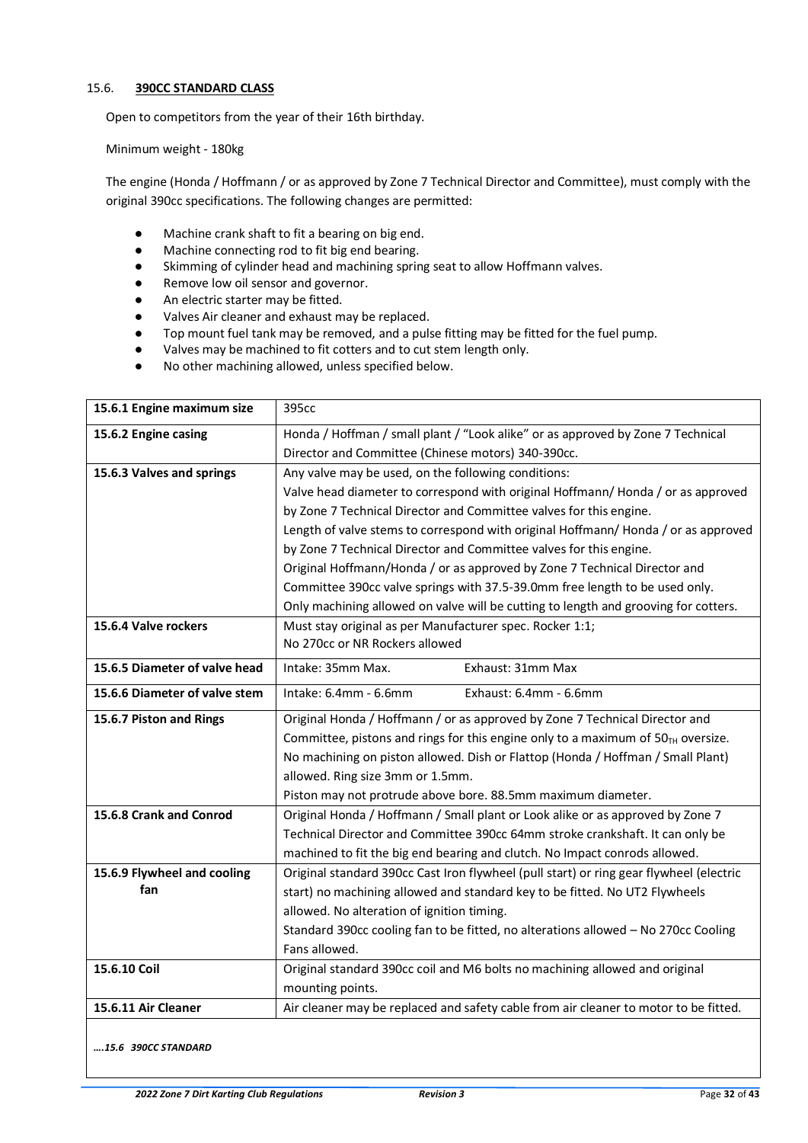# <span id="page-31-0"></span>15.6. **390CC STANDARD CLASS**

Open to competitors from the year of their 16th birthday.

Minimum weight - 180kg

The engine (Honda / Hoffmann / or as approved by Zone 7 Technical Director and Committee), must comply with the original 390cc specifications. The following changes are permitted:

- Machine crank shaft to fit a bearing on big end.
- Machine connecting rod to fit big end bearing.
- Skimming of cylinder head and machining spring seat to allow Hoffmann valves.
- Remove low oil sensor and governor.
- An electric starter may be fitted.
- Valves Air cleaner and exhaust may be replaced.
- Top mount fuel tank may be removed, and a pulse fitting may be fitted for the fuel pump.
- Valves may be machined to fit cotters and to cut stem length only.
- No other machining allowed, unless specified below.

| 15.6.1 Engine maximum size    | 395cc                                                                                   |
|-------------------------------|-----------------------------------------------------------------------------------------|
| 15.6.2 Engine casing          | Honda / Hoffman / small plant / "Look alike" or as approved by Zone 7 Technical         |
|                               | Director and Committee (Chinese motors) 340-390cc.                                      |
| 15.6.3 Valves and springs     | Any valve may be used, on the following conditions:                                     |
|                               | Valve head diameter to correspond with original Hoffmann/Honda / or as approved         |
|                               | by Zone 7 Technical Director and Committee valves for this engine.                      |
|                               | Length of valve stems to correspond with original Hoffmann/Honda / or as approved       |
|                               | by Zone 7 Technical Director and Committee valves for this engine.                      |
|                               | Original Hoffmann/Honda / or as approved by Zone 7 Technical Director and               |
|                               | Committee 390cc valve springs with 37.5-39.0mm free length to be used only.             |
|                               | Only machining allowed on valve will be cutting to length and grooving for cotters.     |
| 15.6.4 Valve rockers          | Must stay original as per Manufacturer spec. Rocker 1:1;                                |
|                               | No 270cc or NR Rockers allowed                                                          |
| 15.6.5 Diameter of valve head | Intake: 35mm Max.<br>Exhaust: 31mm Max                                                  |
| 15.6.6 Diameter of valve stem | Intake: 6.4mm - 6.6mm<br>Exhaust: 6.4mm - 6.6mm                                         |
| 15.6.7 Piston and Rings       | Original Honda / Hoffmann / or as approved by Zone 7 Technical Director and             |
|                               | Committee, pistons and rings for this engine only to a maximum of $50TH$ oversize.      |
|                               | No machining on piston allowed. Dish or Flattop (Honda / Hoffman / Small Plant)         |
|                               | allowed. Ring size 3mm or 1.5mm.                                                        |
|                               | Piston may not protrude above bore. 88.5mm maximum diameter.                            |
| 15.6.8 Crank and Conrod       | Original Honda / Hoffmann / Small plant or Look alike or as approved by Zone 7          |
|                               | Technical Director and Committee 390cc 64mm stroke crankshaft. It can only be           |
|                               | machined to fit the big end bearing and clutch. No Impact conrods allowed.              |
| 15.6.9 Flywheel and cooling   | Original standard 390cc Cast Iron flywheel (pull start) or ring gear flywheel (electric |
| fan                           | start) no machining allowed and standard key to be fitted. No UT2 Flywheels             |
|                               | allowed. No alteration of ignition timing.                                              |
|                               | Standard 390cc cooling fan to be fitted, no alterations allowed - No 270cc Cooling      |
|                               | Fans allowed.                                                                           |
| 15.6.10 Coil                  | Original standard 390cc coil and M6 bolts no machining allowed and original             |
|                               | mounting points.                                                                        |
| 15.6.11 Air Cleaner           | Air cleaner may be replaced and safety cable from air cleaner to motor to be fitted.    |
|                               |                                                                                         |

*….15.6 390CC STANDARD*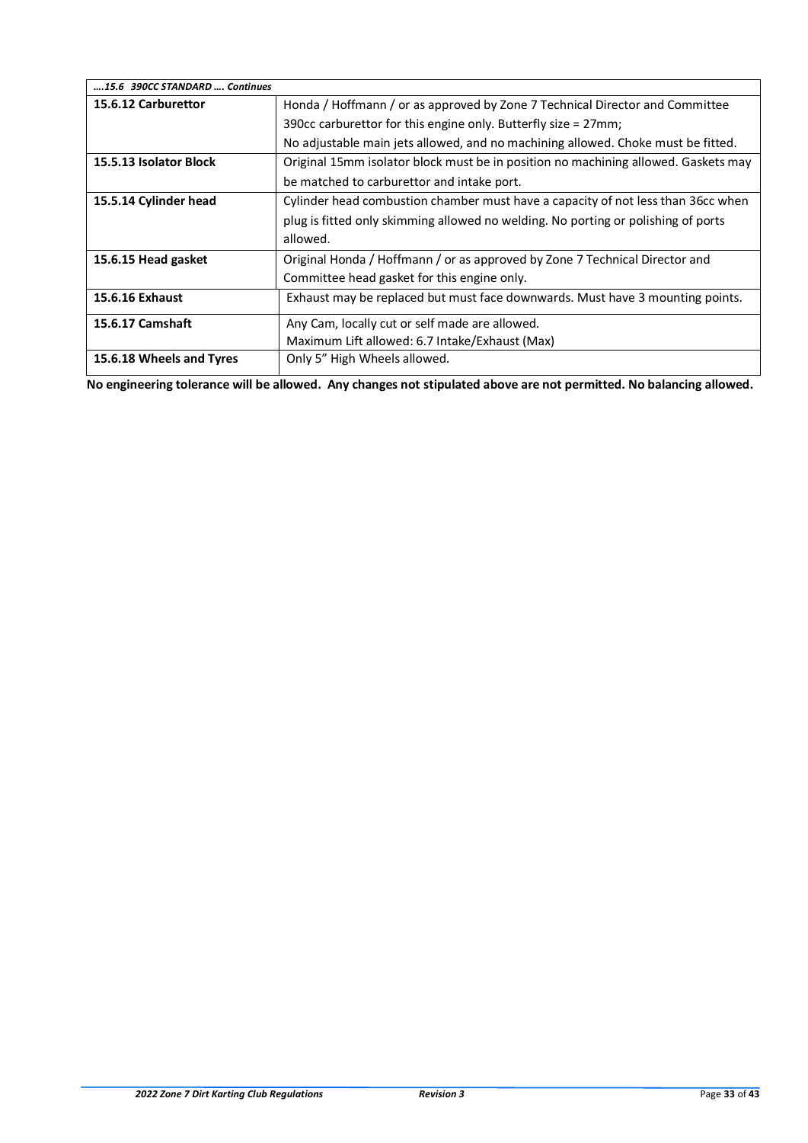| 15.6 390CC STANDARD  Continues |                                                                                    |
|--------------------------------|------------------------------------------------------------------------------------|
| 15.6.12 Carburettor            | Honda / Hoffmann / or as approved by Zone 7 Technical Director and Committee       |
|                                | 390cc carburettor for this engine only. Butterfly size = 27mm;                     |
|                                | No adjustable main jets allowed, and no machining allowed. Choke must be fitted.   |
| 15.5.13 Isolator Block         | Original 15mm isolator block must be in position no machining allowed. Gaskets may |
|                                | be matched to carburettor and intake port.                                         |
| 15.5.14 Cylinder head          | Cylinder head combustion chamber must have a capacity of not less than 36cc when   |
|                                | plug is fitted only skimming allowed no welding. No porting or polishing of ports  |
|                                | allowed.                                                                           |
| 15.6.15 Head gasket            | Original Honda / Hoffmann / or as approved by Zone 7 Technical Director and        |
|                                | Committee head gasket for this engine only.                                        |
| <b>15.6.16 Exhaust</b>         | Exhaust may be replaced but must face downwards. Must have 3 mounting points.      |
| <b>15.6.17 Camshaft</b>        | Any Cam, locally cut or self made are allowed.                                     |
|                                | Maximum Lift allowed: 6.7 Intake/Exhaust (Max)                                     |
| 15.6.18 Wheels and Tyres       | Only 5" High Wheels allowed.                                                       |

**No engineering tolerance will be allowed. Any changes not stipulated above are not permitted. No balancing allowed.**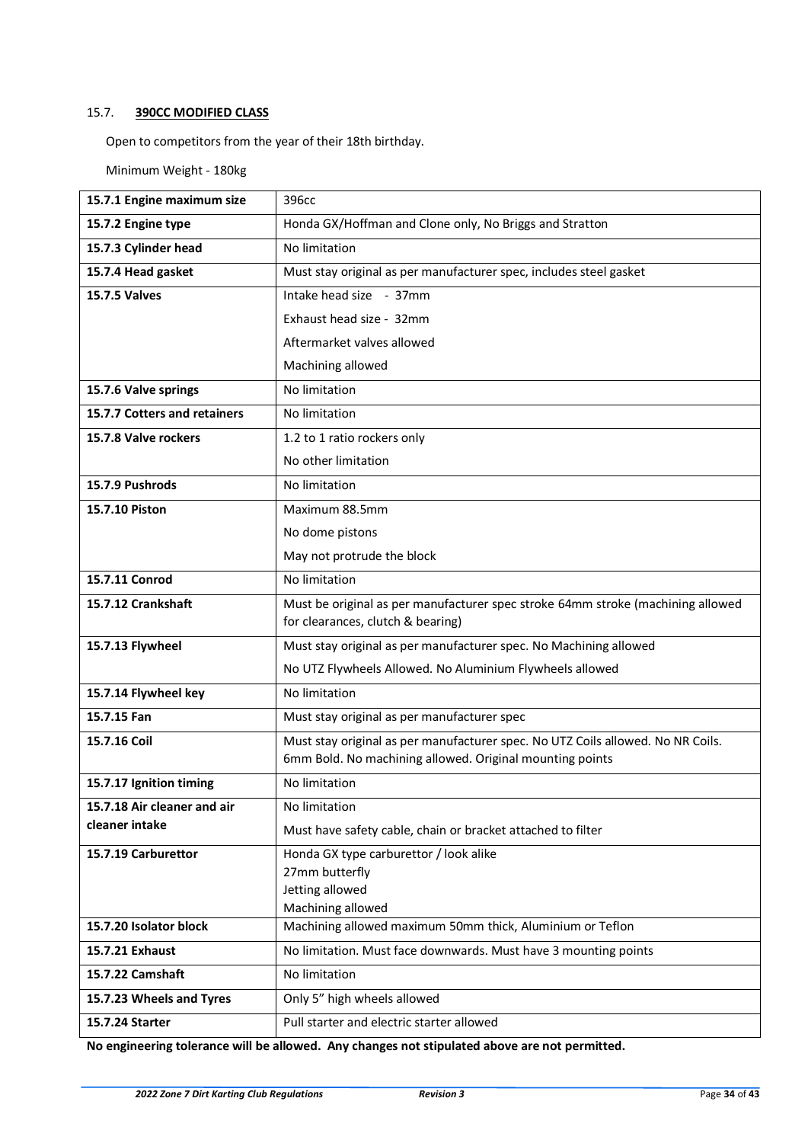# <span id="page-33-0"></span>15.7. **390CC MODIFIED CLASS**

Open to competitors from the year of their 18th birthday.

Minimum Weight - 180kg

| 15.7.1 Engine maximum size   | 396cc                                                                                                                                       |
|------------------------------|---------------------------------------------------------------------------------------------------------------------------------------------|
| 15.7.2 Engine type           | Honda GX/Hoffman and Clone only, No Briggs and Stratton                                                                                     |
| 15.7.3 Cylinder head         | No limitation                                                                                                                               |
| 15.7.4 Head gasket           | Must stay original as per manufacturer spec, includes steel gasket                                                                          |
| <b>15.7.5 Valves</b>         | Intake head size - 37mm                                                                                                                     |
|                              | Exhaust head size - 32mm                                                                                                                    |
|                              | Aftermarket valves allowed                                                                                                                  |
|                              | Machining allowed                                                                                                                           |
| 15.7.6 Valve springs         | No limitation                                                                                                                               |
| 15.7.7 Cotters and retainers | No limitation                                                                                                                               |
| 15.7.8 Valve rockers         | 1.2 to 1 ratio rockers only                                                                                                                 |
|                              | No other limitation                                                                                                                         |
| 15.7.9 Pushrods              | No limitation                                                                                                                               |
| 15.7.10 Piston               | Maximum 88.5mm                                                                                                                              |
|                              | No dome pistons                                                                                                                             |
|                              | May not protrude the block                                                                                                                  |
| 15.7.11 Conrod               | No limitation                                                                                                                               |
| 15.7.12 Crankshaft           | Must be original as per manufacturer spec stroke 64mm stroke (machining allowed                                                             |
|                              | for clearances, clutch & bearing)                                                                                                           |
| 15.7.13 Flywheel             | Must stay original as per manufacturer spec. No Machining allowed                                                                           |
|                              | No UTZ Flywheels Allowed. No Aluminium Flywheels allowed                                                                                    |
| 15.7.14 Flywheel key         | No limitation                                                                                                                               |
| 15.7.15 Fan                  | Must stay original as per manufacturer spec                                                                                                 |
| 15.7.16 Coil                 | Must stay original as per manufacturer spec. No UTZ Coils allowed. No NR Coils.<br>6mm Bold. No machining allowed. Original mounting points |
| 15.7.17 Ignition timing      | No limitation                                                                                                                               |
| 15.7.18 Air cleaner and air  | No limitation                                                                                                                               |
| cleaner intake               | Must have safety cable, chain or bracket attached to filter                                                                                 |
| 15.7.19 Carburettor          | Honda GX type carburettor / look alike                                                                                                      |
|                              | 27mm butterfly                                                                                                                              |
|                              | Jetting allowed<br>Machining allowed                                                                                                        |
| 15.7.20 Isolator block       | Machining allowed maximum 50mm thick, Aluminium or Teflon                                                                                   |
| 15.7.21 Exhaust              | No limitation. Must face downwards. Must have 3 mounting points                                                                             |
| 15.7.22 Camshaft             | No limitation                                                                                                                               |
| 15.7.23 Wheels and Tyres     | Only 5" high wheels allowed                                                                                                                 |
| 15.7.24 Starter              | Pull starter and electric starter allowed                                                                                                   |

**No engineering tolerance will be allowed. Any changes not stipulated above are not permitted.**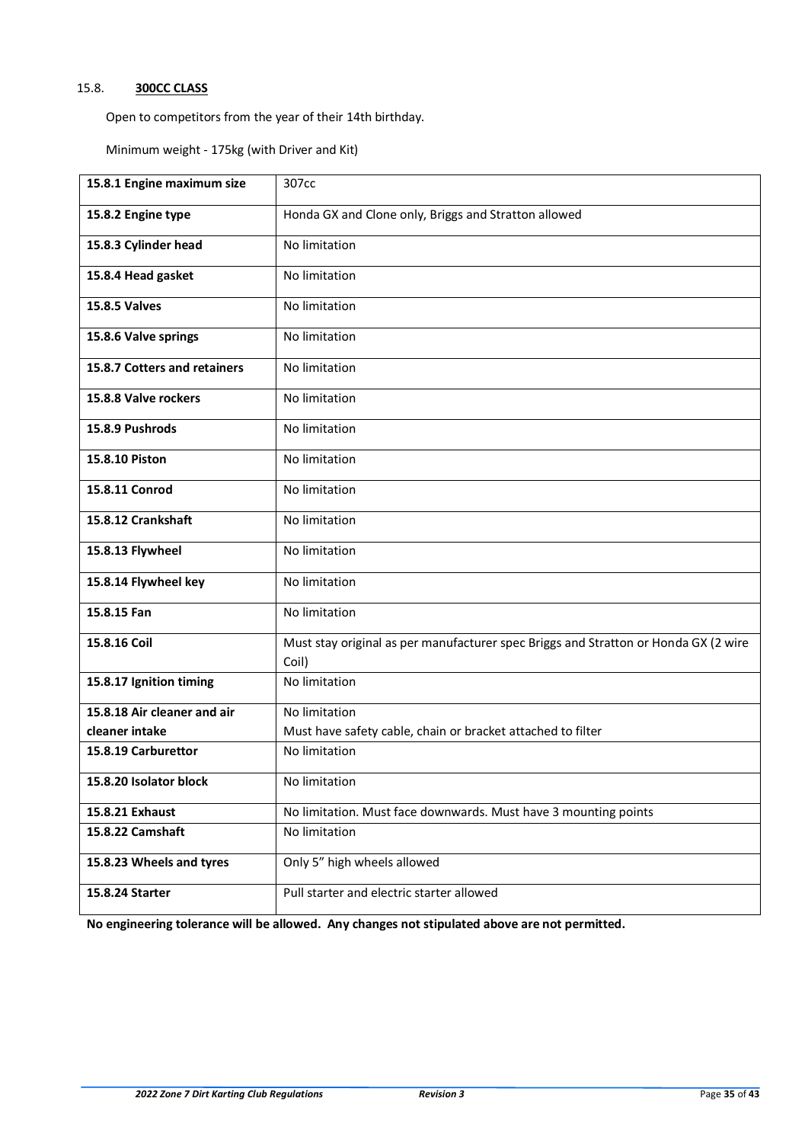# <span id="page-34-0"></span>15.8. **300CC CLASS**

Open to competitors from the year of their 14th birthday.

Minimum weight - 175kg (with Driver and Kit)

| 15.8.1 Engine maximum size   | 307cc                                                                                        |
|------------------------------|----------------------------------------------------------------------------------------------|
| 15.8.2 Engine type           | Honda GX and Clone only, Briggs and Stratton allowed                                         |
| 15.8.3 Cylinder head         | No limitation                                                                                |
| 15.8.4 Head gasket           | No limitation                                                                                |
| <b>15.8.5 Valves</b>         | No limitation                                                                                |
| 15.8.6 Valve springs         | No limitation                                                                                |
| 15.8.7 Cotters and retainers | No limitation                                                                                |
| 15.8.8 Valve rockers         | No limitation                                                                                |
| 15.8.9 Pushrods              | No limitation                                                                                |
| 15.8.10 Piston               | No limitation                                                                                |
| 15.8.11 Conrod               | No limitation                                                                                |
| 15.8.12 Crankshaft           | No limitation                                                                                |
| 15.8.13 Flywheel             | No limitation                                                                                |
| 15.8.14 Flywheel key         | No limitation                                                                                |
| 15.8.15 Fan                  | No limitation                                                                                |
| 15.8.16 Coil                 | Must stay original as per manufacturer spec Briggs and Stratton or Honda GX (2 wire<br>Coil) |
| 15.8.17 Ignition timing      | No limitation                                                                                |
| 15.8.18 Air cleaner and air  | No limitation                                                                                |
| cleaner intake               | Must have safety cable, chain or bracket attached to filter                                  |
| 15.8.19 Carburettor          | No limitation                                                                                |
| 15.8.20 Isolator block       | No limitation                                                                                |
| 15.8.21 Exhaust              | No limitation. Must face downwards. Must have 3 mounting points                              |
| 15.8.22 Camshaft             | No limitation                                                                                |
| 15.8.23 Wheels and tyres     | Only 5" high wheels allowed                                                                  |
| 15.8.24 Starter              | Pull starter and electric starter allowed                                                    |

**No engineering tolerance will be allowed. Any changes not stipulated above are not permitted.**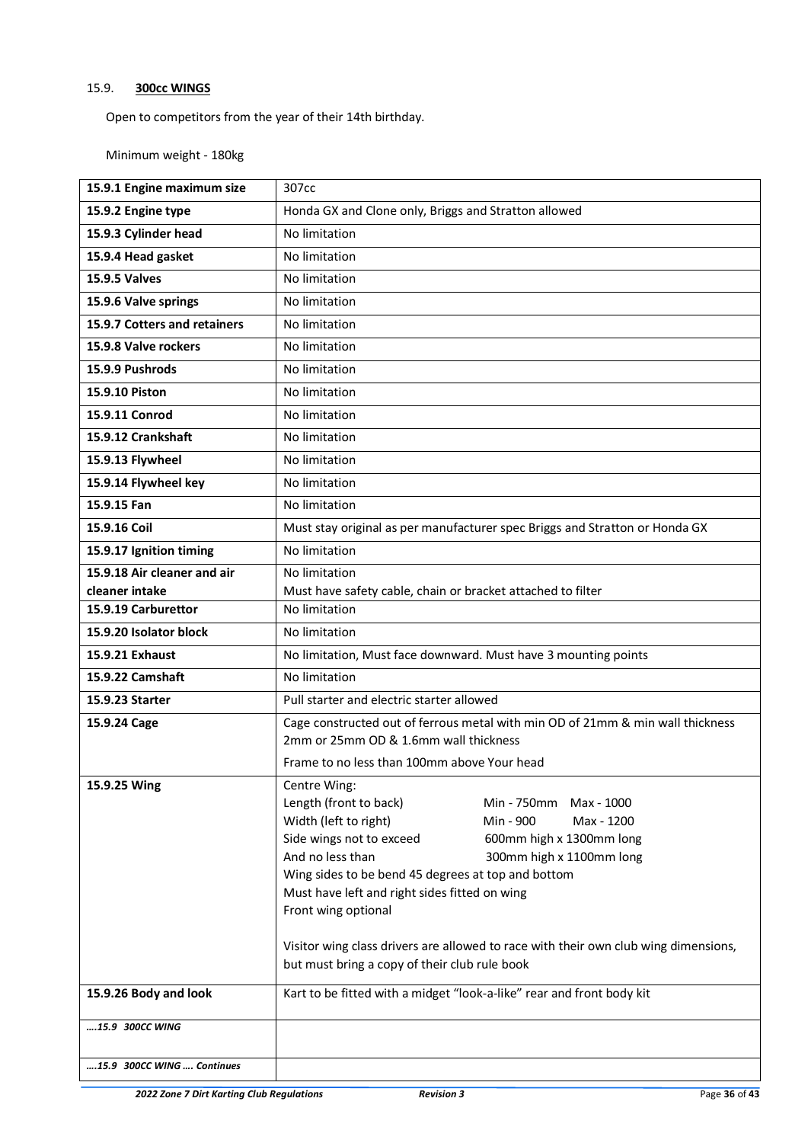# <span id="page-35-0"></span>15.9. **300cc WINGS**

Open to competitors from the year of their 14th birthday.

Minimum weight - 180kg

| 15.9.1 Engine maximum size   | 307cc                                                                                                                                                                                                                                                                                                                                                                                                                                                                                                 |
|------------------------------|-------------------------------------------------------------------------------------------------------------------------------------------------------------------------------------------------------------------------------------------------------------------------------------------------------------------------------------------------------------------------------------------------------------------------------------------------------------------------------------------------------|
| 15.9.2 Engine type           | Honda GX and Clone only, Briggs and Stratton allowed                                                                                                                                                                                                                                                                                                                                                                                                                                                  |
| 15.9.3 Cylinder head         | No limitation                                                                                                                                                                                                                                                                                                                                                                                                                                                                                         |
| 15.9.4 Head gasket           | No limitation                                                                                                                                                                                                                                                                                                                                                                                                                                                                                         |
| <b>15.9.5 Valves</b>         | No limitation                                                                                                                                                                                                                                                                                                                                                                                                                                                                                         |
| 15.9.6 Valve springs         | No limitation                                                                                                                                                                                                                                                                                                                                                                                                                                                                                         |
| 15.9.7 Cotters and retainers | No limitation                                                                                                                                                                                                                                                                                                                                                                                                                                                                                         |
| 15.9.8 Valve rockers         | No limitation                                                                                                                                                                                                                                                                                                                                                                                                                                                                                         |
| 15.9.9 Pushrods              | No limitation                                                                                                                                                                                                                                                                                                                                                                                                                                                                                         |
| 15.9.10 Piston               | No limitation                                                                                                                                                                                                                                                                                                                                                                                                                                                                                         |
| 15.9.11 Conrod               | No limitation                                                                                                                                                                                                                                                                                                                                                                                                                                                                                         |
| 15.9.12 Crankshaft           | No limitation                                                                                                                                                                                                                                                                                                                                                                                                                                                                                         |
| 15.9.13 Flywheel             | No limitation                                                                                                                                                                                                                                                                                                                                                                                                                                                                                         |
| 15.9.14 Flywheel key         | No limitation                                                                                                                                                                                                                                                                                                                                                                                                                                                                                         |
| 15.9.15 Fan                  | No limitation                                                                                                                                                                                                                                                                                                                                                                                                                                                                                         |
| 15.9.16 Coil                 | Must stay original as per manufacturer spec Briggs and Stratton or Honda GX                                                                                                                                                                                                                                                                                                                                                                                                                           |
| 15.9.17 Ignition timing      | No limitation                                                                                                                                                                                                                                                                                                                                                                                                                                                                                         |
| 15.9.18 Air cleaner and air  | No limitation                                                                                                                                                                                                                                                                                                                                                                                                                                                                                         |
| cleaner intake               | Must have safety cable, chain or bracket attached to filter                                                                                                                                                                                                                                                                                                                                                                                                                                           |
| 15.9.19 Carburettor          | No limitation                                                                                                                                                                                                                                                                                                                                                                                                                                                                                         |
| 15.9.20 Isolator block       | No limitation                                                                                                                                                                                                                                                                                                                                                                                                                                                                                         |
| 15.9.21 Exhaust              | No limitation, Must face downward. Must have 3 mounting points                                                                                                                                                                                                                                                                                                                                                                                                                                        |
| 15.9.22 Camshaft             | No limitation                                                                                                                                                                                                                                                                                                                                                                                                                                                                                         |
| 15.9.23 Starter              | Pull starter and electric starter allowed                                                                                                                                                                                                                                                                                                                                                                                                                                                             |
| 15.9.24 Cage                 | Cage constructed out of ferrous metal with min OD of 21mm & min wall thickness<br>2mm or 25mm OD & 1.6mm wall thickness                                                                                                                                                                                                                                                                                                                                                                               |
|                              | Frame to no less than 100mm above Your head                                                                                                                                                                                                                                                                                                                                                                                                                                                           |
| 15.9.25 Wing                 | Centre Wing:<br>Length (front to back)<br>Min - 750mm<br>Max - 1000<br>Width (left to right)<br>Min - 900<br>Max - 1200<br>Side wings not to exceed<br>600mm high x 1300mm long<br>And no less than<br>300mm high x 1100mm long<br>Wing sides to be bend 45 degrees at top and bottom<br>Must have left and right sides fitted on wing<br>Front wing optional<br>Visitor wing class drivers are allowed to race with their own club wing dimensions,<br>but must bring a copy of their club rule book |
| 15.9.26 Body and look        | Kart to be fitted with a midget "look-a-like" rear and front body kit                                                                                                                                                                                                                                                                                                                                                                                                                                 |
| 15.9 300CC WING              |                                                                                                                                                                                                                                                                                                                                                                                                                                                                                                       |
| 15.9 300CC WING  Continues   |                                                                                                                                                                                                                                                                                                                                                                                                                                                                                                       |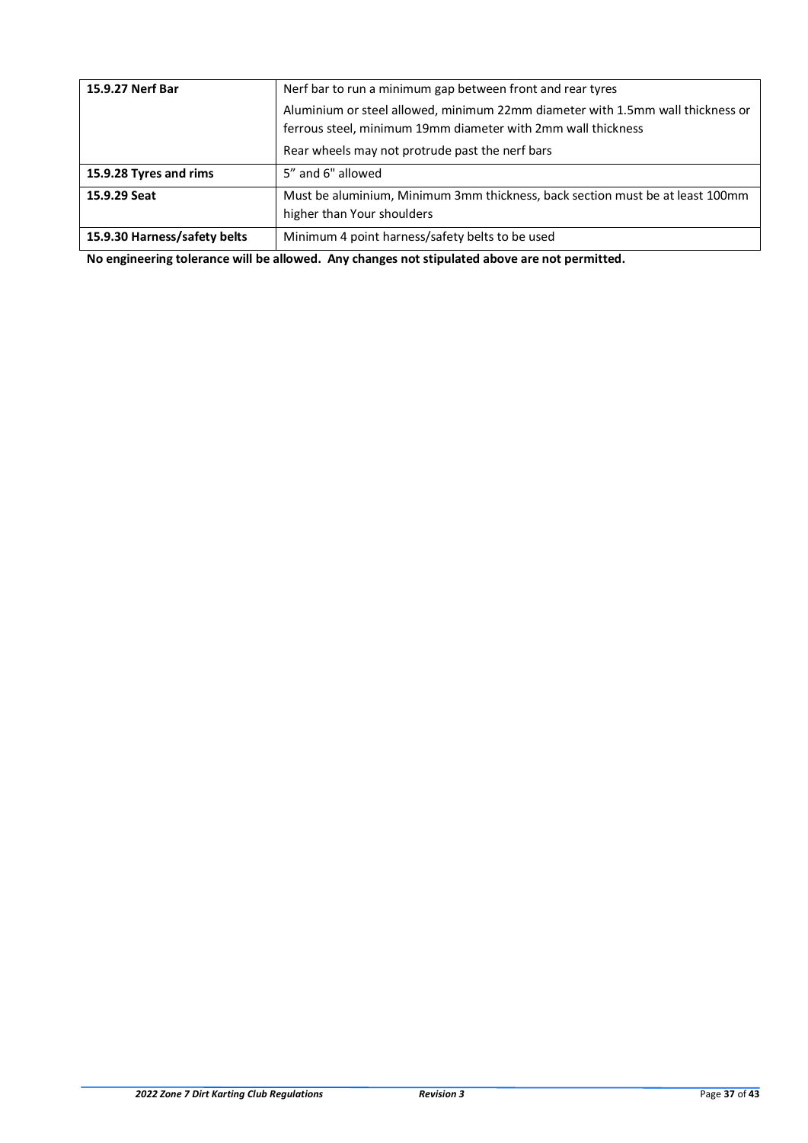| 15.9.27 Nerf Bar             | Nerf bar to run a minimum gap between front and rear tyres                                                                                     |
|------------------------------|------------------------------------------------------------------------------------------------------------------------------------------------|
|                              | Aluminium or steel allowed, minimum 22mm diameter with 1.5mm wall thickness or<br>ferrous steel, minimum 19mm diameter with 2mm wall thickness |
|                              | Rear wheels may not protrude past the nerf bars                                                                                                |
| 15.9.28 Tyres and rims       | 5" and 6" allowed                                                                                                                              |
| 15.9.29 Seat                 | Must be aluminium, Minimum 3mm thickness, back section must be at least 100mm<br>higher than Your shoulders                                    |
| 15.9.30 Harness/safety belts | Minimum 4 point harness/safety belts to be used                                                                                                |

**No engineering tolerance will be allowed. Any changes not stipulated above are not permitted.**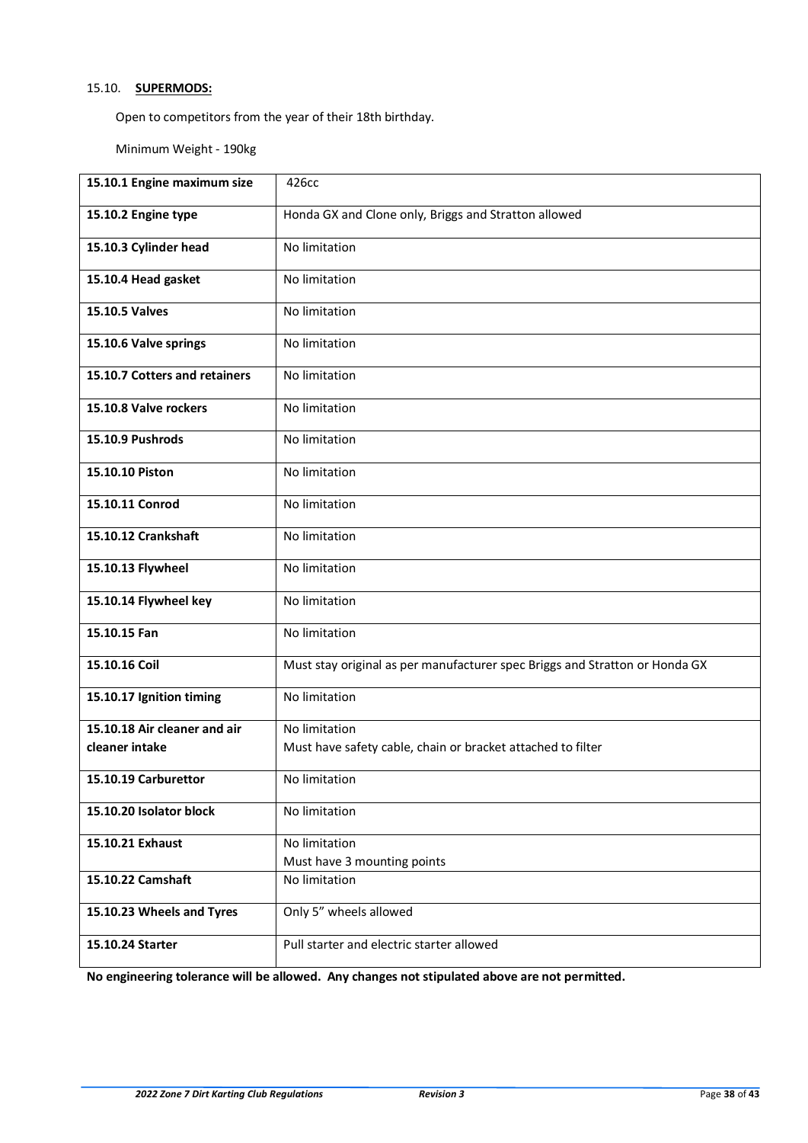# <span id="page-37-0"></span>15.10. **SUPERMODS:**

Open to competitors from the year of their 18th birthday.

Minimum Weight - 190kg

| 15.10.1 Engine maximum size   | 426cc                                                                       |
|-------------------------------|-----------------------------------------------------------------------------|
| 15.10.2 Engine type           | Honda GX and Clone only, Briggs and Stratton allowed                        |
| 15.10.3 Cylinder head         | No limitation                                                               |
| 15.10.4 Head gasket           | No limitation                                                               |
| 15.10.5 Valves                | No limitation                                                               |
| 15.10.6 Valve springs         | No limitation                                                               |
| 15.10.7 Cotters and retainers | No limitation                                                               |
| 15.10.8 Valve rockers         | No limitation                                                               |
| 15.10.9 Pushrods              | No limitation                                                               |
| 15.10.10 Piston               | No limitation                                                               |
| 15.10.11 Conrod               | No limitation                                                               |
| 15.10.12 Crankshaft           | No limitation                                                               |
| 15.10.13 Flywheel             | No limitation                                                               |
| 15.10.14 Flywheel key         | No limitation                                                               |
| 15.10.15 Fan                  | No limitation                                                               |
| 15.10.16 Coil                 | Must stay original as per manufacturer spec Briggs and Stratton or Honda GX |
| 15.10.17 Ignition timing      | No limitation                                                               |
| 15.10.18 Air cleaner and air  | No limitation                                                               |
| cleaner intake                | Must have safety cable, chain or bracket attached to filter                 |
| 15.10.19 Carburettor          | No limitation                                                               |
| 15.10.20 Isolator block       | No limitation                                                               |
| 15.10.21 Exhaust              | No limitation                                                               |
|                               | Must have 3 mounting points                                                 |
| 15.10.22 Camshaft             | No limitation                                                               |
| 15.10.23 Wheels and Tyres     | Only 5" wheels allowed                                                      |
| 15.10.24 Starter              | Pull starter and electric starter allowed                                   |

**No engineering tolerance will be allowed. Any changes not stipulated above are not permitted.**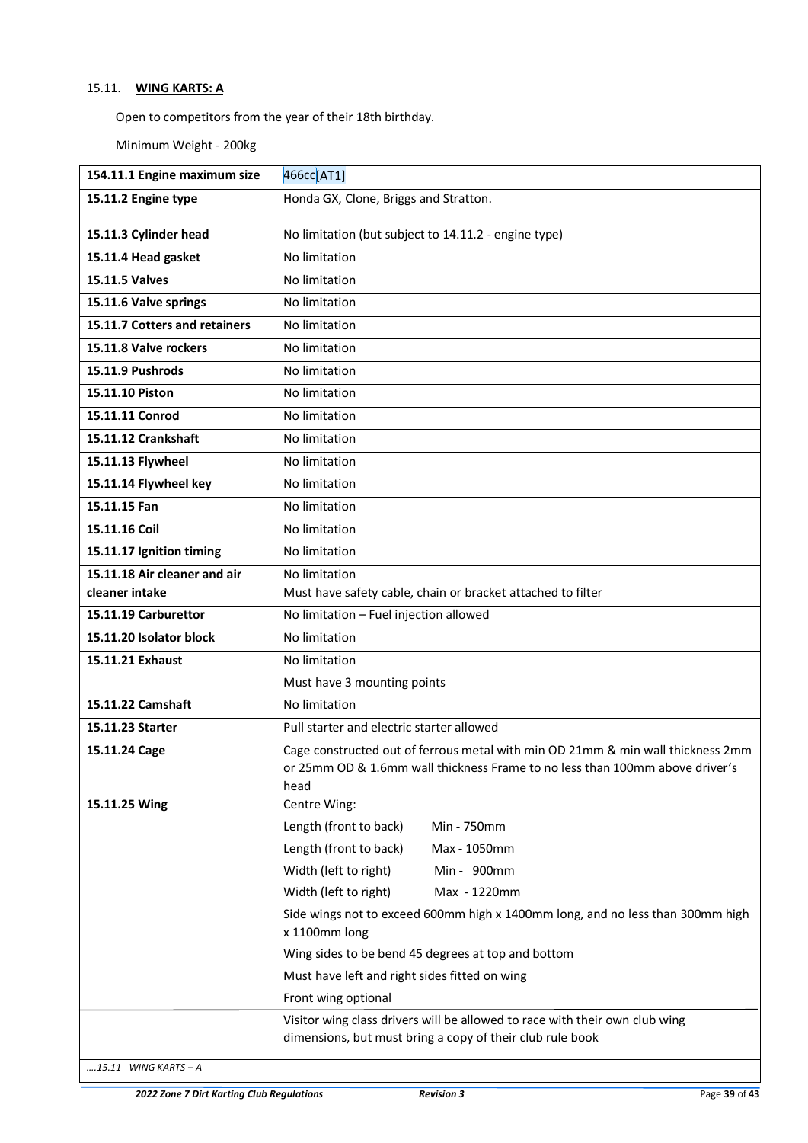# <span id="page-38-0"></span>15.11. **WING KARTS: A**

Open to competitors from the year of their 18th birthday.

Minimum Weight - 200kg

| 154.11.1 Engine maximum size  | 466cc[AT1]                                                                                                                                                              |
|-------------------------------|-------------------------------------------------------------------------------------------------------------------------------------------------------------------------|
| 15.11.2 Engine type           | Honda GX, Clone, Briggs and Stratton.                                                                                                                                   |
| 15.11.3 Cylinder head         | No limitation (but subject to 14.11.2 - engine type)                                                                                                                    |
| 15.11.4 Head gasket           | No limitation                                                                                                                                                           |
| 15.11.5 Valves                | No limitation                                                                                                                                                           |
| 15.11.6 Valve springs         | No limitation                                                                                                                                                           |
| 15.11.7 Cotters and retainers | No limitation                                                                                                                                                           |
| 15.11.8 Valve rockers         | No limitation                                                                                                                                                           |
| 15.11.9 Pushrods              | No limitation                                                                                                                                                           |
| 15.11.10 Piston               | No limitation                                                                                                                                                           |
| 15.11.11 Conrod               | No limitation                                                                                                                                                           |
| 15.11.12 Crankshaft           | No limitation                                                                                                                                                           |
| 15.11.13 Flywheel             | No limitation                                                                                                                                                           |
| 15.11.14 Flywheel key         | No limitation                                                                                                                                                           |
| 15.11.15 Fan                  | No limitation                                                                                                                                                           |
| 15.11.16 Coil                 | No limitation                                                                                                                                                           |
| 15.11.17 Ignition timing      | No limitation                                                                                                                                                           |
| 15.11.18 Air cleaner and air  | No limitation                                                                                                                                                           |
| cleaner intake                | Must have safety cable, chain or bracket attached to filter                                                                                                             |
| 15.11.19 Carburettor          | No limitation - Fuel injection allowed                                                                                                                                  |
| 15.11.20 Isolator block       | No limitation                                                                                                                                                           |
| 15.11.21 Exhaust              | No limitation                                                                                                                                                           |
|                               | Must have 3 mounting points                                                                                                                                             |
| 15.11.22 Camshaft             | No limitation                                                                                                                                                           |
| 15.11.23 Starter              | Pull starter and electric starter allowed                                                                                                                               |
| 15.11.24 Cage                 | Cage constructed out of ferrous metal with min OD 21mm & min wall thickness 2mm<br>or 25mm OD & 1.6mm wall thickness Frame to no less than 100mm above driver's<br>head |
| 15.11.25 Wing                 | Centre Wing:                                                                                                                                                            |
|                               | Length (front to back)<br>Min - 750mm                                                                                                                                   |
|                               | Length (front to back)<br>Max - 1050mm                                                                                                                                  |
|                               | Width (left to right)<br>Min - 900mm                                                                                                                                    |
|                               | Width (left to right)<br>Max - 1220mm                                                                                                                                   |
|                               | Side wings not to exceed 600mm high x 1400mm long, and no less than 300mm high<br>x 1100mm long                                                                         |
|                               | Wing sides to be bend 45 degrees at top and bottom                                                                                                                      |
|                               | Must have left and right sides fitted on wing                                                                                                                           |
|                               | Front wing optional                                                                                                                                                     |
|                               | Visitor wing class drivers will be allowed to race with their own club wing<br>dimensions, but must bring a copy of their club rule book                                |
| 15.11 WING KARTS – A          |                                                                                                                                                                         |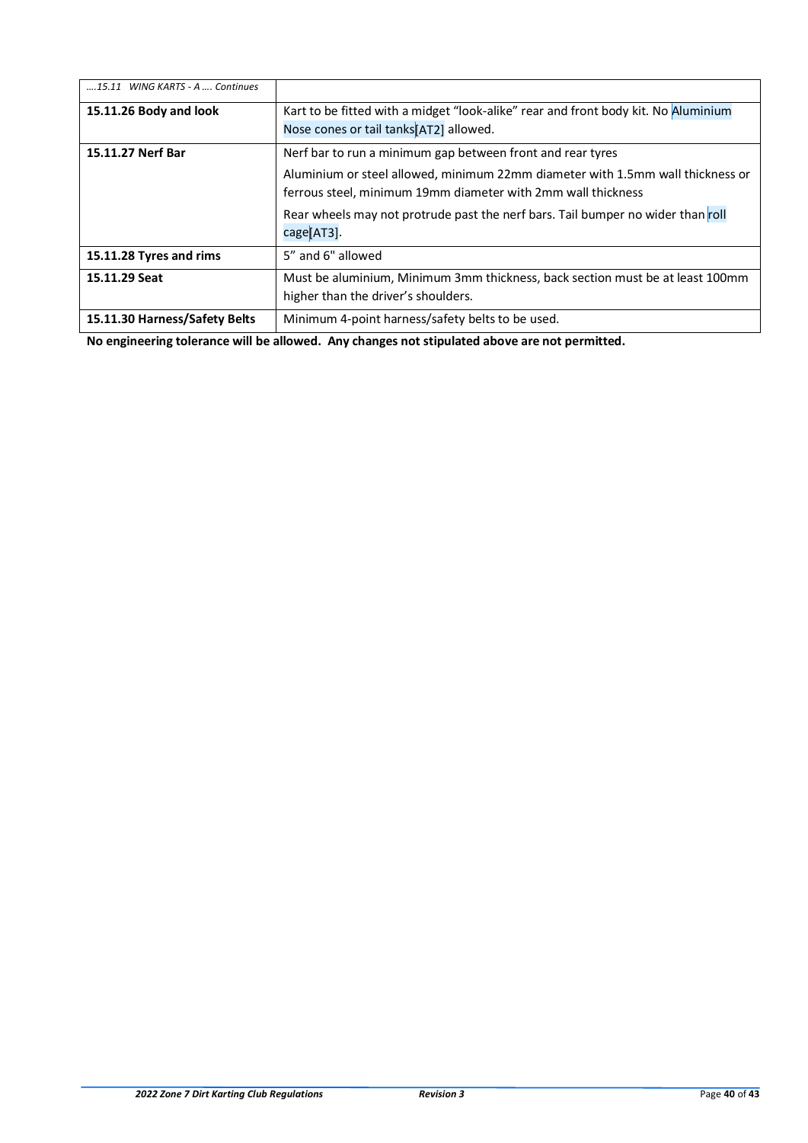| 15.11 WING KARTS - A , Continues |                                                                                                                                                |  |  |
|----------------------------------|------------------------------------------------------------------------------------------------------------------------------------------------|--|--|
| 15.11.26 Body and look           | Kart to be fitted with a midget "look-alike" rear and front body kit. No Aluminium<br>Nose cones or tail tanks <sup>[AT2]</sup> allowed.       |  |  |
|                                  |                                                                                                                                                |  |  |
| 15.11.27 Nerf Bar                | Nerf bar to run a minimum gap between front and rear tyres                                                                                     |  |  |
|                                  | Aluminium or steel allowed, minimum 22mm diameter with 1.5mm wall thickness or<br>ferrous steel, minimum 19mm diameter with 2mm wall thickness |  |  |
|                                  | Rear wheels may not protrude past the nerf bars. Tail bumper no wider than roll<br>cage[AT3].                                                  |  |  |
| 15.11.28 Tyres and rims          | 5" and 6" allowed                                                                                                                              |  |  |
| 15.11.29 Seat                    | Must be aluminium, Minimum 3mm thickness, back section must be at least 100mm<br>higher than the driver's shoulders.                           |  |  |
| 15.11.30 Harness/Safety Belts    | Minimum 4-point harness/safety belts to be used.                                                                                               |  |  |

**No engineering tolerance will be allowed. Any changes not stipulated above are not permitted.**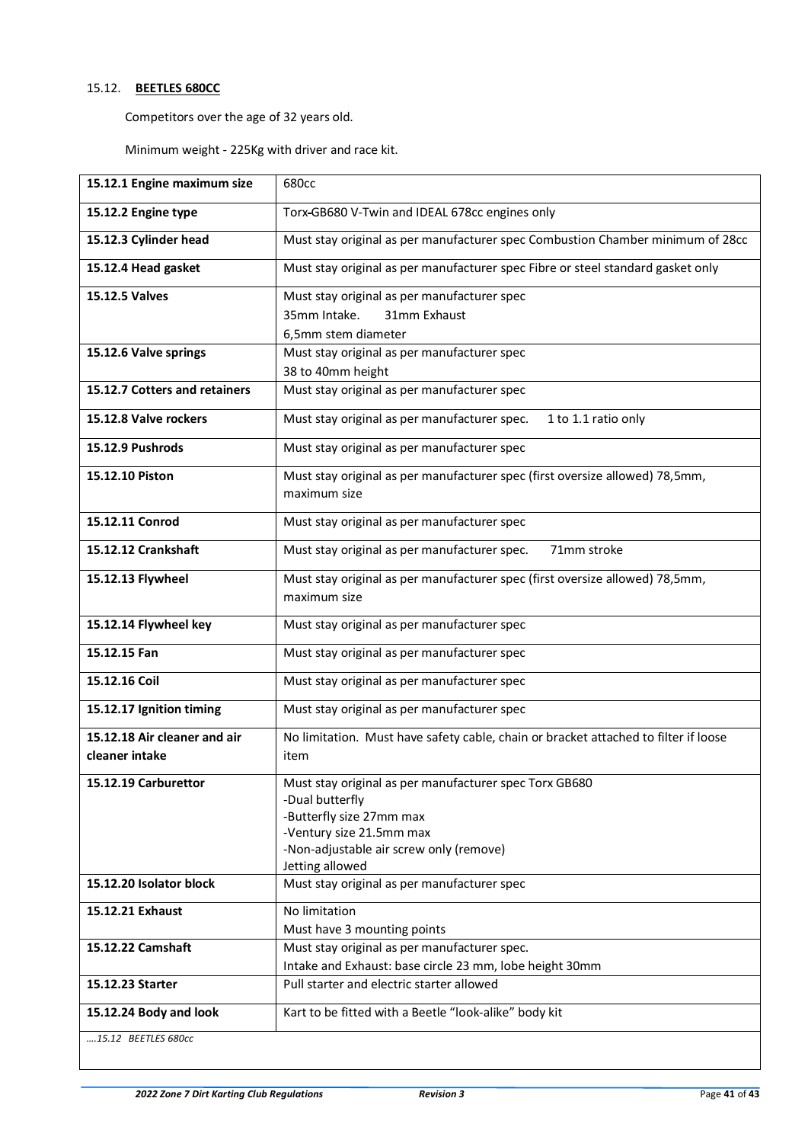# <span id="page-40-0"></span>15.12. **BEETLES 680CC**

Competitors over the age of 32 years old.

Minimum weight - 225Kg with driver and race kit.

| 15.12.1 Engine maximum size   | 680cc                                                                                                |  |  |  |
|-------------------------------|------------------------------------------------------------------------------------------------------|--|--|--|
| 15.12.2 Engine type           | Torx-GB680 V-Twin and IDEAL 678cc engines only                                                       |  |  |  |
| 15.12.3 Cylinder head         | Must stay original as per manufacturer spec Combustion Chamber minimum of 28cc                       |  |  |  |
| 15.12.4 Head gasket           | Must stay original as per manufacturer spec Fibre or steel standard gasket only                      |  |  |  |
| 15.12.5 Valves                | Must stay original as per manufacturer spec                                                          |  |  |  |
|                               | 35mm Intake.<br>31mm Exhaust                                                                         |  |  |  |
|                               | 6,5mm stem diameter                                                                                  |  |  |  |
| 15.12.6 Valve springs         | Must stay original as per manufacturer spec                                                          |  |  |  |
|                               | 38 to 40mm height                                                                                    |  |  |  |
| 15.12.7 Cotters and retainers | Must stay original as per manufacturer spec                                                          |  |  |  |
| 15.12.8 Valve rockers         | Must stay original as per manufacturer spec.<br>1 to 1.1 ratio only                                  |  |  |  |
| 15.12.9 Pushrods              | Must stay original as per manufacturer spec                                                          |  |  |  |
| 15.12.10 Piston               | Must stay original as per manufacturer spec (first oversize allowed) 78,5mm,<br>maximum size         |  |  |  |
| 15.12.11 Conrod               | Must stay original as per manufacturer spec                                                          |  |  |  |
| 15.12.12 Crankshaft           | Must stay original as per manufacturer spec.<br>71mm stroke                                          |  |  |  |
| 15.12.13 Flywheel             | Must stay original as per manufacturer spec (first oversize allowed) 78,5mm,<br>maximum size         |  |  |  |
| 15.12.14 Flywheel key         | Must stay original as per manufacturer spec                                                          |  |  |  |
| 15.12.15 Fan                  | Must stay original as per manufacturer spec                                                          |  |  |  |
| 15.12.16 Coil                 | Must stay original as per manufacturer spec                                                          |  |  |  |
| 15.12.17 Ignition timing      | Must stay original as per manufacturer spec                                                          |  |  |  |
| 15.12.18 Air cleaner and air  | No limitation. Must have safety cable, chain or bracket attached to filter if loose                  |  |  |  |
| cleaner intake                | item                                                                                                 |  |  |  |
| 15.12.19 Carburettor          | Must stay original as per manufacturer spec Torx GB680                                               |  |  |  |
|                               | -Dual butterfly                                                                                      |  |  |  |
|                               | -Butterfly size 27mm max                                                                             |  |  |  |
|                               | -Ventury size 21.5mm max<br>-Non-adjustable air screw only (remove)                                  |  |  |  |
|                               | Jetting allowed                                                                                      |  |  |  |
| 15.12.20 Isolator block       | Must stay original as per manufacturer spec                                                          |  |  |  |
| 15.12.21 Exhaust              | No limitation                                                                                        |  |  |  |
|                               | Must have 3 mounting points                                                                          |  |  |  |
| 15.12.22 Camshaft             | Must stay original as per manufacturer spec.                                                         |  |  |  |
|                               | Intake and Exhaust: base circle 23 mm, lobe height 30mm<br>Pull starter and electric starter allowed |  |  |  |
| 15.12.23 Starter              |                                                                                                      |  |  |  |
| 15.12.24 Body and look        | Kart to be fitted with a Beetle "look-alike" body kit                                                |  |  |  |
| 15.12 BEETLES 680cc           |                                                                                                      |  |  |  |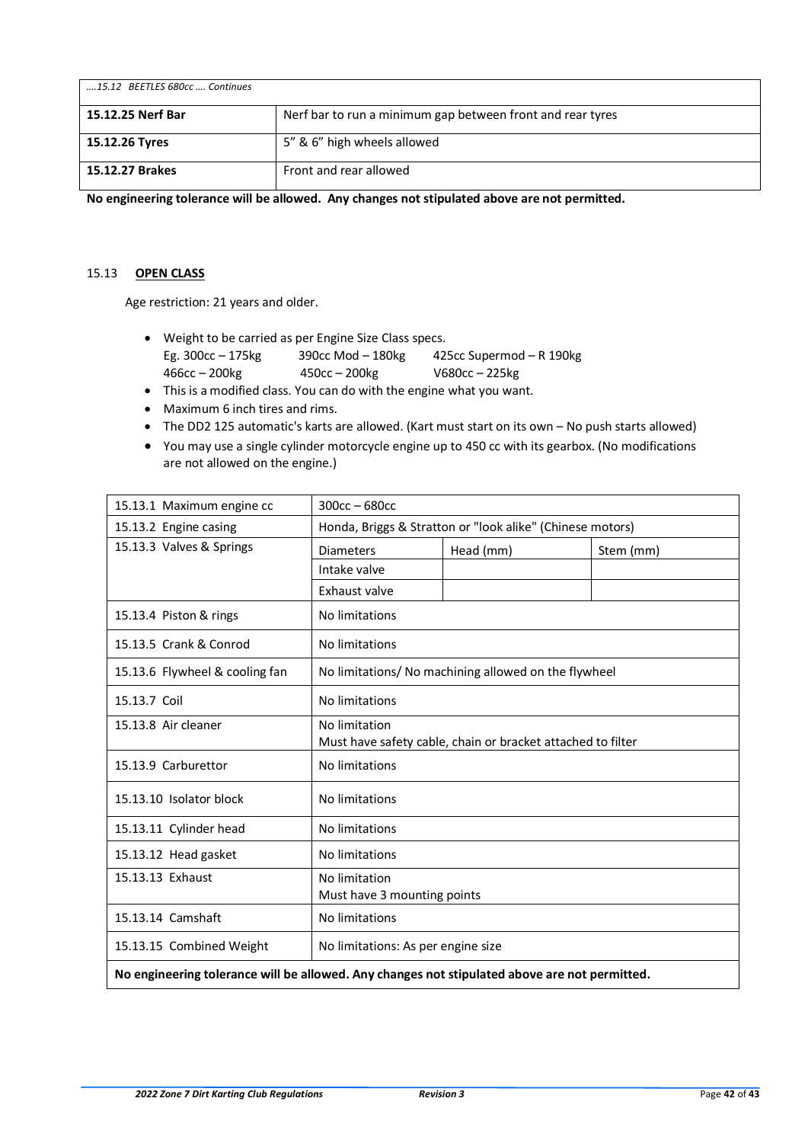| 15.12 BEETLES 680cc  Continues |                                                            |
|--------------------------------|------------------------------------------------------------|
| 15.12.25 Nerf Bar              | Nerf bar to run a minimum gap between front and rear tyres |
| 15.12.26 Tyres                 | 5" & 6" high wheels allowed                                |
| 15.12.27 Brakes                | Front and rear allowed                                     |

**No engineering tolerance will be allowed. Any changes not stipulated above are not permitted.** 

# <span id="page-41-0"></span>15.13 **OPEN CLASS**

Age restriction: 21 years and older.

- Weight to be carried as per Engine Size Class specs. Eg. 300cc – 175kg 390cc Mod – 180kg 425cc Supermod – R 190kg 466cc – 200kg 450cc – 200kg V680cc – 225kg
- This is a modified class. You can do with the engine what you want.
- Maximum 6 inch tires and rims.
- The DD2 125 automatic's karts are allowed. (Kart must start on its own No push starts allowed)
- You may use a single cylinder motorcycle engine up to 450 cc with its gearbox. (No modifications are not allowed on the engine.)

| 15.13.1 Maximum engine cc                                                                     | $300cc - 680cc$                                                              |           |           |  |
|-----------------------------------------------------------------------------------------------|------------------------------------------------------------------------------|-----------|-----------|--|
| 15.13.2 Engine casing                                                                         | Honda, Briggs & Stratton or "look alike" (Chinese motors)                    |           |           |  |
| 15.13.3 Valves & Springs                                                                      | <b>Diameters</b>                                                             | Head (mm) | Stem (mm) |  |
|                                                                                               | Intake valve                                                                 |           |           |  |
|                                                                                               | Exhaust valve                                                                |           |           |  |
| 15.13.4 Piston & rings                                                                        | No limitations                                                               |           |           |  |
| 15.13.5 Crank & Conrod                                                                        | No limitations                                                               |           |           |  |
| 15.13.6 Flywheel & cooling fan                                                                | No limitations/ No machining allowed on the flywheel                         |           |           |  |
| 15.13.7 Coil                                                                                  | No limitations                                                               |           |           |  |
| 15.13.8 Air cleaner                                                                           | No limitation<br>Must have safety cable, chain or bracket attached to filter |           |           |  |
| 15.13.9 Carburettor                                                                           | No limitations                                                               |           |           |  |
| 15.13.10 Isolator block                                                                       | No limitations                                                               |           |           |  |
| 15.13.11 Cylinder head                                                                        | No limitations                                                               |           |           |  |
| 15.13.12 Head gasket                                                                          | No limitations                                                               |           |           |  |
| 15.13.13 Exhaust                                                                              | No limitation<br>Must have 3 mounting points                                 |           |           |  |
| 15.13.14 Camshaft                                                                             | No limitations                                                               |           |           |  |
| 15.13.15 Combined Weight                                                                      | No limitations: As per engine size                                           |           |           |  |
| No engineering tolerance will be allowed. Any changes not stipulated above are not permitted. |                                                                              |           |           |  |